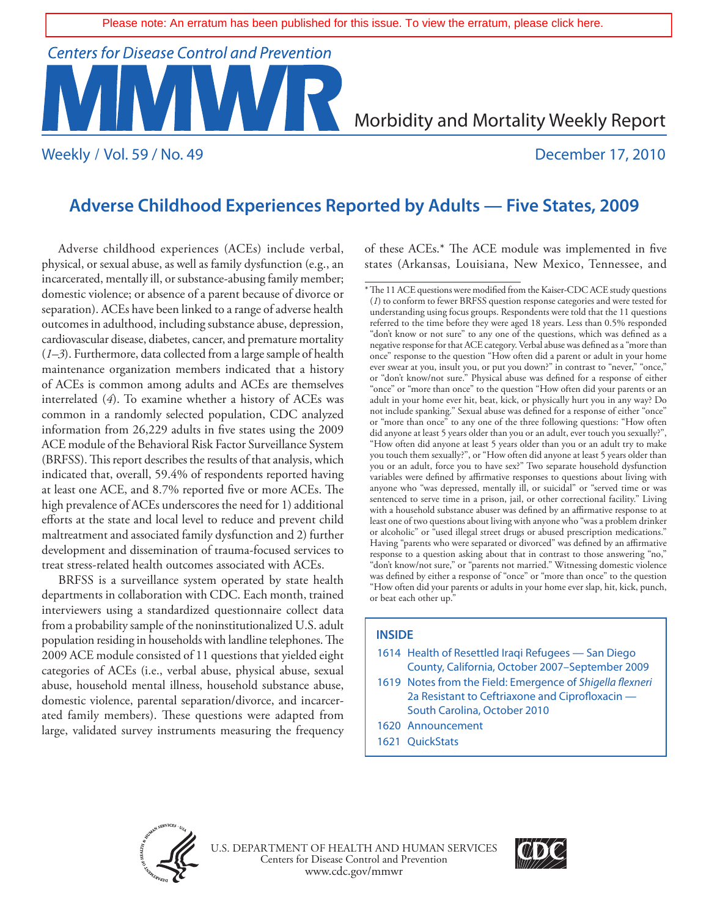**Centers for Disease Control and Prevention** 

Weekly / Vol. 59 / No. 49 December 17, 2010

Morbidity and Mortality Weekly Report

# **Adverse Childhood Experiences Reported by Adults — Five States, 2009**

Adverse childhood experiences (ACEs) include verbal, physical, or sexual abuse, as well as family dysfunction (e.g., an incarcerated, mentally ill, or substance-abusing family member; domestic violence; or absence of a parent because of divorce or separation). ACEs have been linked to a range of adverse health outcomes in adulthood, including substance abuse, depression, cardiovascular disease, diabetes, cancer, and premature mortality (*1–3*). Furthermore, data collected from a large sample of health maintenance organization members indicated that a history of ACEs is common among adults and ACEs are themselves interrelated (*4*). To examine whether a history of ACEs was common in a randomly selected population, CDC analyzed information from 26,229 adults in five states using the 2009 ACE module of the Behavioral Risk Factor Surveillance System (BRFSS). This report describes the results of that analysis, which indicated that, overall, 59.4% of respondents reported having at least one ACE, and 8.7% reported five or more ACEs. The high prevalence of ACEs underscores the need for 1) additional efforts at the state and local level to reduce and prevent child maltreatment and associated family dysfunction and 2) further development and dissemination of trauma-focused services to treat stress-related health outcomes associated with ACEs.

BRFSS is a surveillance system operated by state health departments in collaboration with CDC. Each month, trained interviewers using a standardized questionnaire collect data from a probability sample of the noninstitutionalized U.S. adult population residing in households with landline telephones. The 2009 ACE module consisted of 11 questions that yielded eight categories of ACEs (i.e., verbal abuse, physical abuse, sexual abuse, household mental illness, household substance abuse, domestic violence, parental separation/divorce, and incarcerated family members). These questions were adapted from large, validated survey instruments measuring the frequency

of these ACEs.\* The ACE module was implemented in five states (Arkansas, Louisiana, New Mexico, Tennessee, and

### **INSIDE**

| 1614 Health of Resettled Iragi Refugees - San Diego       |
|-----------------------------------------------------------|
| County, California, October 2007-September 2009           |
| 1619 Notes from the Field: Emergence of Shigella flexneri |
| 2a Resistant to Ceftriaxone and Ciprofloxacin -           |
| South Carolina, October 2010                              |
| 1620 Announcement                                         |

1621 [QuickStats](#page-12-0)



Centers for Disease Control and Prevention www.cdc.gov/mmwr U.S. DEPARTMENT OF HEALTH AND HUMAN SERVICES



<sup>\*</sup>The 11 ACE questions were modified from the Kaiser-CDC ACE study questions (*1*) to conform to fewer BRFSS question response categories and were tested for understanding using focus groups. Respondents were told that the 11 questions referred to the time before they were aged 18 years. Less than 0.5% responded "don't know or not sure" to any one of the questions, which was defined as a negative response for that ACE category. Verbal abuse was defined as a "more than once" response to the question "How often did a parent or adult in your home ever swear at you, insult you, or put you down?" in contrast to "never," "once," or "don't know/not sure." Physical abuse was defined for a response of either "once" or "more than once" to the question "How often did your parents or an adult in your home ever hit, beat, kick, or physically hurt you in any way? Do not include spanking." Sexual abuse was defined for a response of either "once" or "more than once" to any one of the three following questions: "How often did anyone at least 5 years older than you or an adult, ever touch you sexually?", "How often did anyone at least 5 years older than you or an adult try to make you touch them sexually?", or "How often did anyone at least 5 years older than you or an adult, force you to have sex?" Two separate household dysfunction variables were defined by affirmative responses to questions about living with anyone who "was depressed, mentally ill, or suicidal" or "served time or was sentenced to serve time in a prison, jail, or other correctional facility." Living with a household substance abuser was defined by an affirmative response to at least one of two questions about living with anyone who "was a problem drinker or alcoholic" or "used illegal street drugs or abused prescription medications." Having "parents who were separated or divorced" was defined by an affirmative response to a question asking about that in contrast to those answering "no," "don't know/not sure," or "parents not married." Witnessing domestic violence was defined by either a response of "once" or "more than once" to the question "How often did your parents or adults in your home ever slap, hit, kick, punch, or beat each other up."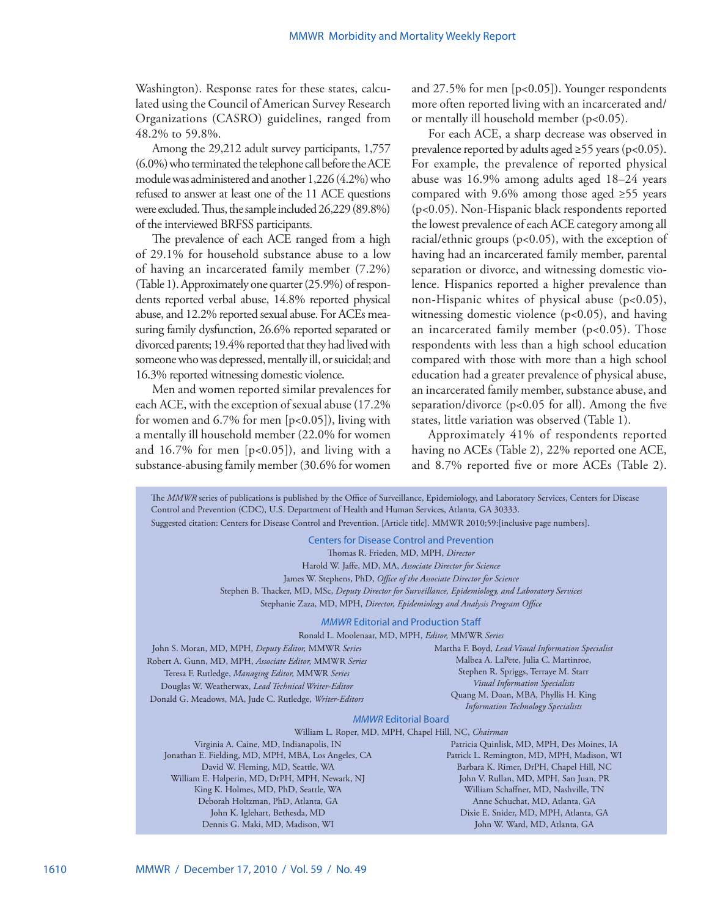Washington). Response rates for these states, calculated using the Council of American Survey Research Organizations (CASRO) guidelines, ranged from 48.2% to 59.8%.

Among the 29,212 adult survey participants, 1,757 (6.0%) who terminated the telephone call before the ACE module was administered and another 1,226 (4.2%) who refused to answer at least one of the 11 ACE questions were excluded. Thus, the sample included 26,229 (89.8%) of the interviewed BRFSS participants.

The prevalence of each ACE ranged from a high of 29.1% for household substance abuse to a low of having an incarcerated family member (7.2%) (Table 1). Approximately one quarter (25.9%) of respondents reported verbal abuse, 14.8% reported physical abuse, and 12.2% reported sexual abuse. For ACEs measuring family dysfunction, 26.6% reported separated or divorced parents; 19.4% reported that they had lived with someone who was depressed, mentally ill, or suicidal; and 16.3% reported witnessing domestic violence.

Men and women reported similar prevalences for each ACE, with the exception of sexual abuse (17.2% for women and  $6.7\%$  for men [p<0.05]), living with a mentally ill household member (22.0% for women and  $16.7\%$  for men [p<0.05]), and living with a substance-abusing family member (30.6% for women

and 27.5% for men [p<0.05]). Younger respondents more often reported living with an incarcerated and/ or mentally ill household member (p<0.05).

For each ACE, a sharp decrease was observed in prevalence reported by adults aged  $\geq$ 55 years (p<0.05). For example, the prevalence of reported physical abuse was 16.9% among adults aged 18–24 years compared with 9.6% among those aged ≥55 years (p<0.05). Non-Hispanic black respondents reported the lowest prevalence of each ACE category among all racial/ethnic groups (p<0.05), with the exception of having had an incarcerated family member, parental separation or divorce, and witnessing domestic violence. Hispanics reported a higher prevalence than non-Hispanic whites of physical abuse (p<0.05), witnessing domestic violence (p<0.05), and having an incarcerated family member  $(p<0.05)$ . Those respondents with less than a high school education compared with those with more than a high school education had a greater prevalence of physical abuse, an incarcerated family member, substance abuse, and separation/divorce  $(p<0.05$  for all). Among the five states, little variation was observed (Table 1).

Approximately 41% of respondents reported having no ACEs (Table 2), 22% reported one ACE, and 8.7% reported five or more ACEs (Table 2).

The *MMWR* series of publications is published by the Office of Surveillance, Epidemiology, and Laboratory Services, Centers for Disease Control and Prevention (CDC), U.S. Department of Health and Human Services, Atlanta, GA 30333. Suggested citation: Centers for Disease Control and Prevention. [Article title]. MMWR 2010;59:[inclusive page numbers].

Centers for Disease Control and Prevention

Thomas R. Frieden, MD, MPH, *Director*

Harold W. Jaffe, MD, MA, *Associate Director for Science*

James W. Stephens, PhD, *Office of the Associate Director for Science* Stephen B. Thacker, MD, MSc, *Deputy Director for Surveillance, Epidemiology, and Laboratory Services* Stephanie Zaza, MD, MPH, *Director, Epidemiology and Analysis Program Office*

### *MMWR* Editorial and Production Staff

Ronald L. Moolenaar, MD, MPH, *Editor,* MMWR *Series*

John S. Moran, MD, MPH, *Deputy Editor,* MMWR *Series* Robert A. Gunn, MD, MPH, *Associate Editor,* MMWR *Series* Teresa F. Rutledge, *Managing Editor,* MMWR *Series* Douglas W. Weatherwax, *Lead Technical Writer-Editor* Donald G. Meadows, MA, Jude C. Rutledge, *Writer-Editors*

Martha F. Boyd, *Lead Visual Information Specialist* Malbea A. LaPete, Julia C. Martinroe, Stephen R. Spriggs, Terraye M. Starr *Visual Information Specialists* Quang M. Doan, MBA, Phyllis H. King *Information Technology Specialists*

### *MMWR* Editorial Board

William L. Roper, MD, MPH, Chapel Hill, NC, *Chairman*

Virginia A. Caine, MD, Indianapolis, IN Jonathan E. Fielding, MD, MPH, MBA, Los Angeles, CA David W. Fleming, MD, Seattle, WA William E. Halperin, MD, DrPH, MPH, Newark, NJ King K. Holmes, MD, PhD, Seattle, WA Deborah Holtzman, PhD, Atlanta, GA John K. Iglehart, Bethesda, MD Dennis G. Maki, MD, Madison, WI

Patricia Quinlisk, MD, MPH, Des Moines, IA Patrick L. Remington, MD, MPH, Madison, WI Barbara K. Rimer, DrPH, Chapel Hill, NC John V. Rullan, MD, MPH, San Juan, PR William Schaffner, MD, Nashville, TN Anne Schuchat, MD, Atlanta, GA Dixie E. Snider, MD, MPH, Atlanta, GA John W. Ward, MD, Atlanta, GA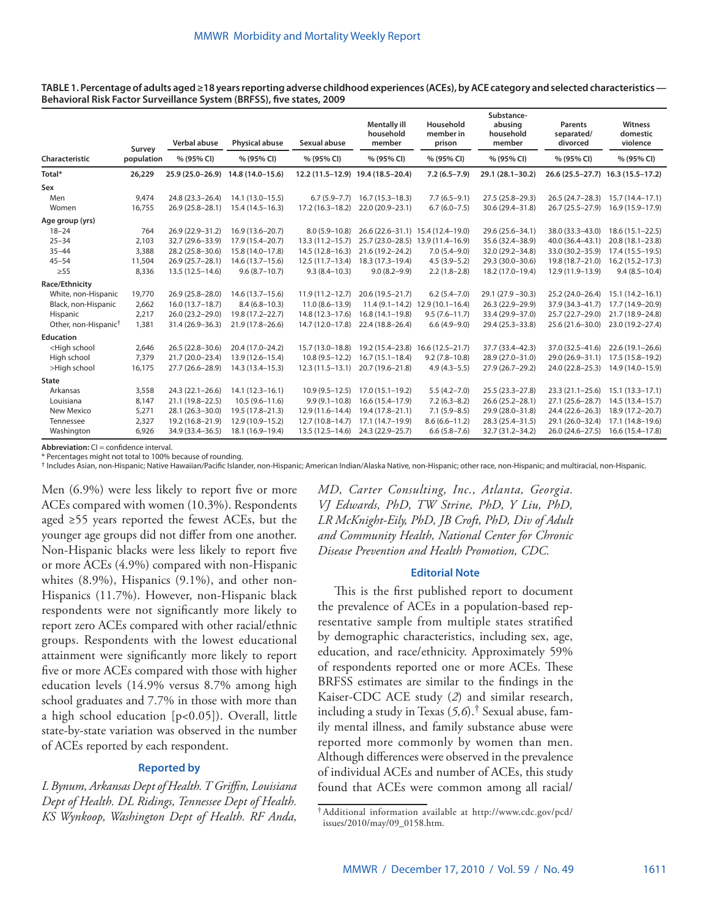|                                                                       | TABLE 1. Percentage of adults aged $\geq$ 18 years reporting adverse childhood experiences (ACEs), by ACE category and selected characteristics — |
|-----------------------------------------------------------------------|---------------------------------------------------------------------------------------------------------------------------------------------------|
| Behavioral Risk Factor Surveillance System (BRFSS), five states, 2009 |                                                                                                                                                   |

|                                                                                                                                                                                                                                                                                |                      | Verbal abuse        | <b>Physical abuse</b> | Sexual abuse        | <b>Mentally ill</b><br>household<br>member | Household<br>member in<br>prison | Substance-<br>abusing<br>household<br>member | <b>Parents</b><br>separated/<br>divorced | <b>Witness</b><br>domestic<br>violence |
|--------------------------------------------------------------------------------------------------------------------------------------------------------------------------------------------------------------------------------------------------------------------------------|----------------------|---------------------|-----------------------|---------------------|--------------------------------------------|----------------------------------|----------------------------------------------|------------------------------------------|----------------------------------------|
| Characteristic                                                                                                                                                                                                                                                                 | Survey<br>population | % (95% CI)          | % (95% CI)            | % (95% CI)          | % (95% CI)                                 | % (95% CI)                       | % (95% CI)                                   | % (95% CI)                               | % (95% CI)                             |
| Total*                                                                                                                                                                                                                                                                         | 26,229               | 25.9 (25.0-26.9)    | 14.8 (14.0-15.6)      |                     | 12.2 (11.5-12.9) 19.4 (18.5-20.4)          | $7.2(6.5 - 7.9)$                 | 29.1 (28.1-30.2)                             | 26.6 (25.5–27.7) 16.3 (15.5–17.2)        |                                        |
| Sex                                                                                                                                                                                                                                                                            |                      |                     |                       |                     |                                            |                                  |                                              |                                          |                                        |
| Men                                                                                                                                                                                                                                                                            | 9,474                | 24.8 (23.3-26.4)    | $14.1(13.0 - 15.5)$   | $6.7(5.9 - 7.7)$    | $16.7(15.3 - 18.3)$                        | $7.7(6.5-9.1)$                   | 27.5 (25.8-29.3)                             | 26.5 (24.7-28.3)                         | $15.7(14.4 - 17.1)$                    |
| Women                                                                                                                                                                                                                                                                          | 16,755               | 26.9 (25.8-28.1)    | $15.4(14.5 - 16.3)$   | $17.2(16.3 - 18.2)$ | 22.0 (20.9-23.1)                           | $6.7(6.0 - 7.5)$                 | 30.6 (29.4-31.8)                             | 26.7 (25.5-27.9)                         | 16.9 (15.9-17.9)                       |
| Age group (yrs)                                                                                                                                                                                                                                                                |                      |                     |                       |                     |                                            |                                  |                                              |                                          |                                        |
| $18 - 24$                                                                                                                                                                                                                                                                      | 764                  | 26.9 (22.9-31.2)    | $16.9(13.6 - 20.7)$   | $8.0(5.9 - 10.8)$   | 26.6 (22.6-31.1) 15.4 (12.4-19.0)          |                                  | 29.6 (25.6-34.1)                             | 38.0 (33.3-43.0)                         | $18.6(15.1 - 22.5)$                    |
| $25 - 34$                                                                                                                                                                                                                                                                      | 2,103                | 32.7 (29.6-33.9)    | 17.9 (15.4-20.7)      | $13.3(11.2 - 15.7)$ | 25.7 (23.0-28.5) 13.9 (11.4-16.9)          |                                  | 35.6 (32.4 - 38.9)                           | 40.0 (36.4-43.1)                         | $20.8(18.1 - 23.8)$                    |
| $35 - 44$                                                                                                                                                                                                                                                                      | 3,388                | 28.2 (25.8-30.6)    | 15.8 (14.0-17.8)      | 14.5 (12.8-16.3)    | 21.6 (19.2-24.2)                           | $7.0(5.4 - 9.0)$                 | 32.0 (29.2-34.8)                             | 33.0 (30.2-35.9)                         | $17.4(15.5 - 19.5)$                    |
| $45 - 54$                                                                                                                                                                                                                                                                      | 11,504               | 26.9 (25.7-28.1)    | 14.6 (13.7-15.6)      | $12.5(11.7-13.4)$   | 18.3 (17.3-19.4)                           | $4.5(3.9 - 5.2)$                 | 29.3 (30.0-30.6)                             | 19.8 (18.7-21.0)                         | $16.2(15.2 - 17.3)$                    |
| $\geq 55$                                                                                                                                                                                                                                                                      | 8,336                | $13.5(12.5 - 14.6)$ | $9.6(8.7-10.7)$       | $9.3(8.4 - 10.3)$   | $9.0(8.2 - 9.9)$                           | $2.2(1.8-2.8)$                   | 18.2 (17.0-19.4)                             | 12.9 (11.9-13.9)                         | $9.4(8.5-10.4)$                        |
| Race/Ethnicity                                                                                                                                                                                                                                                                 |                      |                     |                       |                     |                                            |                                  |                                              |                                          |                                        |
| White, non-Hispanic                                                                                                                                                                                                                                                            | 19,770               | 26.9 (25.8-28.0)    | $14.6(13.7 - 15.6)$   | $11.9(11.2 - 12.7)$ | 20.6 (19.5-21.7)                           | $6.2(5.4 - 7.0)$                 | $29.1(27.9 - 30.3)$                          | 25.2 (24.0-26.4)                         | $15.1(14.2 - 16.1)$                    |
| Black, non-Hispanic                                                                                                                                                                                                                                                            | 2,662                | $16.0(13.7 - 18.7)$ | $8.4(6.8 - 10.3)$     | $11.0(8.6 - 13.9)$  | $11.4(9.1 - 14.2)$                         | $12.9(10.1 - 16.4)$              | 26.3 (22.9-29.9)                             | 37.9 (34.3-41.7)                         | 17.7 (14.9-20.9)                       |
| Hispanic                                                                                                                                                                                                                                                                       | 2,217                | 26.0 (23.2-29.0)    | 19.8 (17.2-22.7)      | 14.8 (12.3-17.6)    | $16.8(14.1 - 19.8)$                        | $9.5(7.6 - 11.7)$                | 33.4 (29.9-37.0)                             | 25.7 (22.7-29.0)                         | 21.7 (18.9-24.8)                       |
| Other, non-Hispanic <sup>†</sup>                                                                                                                                                                                                                                               | 1,381                | 31.4 (26.9–36.3)    | $21.9(17.8 - 26.6)$   | 14.7 (12.0-17.8)    | 22.4 (18.8-26.4)                           | $6.6(4.9 - 9.0)$                 | 29.4 (25.3-33.8)                             | 25.6 (21.6-30.0)                         | 23.0 (19.2-27.4)                       |
| <b>Education</b>                                                                                                                                                                                                                                                               |                      |                     |                       |                     |                                            |                                  |                                              |                                          |                                        |
| <high school<="" td=""><td>2.646</td><td>26.5 (22.8-30.6)</td><td>20.4 (17.0-24.2)</td><td>15.7 (13.0-18.8)</td><td>19.2 (15.4-23.8)</td><td><math>16.6(12.5 - 21.7)</math></td><td>37.7 (33.4-42.3)</td><td>37.0 (32.5-41.6)</td><td><math>22.6(19.1-26.6)</math></td></high> | 2.646                | 26.5 (22.8-30.6)    | 20.4 (17.0-24.2)      | 15.7 (13.0-18.8)    | 19.2 (15.4-23.8)                           | $16.6(12.5 - 21.7)$              | 37.7 (33.4-42.3)                             | 37.0 (32.5-41.6)                         | $22.6(19.1-26.6)$                      |
| High school                                                                                                                                                                                                                                                                    | 7.379                | 21.7 (20.0-23.4)    | 13.9 (12.6-15.4)      | $10.8(9.5 - 12.2)$  | $16.7(15.1 - 18.4)$                        | $9.2(7.8 - 10.8)$                | 28.9 (27.0-31.0)                             | 29.0 (26.9-31.1)                         | 17.5 (15.8-19.2)                       |
| >High school                                                                                                                                                                                                                                                                   | 16,175               | 27.7 (26.6-28.9)    | 14.3 (13.4-15.3)      | $12.3(11.5-13.1)$   | 20.7 (19.6-21.8)                           | $4.9(4.3 - 5.5)$                 | 27.9 (26.7-29.2)                             | 24.0 (22.8-25.3)                         | 14.9 (14.0-15.9)                       |
| State                                                                                                                                                                                                                                                                          |                      |                     |                       |                     |                                            |                                  |                                              |                                          |                                        |
| Arkansas                                                                                                                                                                                                                                                                       | 3,558                | $24.3(22.1 - 26.6)$ | $14.1(12.3 - 16.1)$   | $10.9(9.5 - 12.5)$  | $17.0(15.1-19.2)$                          | $5.5(4.2 - 7.0)$                 | $25.5(23.3-27.8)$                            | $23.3(21.1 - 25.6)$                      | $15.1(13.3 - 17.1)$                    |
| Louisiana                                                                                                                                                                                                                                                                      | 8,147                | 21.1 (19.8-22.5)    | $10.5(9.6 - 11.6)$    | $9.9(9.1 - 10.8)$   | 16.6 (15.4-17.9)                           | $7.2(6.3-8.2)$                   | 26.6 (25.2-28.1)                             | 27.1 (25.6-28.7)                         | $14.5(13.4 - 15.7)$                    |
| New Mexico                                                                                                                                                                                                                                                                     | 5,271                | 28.1 (26.3-30.0)    | 19.5 (17.8-21.3)      | $12.9(11.6 - 14.4)$ | 19.4 (17.8-21.1)                           | $7.1(5.9 - 8.5)$                 | 29.9 (28.0-31.8)                             | 24.4 (22.6-26.3)                         | 18.9 (17.2-20.7)                       |
| Tennessee                                                                                                                                                                                                                                                                      | 2,327                | 19.2 (16.8-21.9)    | 12.9 (10.9-15.2)      | 12.7 (10.8-14.7)    | 17.1 (14.7-19.9)                           | $8.6(6.6 - 11.2)$                | 28.3 (25.4-31.5)                             | 29.1 (26.0-32.4)                         | 17.1 (14.8-19.6)                       |
| Washington                                                                                                                                                                                                                                                                     | 6,926                | 34.9 (33.4-36.5)    | 18.1 (16.9-19.4)      | $13.5(12.5 - 14.6)$ | 24.3 (22.9–25.7)                           | $6.6(5.8 - 7.6)$                 | 32.7 (31.2-34.2)                             | 26.0 (24.6-27.5)                         | 16.6 (15.4–17.8)                       |

**Abbreviation:** CI = confidence interval.

\* Percentages might not total to 100% because of rounding.

† Includes Asian, non-Hispanic; Native Hawaiian/Pacific Islander, non-Hispanic; American Indian/Alaska Native, non-Hispanic; other race, non-Hispanic; and multiracial, non-Hispanic.

Men (6.9%) were less likely to report five or more ACEs compared with women (10.3%). Respondents aged ≥55 years reported the fewest ACEs, but the younger age groups did not differ from one another. Non-Hispanic blacks were less likely to report five or more ACEs (4.9%) compared with non-Hispanic whites (8.9%), Hispanics (9.1%), and other non-Hispanics (11.7%). However, non-Hispanic black respondents were not significantly more likely to report zero ACEs compared with other racial/ethnic groups. Respondents with the lowest educational attainment were significantly more likely to report five or more ACEs compared with those with higher education levels (14.9% versus 8.7% among high school graduates and 7.7% in those with more than a high school education [p<0.05]). Overall, little state-by-state variation was observed in the number of ACEs reported by each respondent.

## **Reported by**

*L Bynum, Arkansas Dept of Health. T Griffin, Louisiana Dept of Health. DL Ridings, Tennessee Dept of Health. KS Wynkoop, Washington Dept of Health. RF Anda,* 

*MD, Carter Consulting, Inc., Atlanta, Georgia. VJ Edwards, PhD, TW Strine, PhD, Y Liu, PhD, LR McKnight-Eily, PhD, JB Croft, PhD, Div of Adult and Community Health, National Center for Chronic Disease Prevention and Health Promotion, CDC.*

## **Editorial Note**

This is the first published report to document the prevalence of ACEs in a population-based representative sample from multiple states stratified by demographic characteristics, including sex, age, education, and race/ethnicity. Approximately 59% of respondents reported one or more ACEs. These BRFSS estimates are similar to the findings in the Kaiser-CDC ACE study (*2*) and similar research, including a study in Texas (*5,6*).† Sexual abuse, family mental illness, and family substance abuse were reported more commonly by women than men. Although differences were observed in the prevalence of individual ACEs and number of ACEs, this study found that ACEs were common among all racial/

[<sup>†</sup>Additional information available at http://www.cdc.gov/pcd/](http://www.cdc.gov/pcd/issues/2010/may/09_0158.htm) [issues/2010/may/09\\_0158.htm.](http://www.cdc.gov/pcd/issues/2010/may/09_0158.htm)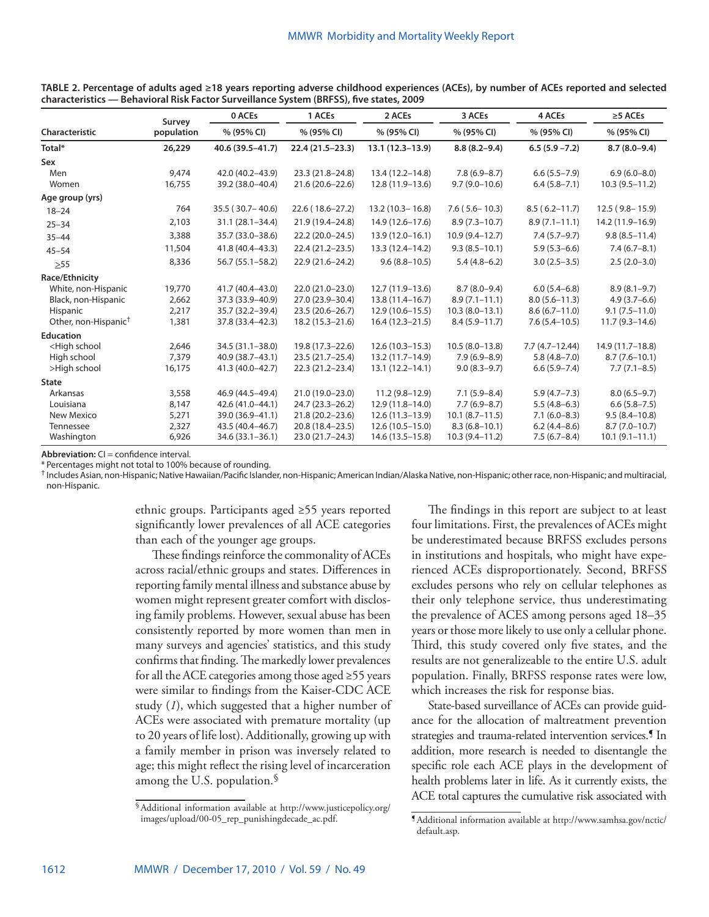|                                                                                                                                                                                                                                      | Survey     | 0 ACEs              | 1 ACEs              | 2 ACEs              | 3 ACEs              | 4 ACEs            | $\geq$ 5 ACEs      |
|--------------------------------------------------------------------------------------------------------------------------------------------------------------------------------------------------------------------------------------|------------|---------------------|---------------------|---------------------|---------------------|-------------------|--------------------|
| Characteristic                                                                                                                                                                                                                       | population | % (95% CI)          | % (95% CI)          | % (95% CI)          | % (95% CI)          | % (95% CI)        | % (95% CI)         |
| Total*                                                                                                                                                                                                                               | 26,229     | 40.6 (39.5-41.7)    | $22.4(21.5-23.3)$   | $13.1(12.3-13.9)$   | $8.8(8.2 - 9.4)$    | $6.5(5.9 - 7.2)$  | $8.7(8.0-9.4)$     |
| Sex                                                                                                                                                                                                                                  |            |                     |                     |                     |                     |                   |                    |
| Men                                                                                                                                                                                                                                  | 9,474      | 42.0 (40.2-43.9)    | 23.3 (21.8-24.8)    | 13.4 (12.2-14.8)    | $7.8(6.9 - 8.7)$    | $6.6(5.5 - 7.9)$  | $6.9(6.0 - 8.0)$   |
| Women                                                                                                                                                                                                                                | 16,755     | 39.2 (38.0-40.4)    | $21.6(20.6 - 22.6)$ | $12.8(11.9-13.6)$   | $9.7(9.0 - 10.6)$   | $6.4(5.8 - 7.1)$  | $10.3(9.5 - 11.2)$ |
| Age group (yrs)                                                                                                                                                                                                                      |            |                     |                     |                     |                     |                   |                    |
| $18 - 24$                                                                                                                                                                                                                            | 764        | $35.5(30.7 - 40.6)$ | $22.6(18.6-27.2)$   | $13.2(10.3 - 16.8)$ | $7.6(5.6 - 10.3)$   | $8.5(6.2 - 11.7)$ | $12.5(9.8 - 15.9)$ |
| $25 - 34$                                                                                                                                                                                                                            | 2,103      | $31.1(28.1 - 34.4)$ | 21.9 (19.4-24.8)    | 14.9 (12.6-17.6)    | $8.9(7.3-10.7)$     | $8.9(7.1 - 11.1)$ | 14.2 (11.9-16.9)   |
| $35 - 44$                                                                                                                                                                                                                            | 3,388      | 35.7 (33.0-38.6)    | $22.2(20.0-24.5)$   | $13.9(12.0 - 16.1)$ | $10.9(9.4 - 12.7)$  | $7.4(5.7-9.7)$    | $9.8(8.5 - 11.4)$  |
| $45 - 54$                                                                                                                                                                                                                            | 11,504     | 41.8 (40.4-43.3)    | $22.4(21.2-23.5)$   | 13.3 (12.4-14.2)    | $9.3(8.5 - 10.1)$   | $5.9(5.3 - 6.6)$  | $7.4(6.7-8.1)$     |
| $>55$                                                                                                                                                                                                                                | 8,336      | $56.7(55.1 - 58.2)$ | 22.9 (21.6-24.2)    | $9.6(8.8 - 10.5)$   | $5.4(4.8-6.2)$      | $3.0(2.5-3.5)$    | $2.5(2.0-3.0)$     |
| Race/Ethnicity                                                                                                                                                                                                                       |            |                     |                     |                     |                     |                   |                    |
| White, non-Hispanic                                                                                                                                                                                                                  | 19,770     | 41.7 (40.4-43.0)    | 22.0 (21.0-23.0)    | $12.7(11.9-13.6)$   | $8.7(8.0-9.4)$      | $6.0(5.4 - 6.8)$  | $8.9(8.1 - 9.7)$   |
| Black, non-Hispanic                                                                                                                                                                                                                  | 2,662      | 37.3 (33.9-40.9)    | 27.0 (23.9-30.4)    | $13.8(11.4 - 16.7)$ | $8.9(7.1 - 11.1)$   | $8.0(5.6 - 11.3)$ | $4.9(3.7-6.6)$     |
| Hispanic                                                                                                                                                                                                                             | 2,217      | 35.7 (32.2-39.4)    | $23.5(20.6 - 26.7)$ | $12.9(10.6 - 15.5)$ | $10.3(8.0-13.1)$    | $8.6(6.7-11.0)$   | $9.1(7.5 - 11.0)$  |
| Other, non-Hispanic <sup>†</sup>                                                                                                                                                                                                     | 1,381      | 37.8 (33.4-42.3)    | $18.2(15.3 - 21.6)$ | $16.4(12.3-21.5)$   | $8.4(5.9 - 11.7)$   | $7.6(5.4 - 10.5)$ | $11.7(9.3 - 14.6)$ |
| <b>Education</b>                                                                                                                                                                                                                     |            |                     |                     |                     |                     |                   |                    |
| <high school<="" td=""><td>2,646</td><td>34.5 (31.1-38.0)</td><td>19.8 (17.3-22.6)</td><td><math>12.6(10.3-15.3)</math></td><td><math>10.5(8.0-13.8)</math></td><td><math>7.7(4.7-12.44)</math></td><td>14.9 (11.7-18.8)</td></high> | 2,646      | 34.5 (31.1-38.0)    | 19.8 (17.3-22.6)    | $12.6(10.3-15.3)$   | $10.5(8.0-13.8)$    | $7.7(4.7-12.44)$  | 14.9 (11.7-18.8)   |
| High school                                                                                                                                                                                                                          | 7,379      | 40.9 (38.7-43.1)    | $23.5(21.7 - 25.4)$ | $13.2(11.7 - 14.9)$ | $7.9(6.9 - 8.9)$    | $5.8(4.8 - 7.0)$  | $8.7(7.6 - 10.1)$  |
| >High school                                                                                                                                                                                                                         | 16,175     | 41.3 (40.0-42.7)    | 22.3 (21.2-23.4)    | $13.1(12.2 - 14.1)$ | $9.0(8.3-9.7)$      | $6.6(5.9 - 7.4)$  | $7.7(7.1-8.5)$     |
| <b>State</b>                                                                                                                                                                                                                         |            |                     |                     |                     |                     |                   |                    |
| Arkansas                                                                                                                                                                                                                             | 3,558      | 46.9 (44.5-49.4)    | 21.0 (19.0-23.0)    | $11.2(9.8-12.9)$    | $7.1(5.9 - 8.4)$    | $5.9(4.7 - 7.3)$  | $8.0(6.5-9.7)$     |
| Louisiana                                                                                                                                                                                                                            | 8,147      | 42.6 (41.0-44.1)    | 24.7 (23.3-26.2)    | 12.9 (11.8-14.0)    | $7.7(6.9-8.7)$      | $5.5(4.8-6.3)$    | $6.6(5.8 - 7.5)$   |
| New Mexico                                                                                                                                                                                                                           | 5,271      | 39.0 (36.9-41.1)    | $21.8(20.2 - 23.6)$ | $12.6(11.3-13.9)$   | $10.1 (8.7 - 11.5)$ | $7.1(6.0-8.3)$    | $9.5(8.4 - 10.8)$  |
| Tennessee                                                                                                                                                                                                                            | 2,327      | 43.5 (40.4-46.7)    | 20.8 (18.4 - 23.5)  | $12.6(10.5-15.0)$   | $8.3(6.8 - 10.1)$   | $6.2(4.4 - 8.6)$  | $8.7(7.0-10.7)$    |
| Washington                                                                                                                                                                                                                           | 6,926      | 34.6 (33.1-36.1)    | 23.0 (21.7-24.3)    | $14.6(13.5 - 15.8)$ | $10.3(9.4 - 11.2)$  | $7.5(6.7 - 8.4)$  | $10.1(9.1 - 11.1)$ |

**TABLE 2. Percentage of adults aged ≥18 years reporting adverse childhood experiences (ACEs), by number of ACEs reported and selected characteristics — Behavioral Risk Factor Surveillance System (BRFSS), five states, 2009**

**Abbreviation:** CI = confidence interval.

\* Percentages might not total to 100% because of rounding.

† Includes Asian, non-Hispanic; Native Hawaiian/Pacific Islander, non-Hispanic; American Indian/Alaska Native, non-Hispanic; other race, non-Hispanic; and multiracial, non-Hispanic.

> ethnic groups. Participants aged ≥55 years reported significantly lower prevalences of all ACE categories than each of the younger age groups.

> These findings reinforce the commonality of ACEs across racial/ethnic groups and states. Differences in reporting family mental illness and substance abuse by women might represent greater comfort with disclosing family problems. However, sexual abuse has been consistently reported by more women than men in many surveys and agencies' statistics, and this study confirms that finding. The markedly lower prevalences for all the ACE categories among those aged ≥55 years were similar to findings from the Kaiser-CDC ACE study (*1*), which suggested that a higher number of ACEs were associated with premature mortality (up to 20 years of life lost). Additionally, growing up with a family member in prison was inversely related to age; this might reflect the rising level of incarceration among the U.S. population.§

The findings in this report are subject to at least four limitations. First, the prevalences of ACEs might be underestimated because BRFSS excludes persons in institutions and hospitals, who might have experienced ACEs disproportionately. Second, BRFSS excludes persons who rely on cellular telephones as their only telephone service, thus underestimating the prevalence of ACES among persons aged 18–35 years or those more likely to use only a cellular phone. Third, this study covered only five states, and the results are not generalizeable to the entire U.S. adult population. Finally, BRFSS response rates were low, which increases the risk for response bias.

State-based surveillance of ACEs can provide guidance for the allocation of maltreatment prevention strategies and trauma-related intervention services.<sup>¶</sup> In addition, more research is needed to disentangle the specific role each ACE plays in the development of health problems later in life. As it currently exists, the ACE total captures the cumulative risk associated with

<sup>§</sup>Additional information available at [http://www.justicepolicy.org/](http://www.justicepolicy.org/images/upload/00-05_rep_punishingdecade_ac.pdf)

<sup>&</sup>lt;sup>5</sup> Additional information available at [http://www.samhsa.gov/nctic/](http://www.samhsa.gov/nctic/default.asp) [default.asp](http://www.samhsa.gov/nctic/default.asp).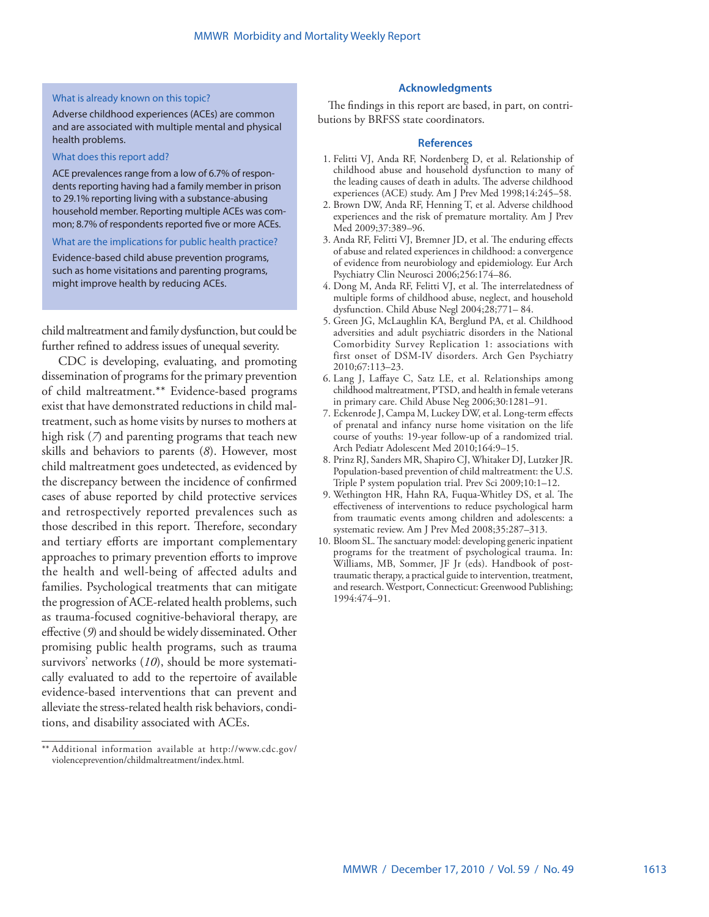### What is already known on this topic?

Adverse childhood experiences (ACEs) are common and are associated with multiple mental and physical health problems.

### What does this report add?

ACE prevalences range from a low of 6.7% of respondents reporting having had a family member in prison to 29.1% reporting living with a substance-abusing household member. Reporting multiple ACEs was common; 8.7% of respondents reported five or more ACEs.

What are the implications for public health practice?

Evidence-based child abuse prevention programs, such as home visitations and parenting programs, might improve health by reducing ACEs.

child maltreatment and family dysfunction, but could be further refined to address issues of unequal severity.

CDC is developing, evaluating, and promoting dissemination of programs for the primary prevention of child maltreatment.\*\* Evidence-based programs exist that have demonstrated reductions in child maltreatment, such as home visits by nurses to mothers at high risk (*7*) and parenting programs that teach new skills and behaviors to parents (*8*). However, most child maltreatment goes undetected, as evidenced by the discrepancy between the incidence of confirmed cases of abuse reported by child protective services and retrospectively reported prevalences such as those described in this report. Therefore, secondary and tertiary efforts are important complementary approaches to primary prevention efforts to improve the health and well-being of affected adults and families. Psychological treatments that can mitigate the progression of ACE-related health problems, such as trauma-focused cognitive-behavioral therapy, are effective (*9*) and should be widely disseminated. Other promising public health programs, such as trauma survivors' networks (*10*), should be more systematically evaluated to add to the repertoire of available evidence-based interventions that can prevent and alleviate the stress-related health risk behaviors, conditions, and disability associated with ACEs.

### **Acknowledgments**

The findings in this report are based, in part, on contributions by BRFSS state coordinators.

### **References**

- 1. Felitti VJ, Anda RF, Nordenberg D, et al. Relationship of childhood abuse and household dysfunction to many of the leading causes of death in adults. The adverse childhood experiences (ACE) study. Am J Prev Med 1998;14:245–58.
- 2. Brown DW, Anda RF, Henning T, et al. Adverse childhood experiences and the risk of premature mortality. Am J Prev Med 2009;37:389–96.
- 3. Anda RF, Felitti VJ, Bremner JD, et al. The enduring effects of abuse and related experiences in childhood: a convergence of evidence from neurobiology and epidemiology. Eur Arch Psychiatry Clin Neurosci 2006;256:174–86.
- 4. Dong M, Anda RF, Felitti VJ, et al. The interrelatedness of multiple forms of childhood abuse, neglect, and household dysfunction. Child Abuse Negl 2004;28;771– 84.
- 5. Green JG, McLaughlin KA, Berglund PA, et al. Childhood adversities and adult psychiatric disorders in the National Comorbidity Survey Replication 1: associations with first onset of DSM-IV disorders. Arch Gen Psychiatry 2010;67:113–23.
- 6. Lang J, Laffaye C, Satz LE, et al. Relationships among childhood maltreatment, PTSD, and health in female veterans in primary care. Child Abuse Neg 2006;30:1281–91.
- 7. Eckenrode J, Campa M, Luckey DW, et al. Long-term effects of prenatal and infancy nurse home visitation on the life course of youths: 19-year follow-up of a randomized trial. Arch Pediatr Adolescent Med 2010;164:9–15.
- 8. Prinz RJ, Sanders MR, Shapiro CJ, Whitaker DJ, Lutzker JR. Population-based prevention of child maltreatment: the U.S. Triple P system population trial. Prev Sci 2009;10:1–12.
- 9. Wethington HR, Hahn RA, Fuqua-Whitley DS, et al. The effectiveness of interventions to reduce psychological harm from traumatic events among children and adolescents: a systematic review. Am J Prev Med 2008;35:287–313.
- 10. Bloom SL. The sanctuary model: developing generic inpatient programs for the treatment of psychological trauma. In: Williams, MB, Sommer, JF Jr (eds). Handbook of posttraumatic therapy, a practical guide to intervention, treatment, and research. Westport, Connecticut: Greenwood Publishing; 1994:474–91.

<sup>\*\*</sup> Additional information available at [http://www.cdc.gov/](http://www.cdc.gov/violenceprevention/childmaltreatment/index.html) [violenceprevention/childmaltreatment/index.html.](http://www.cdc.gov/violenceprevention/childmaltreatment/index.html)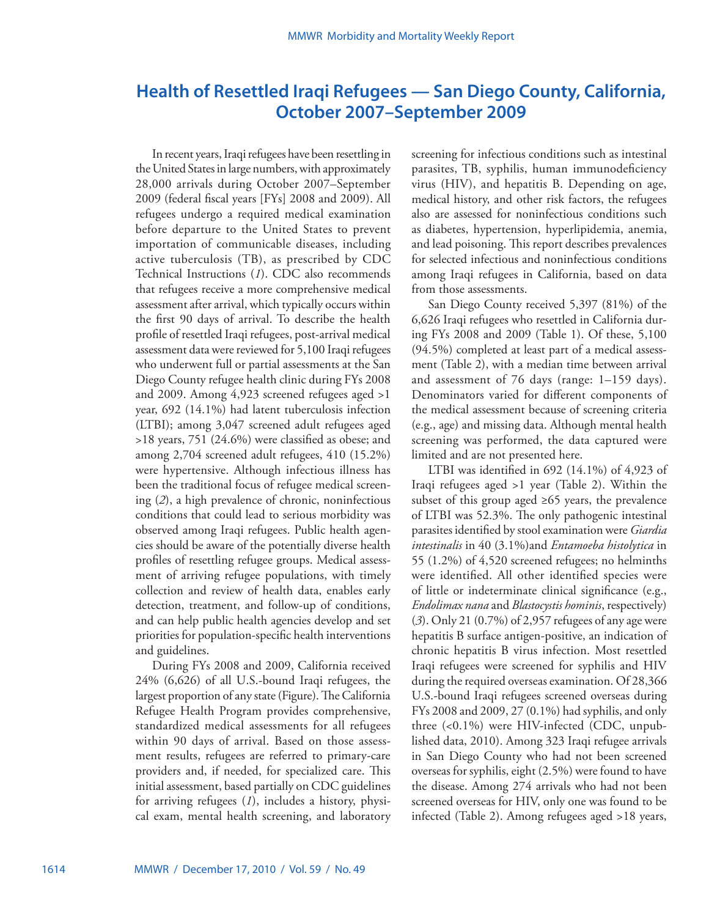# <span id="page-5-0"></span>**Health of Resettled Iraqi Refugees — San Diego County, California, October 2007–September 2009**

In recent years, Iraqi refugees have been resettling in the United States in large numbers, with approximately 28,000 arrivals during October 2007–September 2009 (federal fiscal years [FYs] 2008 and 2009). All refugees undergo a required medical examination before departure to the United States to prevent importation of communicable diseases, including active tuberculosis (TB), as prescribed by CDC Technical Instructions (*1*). CDC also recommends that refugees receive a more comprehensive medical assessment after arrival, which typically occurs within the first 90 days of arrival. To describe the health profile of resettled Iraqi refugees, post-arrival medical assessment data were reviewed for 5,100 Iraqi refugees who underwent full or partial assessments at the San Diego County refugee health clinic during FYs 2008 and 2009. Among 4,923 screened refugees aged >1 year, 692 (14.1%) had latent tuberculosis infection (LTBI); among 3,047 screened adult refugees aged >18 years, 751 (24.6%) were classified as obese; and among 2,704 screened adult refugees, 410 (15.2%) were hypertensive. Although infectious illness has been the traditional focus of refugee medical screening (*2*), a high prevalence of chronic, noninfectious conditions that could lead to serious morbidity was observed among Iraqi refugees. Public health agencies should be aware of the potentially diverse health profiles of resettling refugee groups. Medical assessment of arriving refugee populations, with timely collection and review of health data, enables early detection, treatment, and follow-up of conditions, and can help public health agencies develop and set priorities for population-specific health interventions and guidelines.

During FYs 2008 and 2009, California received 24% (6,626) of all U.S.-bound Iraqi refugees, the largest proportion of any state (Figure). The California Refugee Health Program provides comprehensive, standardized medical assessments for all refugees within 90 days of arrival. Based on those assessment results, refugees are referred to primary-care providers and, if needed, for specialized care. This initial assessment, based partially on CDC guidelines for arriving refugees (*1*), includes a history, physical exam, mental health screening, and laboratory screening for infectious conditions such as intestinal parasites, TB, syphilis, human immunodeficiency virus (HIV), and hepatitis B. Depending on age, medical history, and other risk factors, the refugees also are assessed for noninfectious conditions such as diabetes, hypertension, hyperlipidemia, anemia, and lead poisoning. This report describes prevalences for selected infectious and noninfectious conditions among Iraqi refugees in California, based on data from those assessments.

San Diego County received 5,397 (81%) of the 6,626 Iraqi refugees who resettled in California during FYs 2008 and 2009 (Table 1). Of these, 5,100 (94.5%) completed at least part of a medical assessment (Table 2), with a median time between arrival and assessment of 76 days (range: 1–159 days). Denominators varied for different components of the medical assessment because of screening criteria (e.g., age) and missing data. Although mental health screening was performed, the data captured were limited and are not presented here.

LTBI was identified in 692 (14.1%) of 4,923 of Iraqi refugees aged >1 year (Table 2). Within the subset of this group aged ≥65 years, the prevalence of LTBI was 52.3%. The only pathogenic intestinal parasites identified by stool examination were *Giardia intestinalis* in 40 (3.1%)and *Entamoeba histolytica* in 55 (1.2%) of 4,520 screened refugees; no helminths were identified. All other identified species were of little or indeterminate clinical significance (e.g., *Endolimax nana* and *Blastocystis hominis*, respectively) (*3*). Only 21 (0.7%) of 2,957 refugees of any age were hepatitis B surface antigen-positive, an indication of chronic hepatitis B virus infection. Most resettled Iraqi refugees were screened for syphilis and HIV during the required overseas examination. Of 28,366 U.S.-bound Iraqi refugees screened overseas during FYs 2008 and 2009, 27 (0.1%) had syphilis, and only three (<0.1%) were HIV-infected (CDC, unpublished data, 2010). Among 323 Iraqi refugee arrivals in San Diego County who had not been screened overseas for syphilis, eight (2.5%) were found to have the disease. Among 274 arrivals who had not been screened overseas for HIV, only one was found to be infected (Table 2). Among refugees aged >18 years,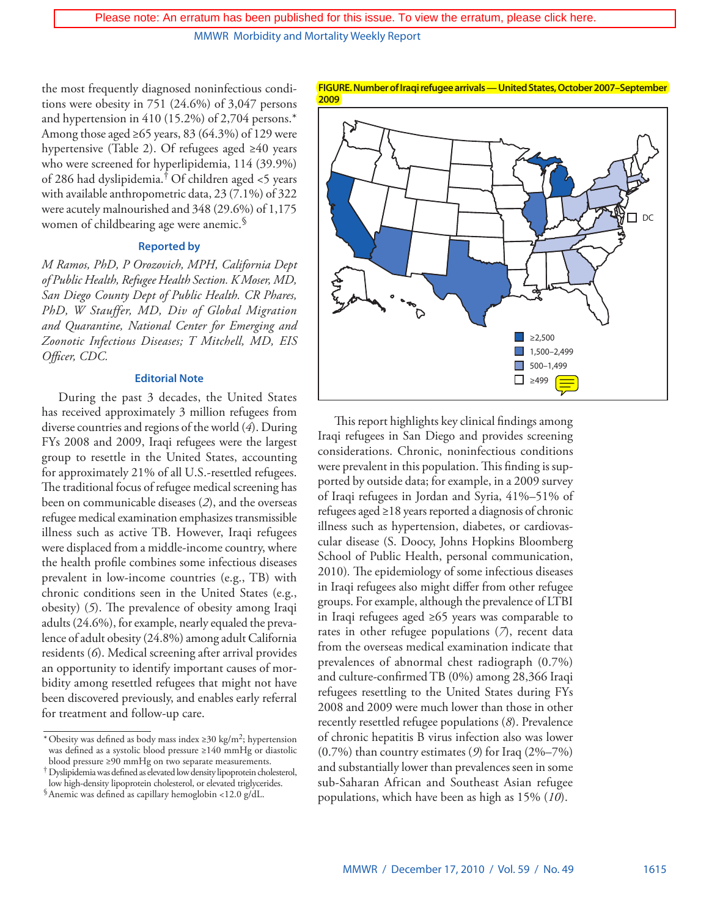the most frequently diagnosed noninfectious conditions were obesity in 751 (24.6%) of 3,047 persons and hypertension in 410 (15.2%) of 2,704 persons.\* Among those aged ≥65 years, 83 (64.3%) of 129 were hypertensive (Table 2). Of refugees aged ≥40 years who were screened for hyperlipidemia, 114 (39.9%) of 286 had dyslipidemia.† Of children aged <5 years with available anthropometric data, 23 (7.1%) of 322 were acutely malnourished and 348 (29.6%) of 1,175 women of childbearing age were anemic.<sup>§</sup>

## **Reported by**

*M Ramos, PhD, P Orozovich, MPH, California Dept of Public Health, Refugee Health Section. K Moser, MD, San Diego County Dept of Public Health. CR Phares, PhD, W Stauffer, MD, Div of Global Migration and Quarantine, National Center for Emerging and Zoonotic Infectious Diseases; T Mitchell, MD, EIS Officer, CDC.* 

### **Editorial Note**

During the past 3 decades, the United States has received approximately 3 million refugees from diverse countries and regions of the world (*4*). During FYs 2008 and 2009, Iraqi refugees were the largest group to resettle in the United States, accounting for approximately 21% of all U.S.-resettled refugees. The traditional focus of refugee medical screening has been on communicable diseases (*2*), and the overseas refugee medical examination emphasizes transmissible illness such as active TB. However, Iraqi refugees were displaced from a middle-income country, where the health profile combines some infectious diseases prevalent in low-income countries (e.g., TB) with chronic conditions seen in the United States (e.g., obesity) (*5*). The prevalence of obesity among Iraqi adults (24.6%), for example, nearly equaled the prevalence of adult obesity (24.8%) among adult California residents (*6*). Medical screening after arrival provides an opportunity to identify important causes of morbidity among resettled refugees that might not have been discovered previously, and enables early referral for treatment and follow-up care.



This report highlights key clinical findings among Iraqi refugees in San Diego and provides screening considerations. Chronic, noninfectious conditions were prevalent in this population. This finding is supported by outside data; for example, in a 2009 survey of Iraqi refugees in Jordan and Syria, 41%–51% of refugees aged ≥18 years reported a diagnosis of chronic illness such as hypertension, diabetes, or cardiovascular disease (S. Doocy, Johns Hopkins Bloomberg School of Public Health, personal communication, 2010)*.* The epidemiology of some infectious diseases in Iraqi refugees also might differ from other refugee groups. For example, although the prevalence of LTBI in Iraqi refugees aged ≥65 years was comparable to rates in other refugee populations (*7*), recent data from the overseas medical examination indicate that prevalences of abnormal chest radiograph (0.7%) and culture-confirmed TB (0%) among 28,366 Iraqi refugees resettling to the United States during FYs 2008 and 2009 were much lower than those in other recently resettled refugee populations (*8*). Prevalence of chronic hepatitis B virus infection also was lower (0.7%) than country estimates (*9*) for Iraq (2%–7%) and substantially lower than prevalences seen in some sub-Saharan African and Southeast Asian refugee populations, which have been as high as 15% (*10*).

<sup>\*</sup> Obesity was defined as body mass index ≥30 kg/m<sup>2</sup>; hypertension was defined as a systolic blood pressure ≥140 mmHg or diastolic blood pressure ≥90 mmHg on two separate measurements.

<sup>†</sup>Dyslipidemia was defined as elevated low density lipoprotein cholesterol, low high-density lipoprotein cholesterol, or elevated triglycerides.

<sup>§</sup>Anemic was defined as capillary hemoglobin <12.0 g/dL.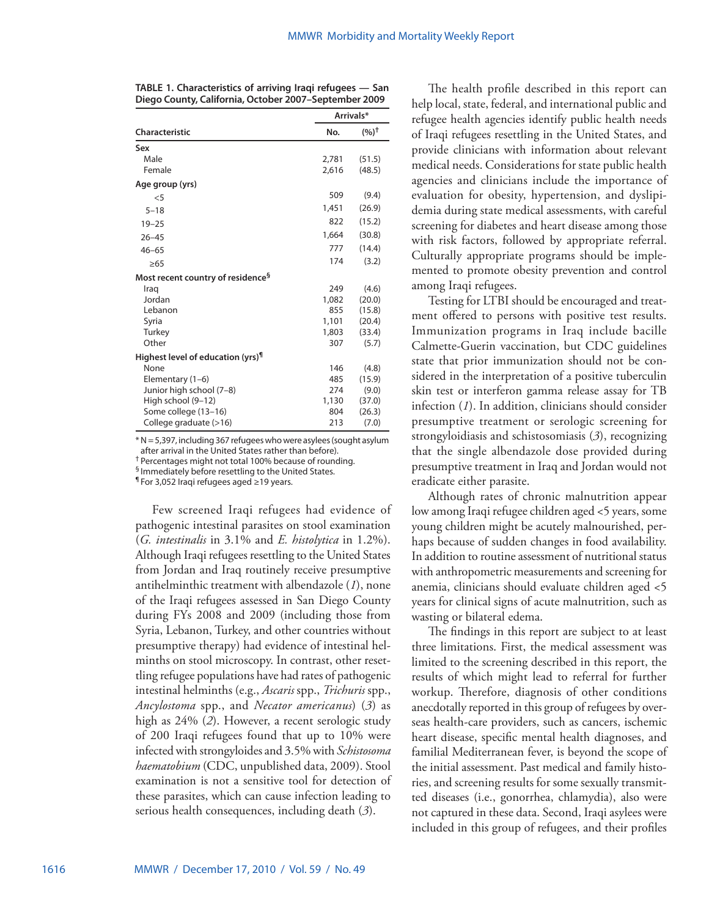|                                               |       | Arrivals*           |
|-----------------------------------------------|-------|---------------------|
| Characteristic                                | No.   | $(96)$ <sup>+</sup> |
| Sex                                           |       |                     |
| Male                                          | 2,781 | (51.5)              |
| Female                                        | 2,616 | (48.5)              |
| Age group (yrs)                               |       |                     |
| $<$ 5                                         | 509   | (9.4)               |
| $5 - 18$                                      | 1,451 | (26.9)              |
| $19 - 25$                                     | 822   | (15.2)              |
| $26 - 45$                                     | 1,664 | (30.8)              |
| $46 - 65$                                     | 777   | (14.4)              |
| $\geq 65$                                     | 174   | (3.2)               |
| Most recent country of residence <sup>§</sup> |       |                     |
| Iraq                                          | 249   | (4.6)               |
| Jordan                                        | 1,082 | (20.0)              |
| Lebanon                                       | 855   | (15.8)              |
| Syria                                         | 1,101 | (20.4)              |
| Turkey                                        | 1,803 | (33.4)              |
| Other                                         | 307   | (5.7)               |
| Highest level of education (yrs) <sup>1</sup> |       |                     |
| None                                          | 146   | (4.8)               |
| Elementary (1–6)                              | 485   | (15.9)              |
| Junior high school (7-8)                      | 274   | (9.0)               |
| High school (9-12)                            | 1,130 | (37.0)              |
| Some college (13-16)                          | 804   | (26.3)              |
| College graduate (>16)                        | 213   | (7.0)               |

| TABLE 1. Characteristics of arriving Iragi refugees – San |  |
|-----------------------------------------------------------|--|
| Diego County, California, October 2007–September 2009     |  |

\*N = 5,397, including 367 refugees who were asylees (sought asylum after arrival in the United States rather than before).

† Percentages might not total 100% because of rounding.

§ Immediately before resettling to the United States.

¶ For 3,052 Iraqi refugees aged ≥19 years.

Few screened Iraqi refugees had evidence of pathogenic intestinal parasites on stool examination (*G. intestinalis* in 3.1% and *E. histolytica* in 1.2%). Although Iraqi refugees resettling to the United States from Jordan and Iraq routinely receive presumptive antihelminthic treatment with albendazole (*1*), none of the Iraqi refugees assessed in San Diego County during FYs 2008 and 2009 (including those from Syria, Lebanon, Turkey, and other countries without presumptive therapy) had evidence of intestinal helminths on stool microscopy. In contrast, other resettling refugee populations have had rates of pathogenic intestinal helminths (e.g., *Ascaris* spp., *Trichuris* spp., *Ancylostoma* spp., and *Necator americanus*) (*3*) as high as 24% (*2*). However, a recent serologic study of 200 Iraqi refugees found that up to 10% were infected with strongyloides and 3.5% with *Schistosoma haematobium* (CDC, unpublished data, 2009). Stool examination is not a sensitive tool for detection of these parasites, which can cause infection leading to serious health consequences, including death (*3*).

The health profile described in this report can help local, state, federal, and international public and refugee health agencies identify public health needs of Iraqi refugees resettling in the United States, and provide clinicians with information about relevant medical needs. Considerations for state public health agencies and clinicians include the importance of evaluation for obesity, hypertension, and dyslipidemia during state medical assessments, with careful screening for diabetes and heart disease among those with risk factors, followed by appropriate referral. Culturally appropriate programs should be implemented to promote obesity prevention and control among Iraqi refugees.

Testing for LTBI should be encouraged and treatment offered to persons with positive test results. Immunization programs in Iraq include bacille Calmette-Guerin vaccination, but CDC guidelines state that prior immunization should not be considered in the interpretation of a positive tuberculin skin test or interferon gamma release assay for TB infection (*1*). In addition, clinicians should consider presumptive treatment or serologic screening for strongyloidiasis and schistosomiasis (*3*), recognizing that the single albendazole dose provided during presumptive treatment in Iraq and Jordan would not eradicate either parasite.

Although rates of chronic malnutrition appear low among Iraqi refugee children aged <5 years, some young children might be acutely malnourished, perhaps because of sudden changes in food availability. In addition to routine assessment of nutritional status with anthropometric measurements and screening for anemia, clinicians should evaluate children aged <5 years for clinical signs of acute malnutrition, such as wasting or bilateral edema.

The findings in this report are subject to at least three limitations. First, the medical assessment was limited to the screening described in this report, the results of which might lead to referral for further workup. Therefore, diagnosis of other conditions anecdotally reported in this group of refugees by overseas health-care providers, such as cancers, ischemic heart disease, specific mental health diagnoses, and familial Mediterranean fever, is beyond the scope of the initial assessment. Past medical and family histories, and screening results for some sexually transmitted diseases (i.e., gonorrhea, chlamydia), also were not captured in these data. Second, Iraqi asylees were included in this group of refugees, and their profiles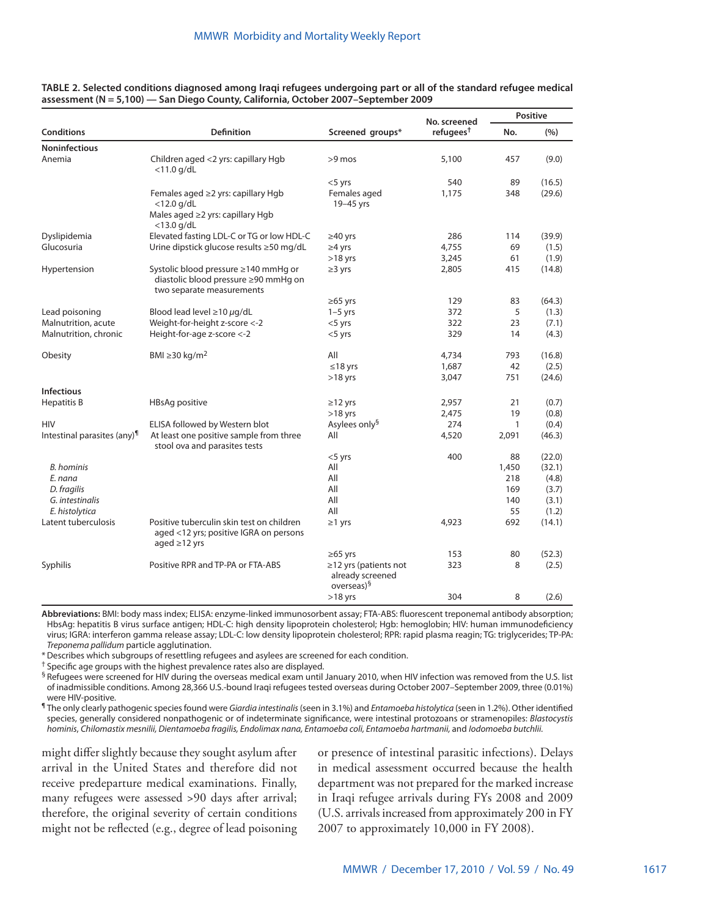|                                         |                                                                                                           |                                                                           | No. screened         | <b>Positive</b> |        |  |
|-----------------------------------------|-----------------------------------------------------------------------------------------------------------|---------------------------------------------------------------------------|----------------------|-----------------|--------|--|
| <b>Conditions</b>                       | <b>Definition</b>                                                                                         | Screened groups*                                                          | $refuqees^{\dagger}$ | No.             | (%)    |  |
| <b>Noninfectious</b>                    |                                                                                                           |                                                                           |                      |                 |        |  |
| Anemia                                  | Children aged <2 yrs: capillary Hgb<br>$<$ 11.0 g/dL                                                      | $>9$ mos                                                                  | 5,100                | 457             | (9.0)  |  |
|                                         |                                                                                                           | $<$ 5 yrs                                                                 | 540                  | 89              | (16.5) |  |
|                                         | Females aged ≥2 yrs: capillary Hgb<br>$<$ 12.0 g/dL<br>Males aged ≥2 yrs: capillary Hgb                   | Females aged<br>19-45 yrs                                                 | 1,175                | 348             | (29.6) |  |
|                                         | $<$ 13.0 g/dL                                                                                             |                                                                           |                      |                 |        |  |
| Dyslipidemia                            | Elevated fasting LDL-C or TG or low HDL-C                                                                 | $\geq$ 40 yrs                                                             | 286                  | 114             | (39.9) |  |
| Glucosuria                              | Urine dipstick glucose results ≥50 mg/dL                                                                  | $\geq 4$ yrs                                                              | 4,755                | 69              | (1.5)  |  |
|                                         |                                                                                                           | $>18$ yrs                                                                 | 3,245                | 61              | (1.9)  |  |
| Hypertension                            | Systolic blood pressure ≥140 mmHg or<br>diastolic blood pressure ≥90 mmHq on<br>two separate measurements | $\geq$ 3 yrs                                                              | 2,805                | 415             | (14.8) |  |
|                                         |                                                                                                           | $\geq 65$ yrs                                                             | 129                  | 83              | (64.3) |  |
| Lead poisoning                          | Blood lead level $\geq$ 10 $\mu$ g/dL                                                                     | $1-5$ yrs                                                                 | 372                  | 5               | (1.3)  |  |
| Malnutrition, acute                     | Weight-for-height z-score <- 2                                                                            | $<$ 5 yrs                                                                 | 322                  | 23              | (7.1)  |  |
| Malnutrition, chronic                   | Height-for-age z-score <- 2                                                                               | $<$ 5 yrs                                                                 | 329                  | 14              | (4.3)  |  |
| Obesity                                 | BMI $\geq$ 30 kg/m <sup>2</sup>                                                                           | All                                                                       | 4,734                | 793             | (16.8) |  |
|                                         |                                                                                                           | $\leq$ 18 yrs                                                             | 1,687                | 42              | (2.5)  |  |
|                                         |                                                                                                           | $>18$ yrs                                                                 | 3,047                | 751             | (24.6) |  |
| <b>Infectious</b>                       |                                                                                                           |                                                                           |                      |                 |        |  |
| <b>Hepatitis B</b>                      | HBsAg positive                                                                                            | $\geq$ 12 yrs                                                             | 2,957                | 21              | (0.7)  |  |
|                                         |                                                                                                           | $>18$ yrs                                                                 | 2,475                | 19              | (0.8)  |  |
| <b>HIV</b>                              | ELISA followed by Western blot                                                                            | Asylees only <sup>§</sup>                                                 | 274                  | $\mathbf{1}$    | (0.4)  |  |
| Intestinal parasites (any) <sup>1</sup> | At least one positive sample from three<br>stool ova and parasites tests                                  | All                                                                       | 4,520                | 2,091           | (46.3) |  |
|                                         |                                                                                                           | $<$ 5 yrs                                                                 | 400                  | 88              | (22.0) |  |
| <b>B.</b> hominis                       |                                                                                                           | All                                                                       |                      | 1,450           | (32.1) |  |
| E. nana                                 |                                                                                                           | All                                                                       |                      | 218             | (4.8)  |  |
| D. fragilis                             |                                                                                                           | All                                                                       |                      | 169             | (3.7)  |  |
| G. intestinalis                         |                                                                                                           | All                                                                       |                      | 140             | (3.1)  |  |
| E. histolytica                          |                                                                                                           | All                                                                       |                      | 55              | (1.2)  |  |
| Latent tuberculosis                     | Positive tuberculin skin test on children<br>aged <12 yrs; positive IGRA on persons<br>aged $\geq$ 12 yrs | $\geq$ 1 yrs                                                              | 4,923                | 692             | (14.1) |  |
|                                         |                                                                                                           | $\geq 65$ yrs                                                             | 153                  | 80              | (52.3) |  |
| Syphilis                                | Positive RPR and TP-PA or FTA-ABS                                                                         | $\geq$ 12 yrs (patients not<br>already screened<br>overseas) <sup>§</sup> | 323                  | 8               | (2.5)  |  |
|                                         |                                                                                                           | $>18$ yrs                                                                 | 304                  | 8               | (2.6)  |  |

### **TABLE 2. Selected conditions diagnosed among Iraqi refugees undergoing part or all of the standard refugee medical assessment (N = 5,100) — San Diego County, California, October 2007–September 2009**

**Abbreviations:** BMI: body mass index; ELISA: enzyme-linked immunosorbent assay; FTA-ABS: fluorescent treponemal antibody absorption; HbsAg: hepatitis B virus surface antigen; HDL-C: high density lipoprotein cholesterol; Hgb: hemoglobin; HIV: human immunodeficiency virus; IGRA: interferon gamma release assay; LDL-C: low density lipoprotein cholesterol; RPR: rapid plasma reagin; TG: triglycerides; TP-PA: *Treponema pallidum* particle agglutination.

\*Describes which subgroups of resettling refugees and asylees are screened for each condition.

<sup>†</sup> Specific age groups with the highest prevalence rates also are displayed.

§ Refugees were screened for HIV during the overseas medical exam until January 2010, when HIV infection was removed from the U.S. list of inadmissible conditions. Among 28,366 U.S.-bound Iraqi refugees tested overseas during October 2007–September 2009, three (0.01%) were HIV-positive.

¶ The only clearly pathogenic species found were *Giardia intestinalis* (seen in 3.1%) and *Entamoeba histolytica* (seen in 1.2%). Other identified species, generally considered nonpathogenic or of indeterminate significance, were intestinal protozoans or stramenopiles: *Blastocystis hominis*, *Chilomastix mesnilii, Dientamoeba fragilis, Endolimax nana, Entamoeba coli, Entamoeba hartmanii,* and *Iodomoeba butchlii.*

might differ slightly because they sought asylum after arrival in the United States and therefore did not receive predeparture medical examinations. Finally, many refugees were assessed >90 days after arrival; therefore, the original severity of certain conditions might not be reflected (e.g., degree of lead poisoning

or presence of intestinal parasitic infections). Delays in medical assessment occurred because the health department was not prepared for the marked increase in Iraqi refugee arrivals during FYs 2008 and 2009 (U.S. arrivals increased from approximately 200 in FY 2007 to approximately 10,000 in FY 2008).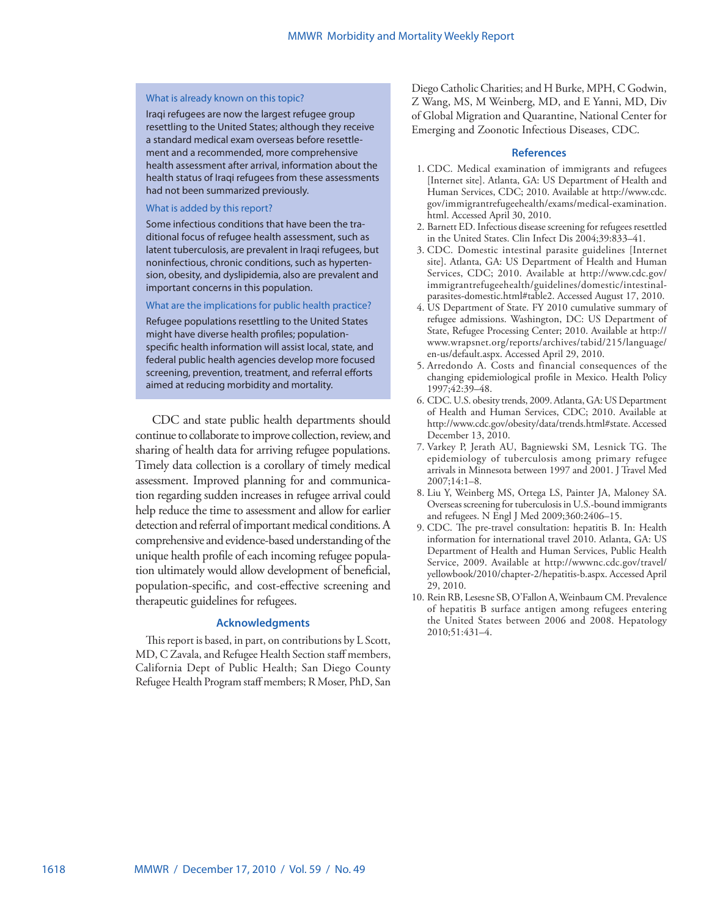### What is already known on this topic?

Iraqi refugees are now the largest refugee group resettling to the United States; although they receive a standard medical exam overseas before resettlement and a recommended, more comprehensive health assessment after arrival, information about the health status of Iraqi refugees from these assessments had not been summarized previously.

### What is added by this report?

Some infectious conditions that have been the traditional focus of refugee health assessment, such as latent tuberculosis, are prevalent in Iraqi refugees, but noninfectious, chronic conditions, such as hypertension, obesity, and dyslipidemia, also are prevalent and important concerns in this population.

### What are the implications for public health practice?

Refugee populations resettling to the United States might have diverse health profiles; populationspecific health information will assist local, state, and federal public health agencies develop more focused screening, prevention, treatment, and referral efforts aimed at reducing morbidity and mortality.

CDC and state public health departments should continue to collaborate to improve collection, review, and sharing of health data for arriving refugee populations. Timely data collection is a corollary of timely medical assessment. Improved planning for and communication regarding sudden increases in refugee arrival could help reduce the time to assessment and allow for earlier detection and referral of important medical conditions. A comprehensive and evidence-based understanding of the unique health profile of each incoming refugee population ultimately would allow development of beneficial, population-specific, and cost-effective screening and therapeutic guidelines for refugees.

### **Acknowledgments**

This report is based, in part, on contributions by L Scott, MD, C Zavala, and Refugee Health Section staff members, California Dept of Public Health; San Diego County Refugee Health Program staff members; R Moser, PhD, San Diego Catholic Charities; and H Burke, MPH, C Godwin, Z Wang, MS, M Weinberg, MD, and E Yanni, MD, Div of Global Migration and Quarantine, National Center for Emerging and Zoonotic Infectious Diseases, CDC.

#### **References**

- 1. CDC. Medical examination of immigrants and refugees [Internet site]. Atlanta, GA: US Department of Health and Human Services, CDC; 2010. Available at [http://www.cdc.](http://www.cdc.gov/immigrantrefugeehealth/exams/medical-examination.html) [gov/immigrantrefugeehealth/exams/medical-examination.](http://www.cdc.gov/immigrantrefugeehealth/exams/medical-examination.html) [html.](http://www.cdc.gov/immigrantrefugeehealth/exams/medical-examination.html) Accessed April 30, 2010.
- 2. Barnett ED. Infectious disease screening for refugees resettled in the United States. Clin Infect Dis 2004;39:833–41.
- 3. CDC. Domestic intestinal parasite guidelines [Internet site]. Atlanta, GA: US Department of Health and Human Services, CDC; 2010. Available at [http://www.cdc.gov/](http://www.cdc.gov/immigrantrefugeehealth/guidelines/domestic/intestinal-parasites-domestic.html#table2) [immigrantrefugeehealth/guidelines/domestic/intestinal](http://www.cdc.gov/immigrantrefugeehealth/guidelines/domestic/intestinal-parasites-domestic.html#table2)[parasites-domestic.html#table2.](http://www.cdc.gov/immigrantrefugeehealth/guidelines/domestic/intestinal-parasites-domestic.html#table2) Accessed August 17, 2010.
- 4. US Department of State. FY 2010 cumulative summary of refugee admissions. Washington, DC: US Department of State, Refugee Processing Center; 2010. Available at [http://](http://www.wrapsnet.org/Reports/Archives/tabid/215/language/en-US/Default.aspx) [www.wrapsnet.org/reports/archives/tabid/215/language/](http://www.wrapsnet.org/Reports/Archives/tabid/215/language/en-US/Default.aspx) [en-us/default.aspx.](http://www.wrapsnet.org/Reports/Archives/tabid/215/language/en-US/Default.aspx) Accessed April 29, 2010.
- 5. Arredondo A. Costs and financial consequences of the changing epidemiological profile in Mexico. Health Policy 1997;42:39–48.
- 6. CDC. U.S. obesity trends, 2009. Atlanta, GA: US Department of Health and Human Services, CDC; 2010. Available at <http://www.cdc.gov/obesity/data/trends.html#state>. Accessed December 13, 2010.
- 7. Varkey P, Jerath AU, Bagniewski SM, Lesnick TG. The epidemiology of tuberculosis among primary refugee arrivals in Minnesota between 1997 and 2001. J Travel Med 2007;14:1–8.
- 8. Liu Y, Weinberg MS, Ortega LS, Painter JA, Maloney SA. Overseas screening for tuberculosis in U.S.-bound immigrants and refugees. N Engl J Med 2009;360:2406–15.
- 9. CDC. The pre-travel consultation: hepatitis B. In: Health information for international travel 2010. Atlanta, GA: US Department of Health and Human Services, Public Health Service, 2009. Available at [http://wwwnc.cdc.gov/travel/](http://wwwnc.cdc.gov/travel/yellowbook/2010/chapter-2/hepatitis-b.aspx) [yellowbook/2010/chapter-2/hepatitis-b.aspx.](http://wwwnc.cdc.gov/travel/yellowbook/2010/chapter-2/hepatitis-b.aspx) Accessed April 29, 2010.
- 10. Rein RB, Lesesne SB, O'Fallon A, Weinbaum CM. Prevalence of hepatitis B surface antigen among refugees entering the United States between 2006 and 2008. Hepatology 2010;51:431–4.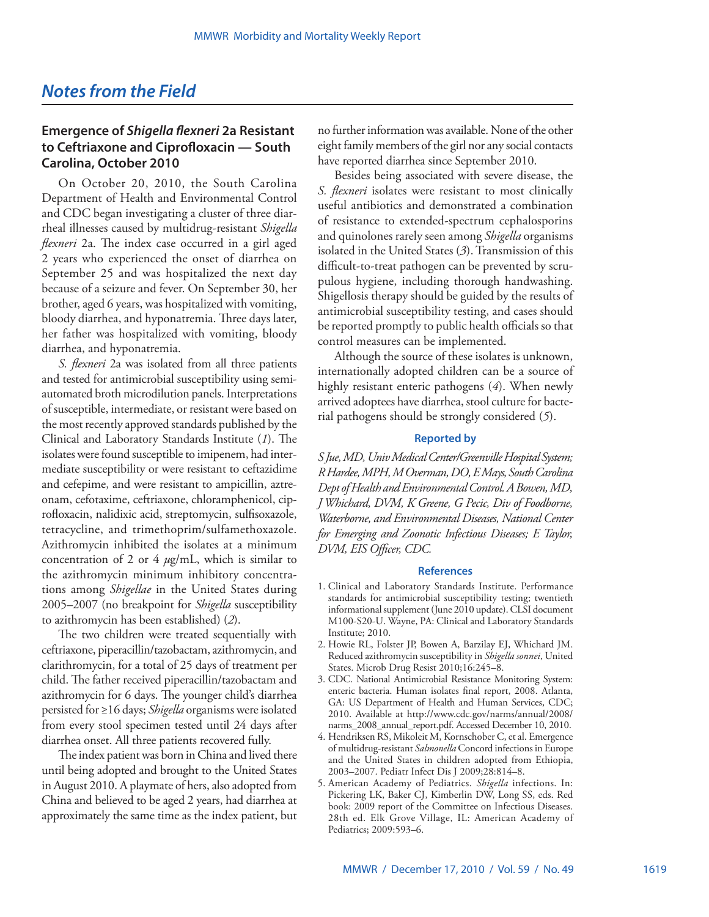# <span id="page-10-0"></span>*Notes from the Field*

# **Emergence of** *Shigella flexneri* **2a Resistant to Ceftriaxone and Ciprofloxacin — South Carolina, October 2010**

On October 20, 2010, the South Carolina Department of Health and Environmental Control and CDC began investigating a cluster of three diarrheal illnesses caused by multidrug-resistant *Shigella flexneri* 2a. The index case occurred in a girl aged 2 years who experienced the onset of diarrhea on September 25 and was hospitalized the next day because of a seizure and fever. On September 30, her brother, aged 6 years, was hospitalized with vomiting, bloody diarrhea, and hyponatremia. Three days later, her father was hospitalized with vomiting, bloody diarrhea, and hyponatremia.

*S. flexneri* 2a was isolated from all three patients and tested for antimicrobial susceptibility using semiautomated broth microdilution panels. Interpretations of susceptible, intermediate, or resistant were based on the most recently approved standards published by the Clinical and Laboratory Standards Institute (*1*). The isolates were found susceptible to imipenem, had intermediate susceptibility or were resistant to ceftazidime and cefepime, and were resistant to ampicillin, aztreonam, cefotaxime, ceftriaxone, chloramphenicol, ciprofloxacin, nalidixic acid, streptomycin, sulfisoxazole, tetracycline, and trimethoprim/sulfamethoxazole. Azithromycin inhibited the isolates at a minimum concentration of 2 or 4 *µ*g/mL, which is similar to the azithromycin minimum inhibitory concentrations among *Shigellae* in the United States during 2005–2007 (no breakpoint for *Shigella* susceptibility to azithromycin has been established) (*2*).

The two children were treated sequentially with ceftriaxone, piperacillin/tazobactam, azithromycin, and clarithromycin, for a total of 25 days of treatment per child. The father received piperacillin/tazobactam and azithromycin for 6 days. The younger child's diarrhea persisted for ≥16 days; *Shigella* organisms were isolated from every stool specimen tested until 24 days after diarrhea onset. All three patients recovered fully.

The index patient was born in China and lived there until being adopted and brought to the United States in August 2010. A playmate of hers, also adopted from China and believed to be aged 2 years, had diarrhea at approximately the same time as the index patient, but

no further information was available. None of the other eight family members of the girl nor any social contacts have reported diarrhea since September 2010.

Besides being associated with severe disease, the *S. flexneri* isolates were resistant to most clinically useful antibiotics and demonstrated a combination of resistance to extended-spectrum cephalosporins and quinolones rarely seen among *Shigella* organisms isolated in the United States (*3*). Transmission of this difficult-to-treat pathogen can be prevented by scrupulous hygiene, including thorough handwashing. Shigellosis therapy should be guided by the results of antimicrobial susceptibility testing, and cases should be reported promptly to public health officials so that control measures can be implemented.

Although the source of these isolates is unknown, internationally adopted children can be a source of highly resistant enteric pathogens (*4*). When newly arrived adoptees have diarrhea, stool culture for bacterial pathogens should be strongly considered (*5*).

### **Reported by**

*S Jue, MD, Univ Medical Center/Greenville Hospital System; R Hardee, MPH, M Overman, DO, E Mays, South Carolina Dept of Health and Environmental Control. A Bowen, MD, J Whichard, DVM, K Greene, G Pecic, Div of Foodborne, Waterborne, and Environmental Diseases, National Center for Emerging and Zoonotic Infectious Diseases; E Taylor, DVM, EIS Officer, CDC.*

#### **References**

- 1. Clinical and Laboratory Standards Institute. Performance standards for antimicrobial susceptibility testing; twentieth informational supplement (June 2010 update). CLSI document M100-S20-U. Wayne, PA: Clinical and Laboratory Standards Institute; 2010.
- 2. Howie RL, Folster JP, Bowen A, Barzilay EJ, Whichard JM. Reduced azithromycin susceptibility in *Shigella sonnei*, United States. Microb Drug Resist 2010;16:245–8.
- 3. CDC. National Antimicrobial Resistance Monitoring System: enteric bacteria. Human isolates final report, 2008. Atlanta, GA: US Department of Health and Human Services, CDC; 2010. Available at [http://www.cdc.gov/narms/annual/2008/](http://www.cdc.gov/narms/annual/2008/narms_2008_annual_report.pdf) [narms\\_2008\\_annual\\_report.pdf.](http://www.cdc.gov/narms/annual/2008/narms_2008_annual_report.pdf) Accessed December 10, 2010.
- 4. Hendriksen RS, Mikoleit M, Kornschober C, et al. Emergence of multidrug-resistant *Salmonella* Concord infections in Europe and the United States in children adopted from Ethiopia, 2003–2007. Pediatr Infect Dis J 2009;28:814–8.
- 5. American Academy of Pediatrics. *Shigella* infections. In: Pickering LK, Baker CJ, Kimberlin DW, Long SS, eds. Red book: 2009 report of the Committee on Infectious Diseases. 28th ed. Elk Grove Village, IL: American Academy of Pediatrics; 2009:593–6.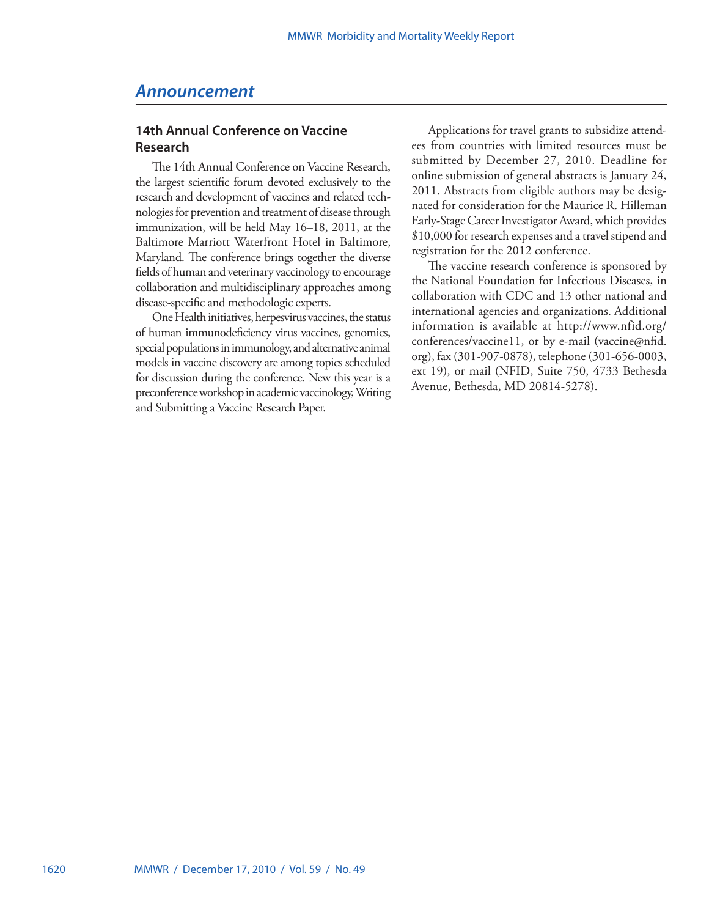# <span id="page-11-0"></span>*Announcement*

## **14th Annual Conference on Vaccine Research**

The 14th Annual Conference on Vaccine Research, the largest scientific forum devoted exclusively to the research and development of vaccines and related technologies for prevention and treatment of disease through immunization, will be held May 16–18, 2011, at the Baltimore Marriott Waterfront Hotel in Baltimore, Maryland. The conference brings together the diverse fields of human and veterinary vaccinology to encourage collaboration and multidisciplinary approaches among disease-specific and methodologic experts.

One Health initiatives, herpesvirus vaccines, the status of human immunodeficiency virus vaccines, genomics, special populations in immunology, and alternative animal models in vaccine discovery are among topics scheduled for discussion during the conference. New this year is a preconference workshop in academic vaccinology, Writing and Submitting a Vaccine Research Paper.

Applications for travel grants to subsidize attendees from countries with limited resources must be submitted by December 27, 2010. Deadline for online submission of general abstracts is January 24, 2011. Abstracts from eligible authors may be designated for consideration for the Maurice R. Hilleman Early-Stage Career Investigator Award, which provides \$10,000 for research expenses and a travel stipend and registration for the 2012 conference.

The vaccine research conference is sponsored by the National Foundation for Infectious Diseases, in collaboration with CDC and 13 other national and international agencies and organizations. Additional information is available at [http://www.nfid.org/](http://www.nfid.org/conferences/vaccine11) [conferences/vaccine11](http://www.nfid.org/conferences/vaccine11), or by e-mail ([vaccine@nfid.](mailto:vaccine@nfid.org) [org](mailto:vaccine@nfid.org)), fax (301-907-0878), telephone (301-656-0003, ext 19), or mail (NFID, Suite 750, 4733 Bethesda Avenue, Bethesda, MD 20814-5278).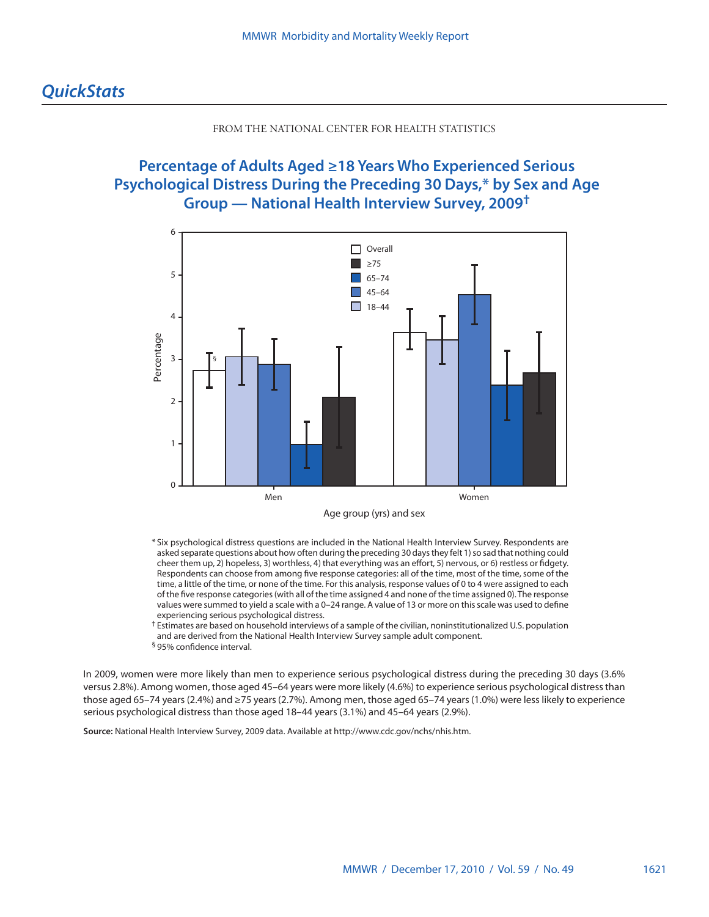## from the national center for health statistics

# <span id="page-12-0"></span>**Percentage of Adults Aged ≥18 Years Who Experienced Serious Psychological Distress During the Preceding 30 Days,\* by Sex and Age Group — National Health Interview Survey, 2009†**



- \* Six psychological distress questions are included in the National Health Interview Survey. Respondents are asked separate questions about how often during the preceding 30 days they felt 1) so sad that nothing could cheer them up, 2) hopeless, 3) worthless, 4) that everything was an effort, 5) nervous, or 6) restless or fidgety. Respondents can choose from among five response categories: all of the time, most of the time, some of the time, a little of the time, or none of the time. For this analysis, response values of 0 to 4 were assigned to each of the five response categories (with all of the time assigned 4 and none of the time assigned 0). The response values were summed to yield a scale with a 0–24 range. A value of 13 or more on this scale was used to define experiencing serious psychological distress.
- † Estimates are based on household interviews of a sample of the civilian, noninstitutionalized U.S. population and are derived from the National Health Interview Survey sample adult component.
- § 95% confidence interval.

In 2009, women were more likely than men to experience serious psychological distress during the preceding 30 days (3.6% versus 2.8%). Among women, those aged 45–64 years were more likely (4.6%) to experience serious psychological distress than those aged 65–74 years (2.4%) and ≥75 years (2.7%). Among men, those aged 65–74 years (1.0%) were less likely to experience serious psychological distress than those aged 18–44 years (3.1%) and 45–64 years (2.9%).

**Source:** National Health Interview Survey, 2009 data. Available at<http://www.cdc.gov/nchs/nhis.htm>.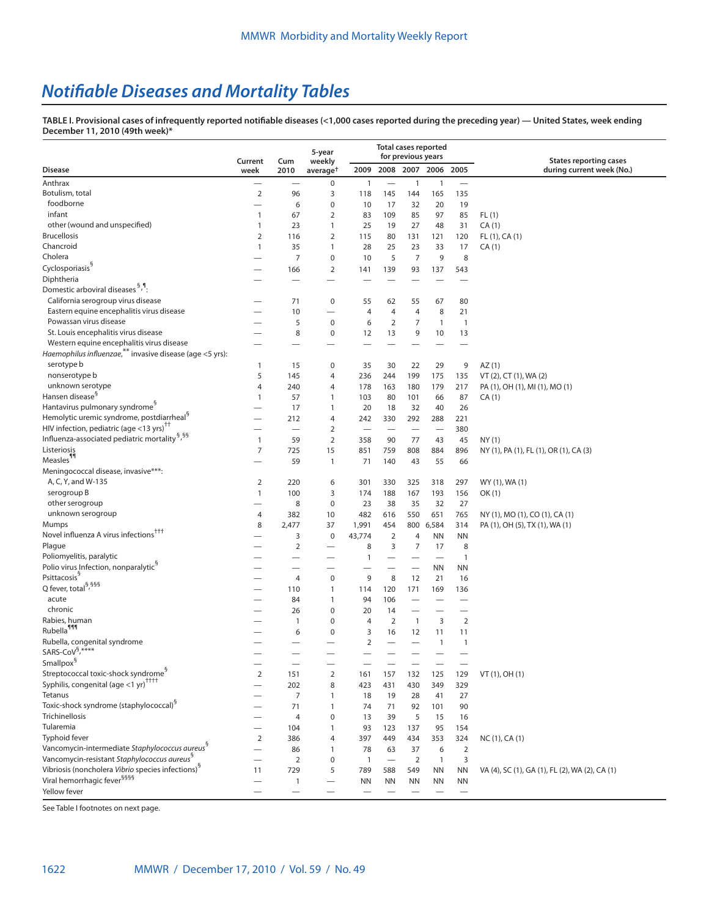# *Notifiable Diseases and Mortality Tables*

**TABLE I. Provisional cases of infrequently reported notifiable diseases (<1,000 cases reported during the preceding year) — United States, week ending December 11, 2010 (49th week)\***

|                                                               |                          |                          | 5-year<br>weekly     |                |                          | for previous years       | <b>Total cases reported</b> |                | <b>States reporting cases</b>                  |  |  |
|---------------------------------------------------------------|--------------------------|--------------------------|----------------------|----------------|--------------------------|--------------------------|-----------------------------|----------------|------------------------------------------------|--|--|
| <b>Disease</b>                                                | Current<br>week          | Cum<br>2010              | average <sup>†</sup> | 2009           |                          |                          | 2008 2007 2006 2005         |                | during current week (No.)                      |  |  |
| Anthrax                                                       |                          | $\overline{\phantom{0}}$ | $\boldsymbol{0}$     | $\mathbf{1}$   | $\overline{\phantom{0}}$ | $\mathbf{1}$             | $\mathbf{1}$                |                |                                                |  |  |
| Botulism, total                                               | $\overline{2}$           | 96                       | 3                    | 118            | 145                      | 144                      | 165                         | 135            |                                                |  |  |
| foodborne                                                     |                          | 6                        | $\boldsymbol{0}$     | 10             | 17                       | 32                       | 20                          | 19             |                                                |  |  |
| infant                                                        | $\mathbf{1}$             | 67                       | $\overline{2}$       | 83             | 109                      | 85                       | 97                          | 85             | FL(1)                                          |  |  |
| other (wound and unspecified)                                 | $\mathbf{1}$             | 23                       | 1                    | 25             | 19                       | 27                       | 48                          | 31             | CA(1)                                          |  |  |
| <b>Brucellosis</b>                                            | $\overline{2}$           | 116                      | $\overline{2}$       | 115            | 80                       | 131                      | 121                         | 120            | FL (1), CA (1)                                 |  |  |
| Chancroid                                                     | $\mathbf{1}$             | 35                       | 1                    | 28             | 25                       | 23                       | 33                          | 17             | CA(1)                                          |  |  |
| Cholera                                                       |                          | $\overline{7}$           | 0                    | 10             | 5                        | $\overline{7}$           | 9                           | 8              |                                                |  |  |
| Cyclosporiasis <sup>§</sup>                                   | -                        | 166                      | 2                    | 141            | 139                      | 93                       | 137                         | 543            |                                                |  |  |
| Diphtheria                                                    |                          |                          |                      |                |                          |                          |                             |                |                                                |  |  |
| Domestic arboviral diseases <sup>§</sup> , <sup>1</sup> :     |                          |                          |                      |                |                          |                          |                             |                |                                                |  |  |
| California serogroup virus disease                            |                          | 71                       | 0                    | 55             | 62                       | 55                       | 67                          | 80             |                                                |  |  |
| Eastern equine encephalitis virus disease                     |                          | 10                       |                      | 4              | 4                        | $\overline{4}$           | 8                           | 21             |                                                |  |  |
| Powassan virus disease                                        | -                        | 5                        | $\mathbf 0$          | 6              | 2                        | 7                        | 1                           | $\overline{1}$ |                                                |  |  |
| St. Louis encephalitis virus disease                          |                          | 8                        | $\pmb{0}$            | 12             | 13                       | 9                        | 10                          | 13             |                                                |  |  |
| Western equine encephalitis virus disease                     |                          |                          |                      |                |                          |                          |                             |                |                                                |  |  |
| Haemophilus influenzae,** invasive disease (age <5 yrs):      |                          |                          |                      |                |                          |                          |                             |                |                                                |  |  |
| serotype b                                                    | $\mathbf{1}$             | 15                       | 0                    | 35             | 30                       | 22                       | 29                          | 9              | AZ(1)                                          |  |  |
| nonserotype b                                                 | 5                        | 145                      | 4                    | 236            | 244                      | 199                      | 175                         | 135            | VT (2), CT (1), WA (2)                         |  |  |
| unknown serotype                                              | $\overline{4}$           | 240                      | 4                    | 178            | 163                      | 180                      | 179                         | 217            | PA (1), OH (1), MI (1), MO (1)                 |  |  |
| Hansen disease <sup>9</sup>                                   | $\mathbf{1}$             | 57                       | 1                    | 103            | 80                       | 101                      | 66                          | 87             | CA(1)                                          |  |  |
| Hantavirus pulmonary syndrome <sup>8</sup>                    | -                        | 17                       | 1                    | 20             | 18                       | 32                       | 40                          | 26             |                                                |  |  |
| Hemolytic uremic syndrome, postdiarrheal <sup>9</sup>         |                          | 212                      | 4                    | 242            | 330                      | 292                      | 288                         | 221            |                                                |  |  |
| HIV infection, pediatric (age <13 yrs) <sup>TT</sup>          | -                        |                          | 2                    |                | $\overline{\phantom{0}}$ |                          | $\overline{\phantom{0}}$    | 380            |                                                |  |  |
| Influenza-associated pediatric mortality <sup>§,§§</sup>      | $\mathbf{1}$             | 59                       | $\overline{2}$       | 358            | 90                       | 77                       | 43                          | 45             | NY(1)                                          |  |  |
| Listeriosis                                                   | 7                        | 725                      | 15                   | 851            | 759                      | 808                      | 884                         | 896            | NY (1), PA (1), FL (1), OR (1), CA (3)         |  |  |
| Measles <sup>11</sup>                                         |                          | 59                       | $\mathbf{1}$         | 71             | 140                      | 43                       | 55                          | 66             |                                                |  |  |
| Meningococcal disease, invasive***:                           |                          |                          |                      |                |                          |                          |                             |                |                                                |  |  |
| A, C, Y, and W-135                                            | 2                        | 220                      | 6                    | 301            | 330                      | 325                      | 318                         | 297            | WY (1), WA (1)                                 |  |  |
| serogroup B                                                   | $\mathbf{1}$             | 100                      | 3                    | 174            | 188                      | 167                      | 193                         | 156            | OK(1)                                          |  |  |
| other serogroup                                               | -                        | 8                        | $\pmb{0}$            | 23             | 38                       | 35                       | 32                          | 27             |                                                |  |  |
| unknown serogroup                                             | $\overline{4}$           | 382                      | 10                   | 482            | 616                      | 550                      | 651                         | 765            | NY (1), MO (1), CO (1), CA (1)                 |  |  |
| Mumps                                                         | 8                        | 2,477                    | 37                   | 1,991          | 454                      | 800                      | 6,584                       | 314            | PA (1), OH (5), TX (1), WA (1)                 |  |  |
| Novel influenza A virus infections <sup>†††</sup>             |                          | 3                        | $\boldsymbol{0}$     | 43,774         | $\overline{2}$           | 4                        | <b>NN</b>                   | <b>NN</b>      |                                                |  |  |
| Plague                                                        |                          | $\overline{2}$           |                      | 8              | 3                        | 7                        | 17                          | 8              |                                                |  |  |
| Poliomyelitis, paralytic                                      |                          |                          |                      | $\mathbf{1}$   |                          |                          |                             | $\mathbf{1}$   |                                                |  |  |
| Polio virus Infection, nonparalytic <sup>3</sup>              |                          |                          | —                    |                |                          |                          | <b>NN</b>                   | <b>NN</b>      |                                                |  |  |
| Psittacosis <sup>§</sup>                                      |                          | $\overline{4}$           | $\boldsymbol{0}$     | 9              | 8                        | 12                       | 21                          | 16             |                                                |  |  |
| Q fever, total <sup>§,§§§</sup>                               | $\overline{\phantom{0}}$ | 110                      | $\mathbf{1}$         | 114            | 120                      | 171                      | 169                         | 136            |                                                |  |  |
| acute                                                         | $\overline{\phantom{0}}$ | 84                       | $\mathbf{1}$         | 94             | 106                      |                          |                             |                |                                                |  |  |
| chronic                                                       |                          | 26                       | $\boldsymbol{0}$     | 20             | 14                       | $\overline{\phantom{0}}$ |                             |                |                                                |  |  |
| Rabies, human                                                 | $\overline{\phantom{a}}$ | $\overline{1}$           | 0                    | 4              | $\overline{2}$           | $\overline{1}$           | 3                           | $\overline{2}$ |                                                |  |  |
| Rubella <sup>999</sup>                                        |                          | 6                        | $\boldsymbol{0}$     | 3              | 16                       | 12                       | 11                          | 11             |                                                |  |  |
| Rubella, congenital syndrome                                  |                          |                          |                      | $\overline{2}$ |                          |                          | 1                           | $\overline{1}$ |                                                |  |  |
| SARS-CoV <sup>§,****</sup>                                    |                          |                          |                      |                |                          |                          |                             |                |                                                |  |  |
| Smallpox <sup>§</sup>                                         |                          |                          |                      |                |                          |                          |                             |                |                                                |  |  |
| Streptococcal toxic-shock syndrome <sup>§</sup>               | $\sqrt{2}$               | 151                      | $\overline{2}$       | 161            | 157                      | 132                      | 125                         | 129            | VT(1), OH(1)                                   |  |  |
| Syphilis, congenital (age <1 yr) <sup>††††</sup>              | $\overline{\phantom{0}}$ | 202                      | 8                    | 423            | 431                      | 430                      | 349                         | 329            |                                                |  |  |
| Tetanus                                                       |                          | 7                        | 1                    | 18             | 19                       | 28                       | 41                          | 27             |                                                |  |  |
| Toxic-shock syndrome (staphylococcal) <sup>§</sup>            |                          | 71                       | 1                    | 74             | 71                       | 92                       | 101                         | 90             |                                                |  |  |
| <b>Trichinellosis</b>                                         |                          | $\overline{4}$           | 0                    | 13             | 39                       | 5                        | 15                          | 16             |                                                |  |  |
| Tularemia                                                     | -                        | 104                      | 1                    | 93             | 123                      | 137                      | 95                          | 154            |                                                |  |  |
| Typhoid fever                                                 | $\overline{2}$           | 386                      | 4                    | 397            | 449                      | 434                      | 353                         | 324            | NC (1), CA (1)                                 |  |  |
| Vancomycin-intermediate Staphylococcus aureus <sup>§</sup>    |                          | 86                       | 1                    | 78             | 63                       | 37                       | 6                           | 2              |                                                |  |  |
| Vancomycin-resistant Staphylococcus aureus <sup>8</sup>       |                          | $\overline{2}$           | $\pmb{0}$            | 1              |                          | 2                        | 1                           | 3              |                                                |  |  |
| Vibriosis (noncholera Vibrio species infections) <sup>§</sup> | 11                       | 729                      | 5                    | 789            | 588                      | 549                      | <b>NN</b>                   | <b>NN</b>      | VA (4), SC (1), GA (1), FL (2), WA (2), CA (1) |  |  |
| Viral hemorrhagic fever <sup>§§§§</sup>                       |                          | $\mathbf{1}$             |                      | NN             | <b>NN</b>                | ΝN                       | <b>NN</b>                   | <b>NN</b>      |                                                |  |  |
| Yellow fever                                                  |                          |                          |                      |                |                          |                          |                             |                |                                                |  |  |

See Table I footnotes on next page.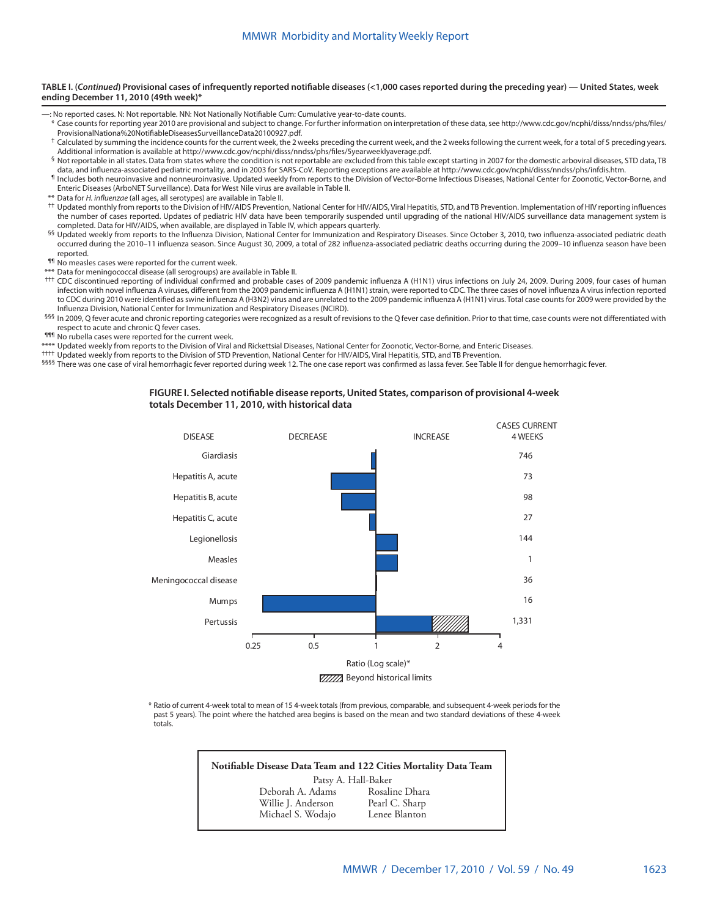#### **TABLE I. (***Continued***) Provisional cases of infrequently reported notifiable diseases (<1,000 cases reported during the preceding year) — United States, week ending December 11, 2010 (49th week)\***

—: No reported cases. N: Not reportable. NN: Not Nationally Notifiable Cum: Cumulative year-to-date counts.

- \* Case counts for reporting year 2010 are provisional and subject to change. For further information on interpretation of these data, see [http://www.cdc.gov/ncphi/disss/nndss/phs/files/](http://www.cdc.gov/ncphi/disss/nndss/phs/files/ProvisionalNationa%20NotifiableDiseasesSurveillanceData20100927.pdf) [ProvisionalNationa%20NotifiableDiseasesSurveillanceData20100927.pdf.](http://www.cdc.gov/ncphi/disss/nndss/phs/files/ProvisionalNationa%20NotifiableDiseasesSurveillanceData20100927.pdf)
- <sup>+</sup> Calculated by summing the incidence counts for the current week, the 2 weeks preceding the current week, and the 2 weeks following the current week, for a total of 5 preceding years. Additional information is available at <http://www.cdc.gov/ncphi/disss/nndss/phs/files/5yearweeklyaverage.pdf>.
- § Not reportable in all states. Data from states where the condition is not reportable are excluded from this table except starting in 2007 for the domestic arboviral diseases, STD data, TB data, and influenza-associated pediatric mortality, and in 2003 for SARS-CoV. Reporting exceptions are available at [http://www.cdc.gov/ncphi/disss/nndss/phs/infdis.htm](Not reportable in all states.   Data from states where the condition is not reportable are excluded from this table except starting in 2007 for the domestic arboviral diseases, STD data, TB data, and influenza-associated pediatric mortality, and in 2003 for SARS-CoV.   Reporting exceptions are available at http://www.cdc.gov/ncphi/disss/nndss/phs/infdis.htm.).
- ¶ Includes both neuroinvasive and nonneuroinvasive. Updated weekly from reports to the Division of Vector-Borne Infectious Diseases, National Center for Zoonotic, Vector-Borne, and Enteric Diseases (ArboNET Surveillance). Data for West Nile virus are available in Table II.
- \*\* Data for *H. influenzae* (all ages, all serotypes) are available in Table II.
- †† Updated monthly from reports to the Division of HIV/AIDS Prevention, National Center for HIV/AIDS, Viral Hepatitis, STD, and TB Prevention. Implementation of HIV reporting influences the number of cases reported. Updates of pediatric HIV data have been temporarily suspended until upgrading of the national HIV/AIDS surveillance data management system is completed. Data for HIV/AIDS, when available, are displayed in Table IV, which appears quarterly.
- §§ Updated weekly from reports to the Influenza Division, National Center for Immunization and Respiratory Diseases. Since October 3, 2010, two influenza-associated pediatric death occurred during the 2010–11 influenza season. Since August 30, 2009, a total of 282 influenza-associated pediatric deaths occurring during the 2009–10 influenza season have been<br>reported.
- **11** No measles cases were reported for the current week.
- \*\*\* Data for meningococcal disease (all serogroups) are available in Table II.
- ††† CDC discontinued reporting of individual confirmed and probable cases of 2009 pandemic influenza A (H1N1) virus infections on July 24, 2009. During 2009, four cases of human infection with novel influenza A viruses, different from the 2009 pandemic influenza A (H1N1) strain, were reported to CDC. The three cases of novel influenza A virus infection reported to CDC during 2010 were identified as swine influenza A (H3N2) virus and are unrelated to the 2009 pandemic influenza A (H1N1) virus. Total case counts for 2009 were provided by the Influenza Division, National Center for Immunization and Respiratory Diseases (NCIRD).
- <sup>§§§</sup> In 2009, Q fever acute and chronic reporting categories were recognized as a result of revisions to the Q fever case definition. Prior to that time, case counts were not differentiated with respect to acute and chronic Q fever cases.
- ¶¶¶ No rubella cases were reported for the current week.

\*\*\*\* Updated weekly from reports to the Division of Viral and Rickettsial Diseases, National Center for Zoonotic, Vector-Borne, and Enteric Diseases.

- †††† Updated weekly from reports to the Division of STD Prevention, National Center for HIV/AIDS, Viral Hepatitis, STD, and TB Prevention.
- §§§§ There was one case of viral hemorrhagic fever reported during week 12. The one case report was confirmed as lassa fever. See Table II for dengue hemorrhagic fever.

### **FIGURE I. Selected notifiable disease reports, United States, comparison of provisional 4-week totals December 11, 2010, with historical data**



\* Ratio of current 4-week total to mean of 15 4-week totals (from previous, comparable, and subsequent 4-week periods for the past 5 years). The point where the hatched area begins is based on the mean and two standard deviations of these 4-week totals.

|                     | <b>Notifiable Disease Data Team and 122 Cities Mortality Data Team</b> |  |  |  |  |  |  |  |  |  |  |  |
|---------------------|------------------------------------------------------------------------|--|--|--|--|--|--|--|--|--|--|--|
| Patsy A. Hall-Baker |                                                                        |  |  |  |  |  |  |  |  |  |  |  |
| Deborah A. Adams    | Rosaline Dhara                                                         |  |  |  |  |  |  |  |  |  |  |  |
| Willie J. Anderson  | Pearl C. Sharp                                                         |  |  |  |  |  |  |  |  |  |  |  |
| Michael S. Wodajo   | Lenee Blanton                                                          |  |  |  |  |  |  |  |  |  |  |  |
|                     |                                                                        |  |  |  |  |  |  |  |  |  |  |  |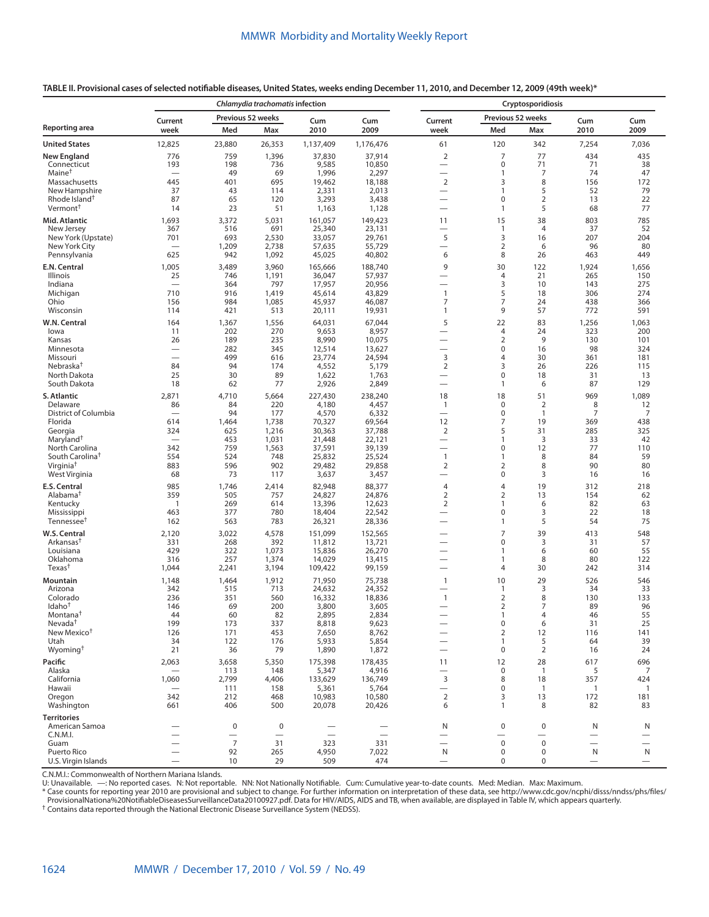**TABLE II. Provisional cases of selected notifiable diseases, United States, weeks ending December 11, 2010, and December 12, 2009 (49th week)\***

|                                                | Chlamydia trachomatis infection                      |                   |                 |                     |                                 |                                                      | <b>Cryptosporidiosis</b> |                    |                                   |                                                      |
|------------------------------------------------|------------------------------------------------------|-------------------|-----------------|---------------------|---------------------------------|------------------------------------------------------|--------------------------|--------------------|-----------------------------------|------------------------------------------------------|
| Reporting area                                 | Current                                              | Previous 52 weeks |                 | Cum                 | Cum                             | Current                                              | Previous 52 weeks        |                    | Cum                               | Cum                                                  |
|                                                | week                                                 | Med               | Max             | 2010                | 2009                            | week<br>61                                           | Med<br>120               | Max<br>342         | 2010                              | 2009                                                 |
| <b>United States</b><br><b>New England</b>     | 12,825<br>776                                        | 23,880<br>759     | 26,353<br>1,396 | 1,137,409<br>37,830 | 1,176,476<br>37,914             | $\overline{2}$                                       | 7                        | 77                 | 7,254<br>434                      | 7,036<br>435                                         |
| Connecticut                                    | 193                                                  | 198               | 736             | 9,585               | 10,850                          | $\overline{\phantom{0}}$                             | 0                        | 71                 | 71                                | 38                                                   |
| Maine <sup>†</sup>                             | $\overline{\phantom{0}}$                             | 49                | 69              | 1,996               | 2,297                           | $\overline{\phantom{0}}$                             | 1                        | $\overline{7}$     | 74                                | 47                                                   |
| Massachusetts                                  | 445                                                  | 401               | 695             | 19,462              | 18,188                          | $\overline{2}$                                       | 3                        | 8                  | 156                               | 172                                                  |
| New Hampshire<br>Rhode Island <sup>1</sup>     | 37<br>87                                             | 43<br>65          | 114<br>120      | 2,331<br>3,293      | 2,013<br>3,438                  | $\overline{\phantom{0}}$                             | 1<br>0                   | 5<br>2             | 52<br>13                          | 79<br>22                                             |
| Vermont <sup>†</sup>                           | 14                                                   | 23                | 51              | 1,163               | 1,128                           |                                                      | 1                        | 5                  | 68                                | 77                                                   |
| Mid. Atlantic                                  | 1,693                                                | 3,372             | 5,031           | 161,057             | 149,423                         | 11                                                   | 15                       | 38                 | 803                               | 785                                                  |
| New Jersey                                     | 367                                                  | 516               | 691             | 25,340              | 23,131                          | $\overline{\phantom{0}}$                             | $\mathbf{1}$             | $\overline{4}$     | 37                                | 52                                                   |
| New York (Upstate)                             | 701                                                  | 693               | 2,530           | 33,057              | 29,761                          | 5                                                    | 3                        | 16                 | 207                               | 204                                                  |
| New York City<br>Pennsylvania                  | $\qquad \qquad$<br>625                               | 1,209<br>942      | 2,738<br>1,092  | 57,635<br>45,025    | 55,729<br>40,802                | 6                                                    | $\overline{2}$<br>8      | 6<br>26            | 96<br>463                         | 80<br>449                                            |
| E.N. Central                                   | 1,005                                                | 3,489             | 3,960           | 165,666             | 188,740                         | 9                                                    | 30                       | 122                | 1,924                             | 1,656                                                |
| Illinois                                       | 25                                                   | 746               | 1,191           | 36,047              | 57,937                          | $\overline{\phantom{0}}$                             | $\overline{4}$           | 21                 | 265                               | 150                                                  |
| Indiana                                        | $\equiv$                                             | 364               | 797             | 17,957              | 20,956                          |                                                      | 3                        | 10                 | 143                               | 275                                                  |
| Michigan                                       | 710                                                  | 916               | 1,419           | 45,614              | 43,829                          | $\mathbf{1}$                                         | 5                        | 18                 | 306                               | 274                                                  |
| Ohio<br>Wisconsin                              | 156<br>114                                           | 984<br>421        | 1,085<br>513    | 45,937<br>20,111    | 46,087<br>19,931                | 7<br>$\mathbf{1}$                                    | 7<br>9                   | 24<br>57           | 438<br>772                        | 366<br>591                                           |
| W.N. Central                                   | 164                                                  |                   |                 |                     |                                 | 5                                                    |                          | 83                 |                                   |                                                      |
| lowa                                           | 11                                                   | 1,367<br>202      | 1,556<br>270    | 64,031<br>9,653     | 67,044<br>8,957                 |                                                      | 22<br>4                  | 24                 | 1,256<br>323                      | 1,063<br>200                                         |
| Kansas                                         | 26                                                   | 189               | 235             | 8,990               | 10,075                          | $\overline{\phantom{0}}$                             | $\overline{2}$           | 9                  | 130                               | 101                                                  |
| Minnesota                                      | $\overline{\phantom{0}}$                             | 282               | 345             | 12,514              | 13,627                          | $\overline{\phantom{0}}$                             | 0                        | 16                 | 98                                | 324                                                  |
| Missouri                                       | $\overline{\phantom{0}}$                             | 499               | 616             | 23,774              | 24,594                          | 3                                                    | 4                        | 30                 | 361                               | 181                                                  |
| Nebraska <sup>†</sup><br>North Dakota          | 84<br>25                                             | 94<br>30          | 174<br>89       | 4,552<br>1,622      | 5,179<br>1,763                  | $\overline{2}$                                       | 3<br>0                   | 26<br>18           | 226<br>31                         | 115<br>13                                            |
| South Dakota                                   | 18                                                   | 62                | 77              | 2,926               | 2,849                           |                                                      | 1                        | 6                  | 87                                | 129                                                  |
| S. Atlantic                                    | 2,871                                                | 4,710             | 5,664           | 227,430             | 238,240                         | 18                                                   | 18                       | 51                 | 969                               | 1,089                                                |
| Delaware                                       | 86                                                   | 84                | 220             | 4,180               | 4,457                           | $\mathbf{1}$                                         | 0                        | 2                  | 8                                 | 12                                                   |
| District of Columbia                           | $\overline{\phantom{0}}$                             | 94                | 177             | 4,570               | 6,332                           |                                                      | 0                        | $\mathbf{1}$       | 7                                 | 7                                                    |
| Florida<br>Georgia                             | 614<br>324                                           | 1,464<br>625      | 1,738<br>1,216  | 70,327<br>30,363    | 69,564<br>37,788                | 12<br>2                                              | 7<br>5                   | 19<br>31           | 369<br>285                        | 438<br>325                                           |
| Maryland <sup>†</sup>                          |                                                      | 453               | 1,031           | 21,448              | 22,121                          |                                                      | 1                        | 3                  | 33                                | 42                                                   |
| North Carolina                                 | 342                                                  | 759               | 1,563           | 37,591              | 39,139                          | $\overline{\phantom{0}}$                             | 0                        | 12                 | 77                                | 110                                                  |
| South Carolina <sup>t</sup>                    | 554                                                  | 524               | 748             | 25,832              | 25,524                          | $\mathbf{1}$                                         | 1                        | 8                  | 84                                | 59                                                   |
| Virginia <sup>†</sup><br>West Virginia         | 883<br>68                                            | 596<br>73         | 902<br>117      | 29,482<br>3,637     | 29,858<br>3,457                 | $\overline{2}$<br>$\overline{\phantom{0}}$           | $\overline{2}$<br>0      | 8<br>3             | 90<br>16                          | 80<br>16                                             |
| E.S. Central                                   | 985                                                  | 1,746             | 2,414           | 82,948              | 88,377                          | $\overline{4}$                                       | 4                        | 19                 | 312                               | 218                                                  |
| Alabama <sup>t</sup>                           | 359                                                  | 505               | 757             | 24,827              | 24,876                          | 2                                                    | $\overline{2}$           | 13                 | 154                               | 62                                                   |
| Kentucky                                       | $\overline{1}$                                       | 269               | 614             | 13,396              | 12,623                          | 2                                                    | 1                        | 6                  | 82                                | 63                                                   |
| Mississippi                                    | 463                                                  | 377               | 780             | 18,404              | 22,542                          |                                                      | 0                        | 3<br>5             | 22                                | 18                                                   |
| Tennessee <sup>t</sup>                         | 162                                                  | 563               | 783             | 26,321              | 28,336                          | $\overline{\phantom{0}}$                             | 1                        |                    | 54                                | 75                                                   |
| W.S. Central<br>Arkansas <sup>†</sup>          | 2,120<br>331                                         | 3,022<br>268      | 4,578<br>392    | 151,099<br>11,812   | 152,565<br>13,721               |                                                      | $\overline{7}$<br>0      | 39<br>3            | 413<br>31                         | 548<br>57                                            |
| Louisiana                                      | 429                                                  | 322               | 1,073           | 15,836              | 26,270                          |                                                      | 1                        | 6                  | 60                                | 55                                                   |
| Oklahoma                                       | 316                                                  | 257               | 1,374           | 14,029              | 13,415                          | $\overline{\phantom{0}}$                             | 1                        | 8                  | 80                                | 122                                                  |
| Texas <sup>†</sup>                             | 1,044                                                | 2,241             | 3,194           | 109,422             | 99,159                          |                                                      | 4                        | 30                 | 242                               | 314                                                  |
| Mountain                                       | 1,148                                                | 1,464             | 1,912           | 71,950              | 75,738                          | $\mathbf{1}$                                         | 10                       | 29                 | 526                               | 546                                                  |
| Arizona<br>Colorado                            | 342<br>236                                           | 515<br>351        | 713<br>560      | 24,632<br>16,332    | 24,352<br>18,836                | $\mathbf{1}$                                         | 1<br>$\overline{2}$      | 3<br>8             | 34<br>130                         | 33<br>133                                            |
| Idaho <sup>†</sup>                             | 146                                                  | 69                | 200             | 3,800               | 3,605                           |                                                      | $\overline{2}$           | $\overline{7}$     | 89                                | 96                                                   |
| Montana <sup>†</sup>                           | 44                                                   | 60                | 82              | 2,895               | 2,834                           |                                                      | 1                        | 4                  | 46                                | 55                                                   |
| Nevada <sup>†</sup><br>New Mexico <sup>+</sup> | 199<br>126                                           | 173<br>171        | 337<br>453      | 8,818<br>7,650      | 9,623<br>8,762                  |                                                      | $\mathbf 0$<br>2         | 6<br>12            | 31<br>116                         | 25<br>141                                            |
| Utah                                           | 34                                                   | 122               | 176             | 5,933               | 5,854                           |                                                      | 1                        | 5                  | 64                                | 39                                                   |
| Wyoming <sup>†</sup>                           | 21                                                   | 36                | 79              | 1,890               | 1,872                           | $\overline{\phantom{0}}$                             | $\boldsymbol{0}$         | $\overline{2}$     | 16                                | 24                                                   |
| Pacific                                        | 2,063                                                | 3,658             | 5,350           | 175,398             | 178,435                         | 11                                                   | 12                       | 28                 | 617                               | 696                                                  |
| Alaska                                         |                                                      | 113               | 148             | 5,347               | 4,916                           |                                                      | $\mathbf 0$              | $\overline{1}$     | 5                                 | $\overline{7}$                                       |
| California<br>Hawaii                           | 1,060<br>$\qquad \qquad$                             | 2,799<br>111      | 4,406<br>158    | 133,629<br>5,361    | 136,749<br>5,764                | 3                                                    | 8<br>0                   | 18<br>$\mathbf{1}$ | 357<br>$\mathbf{1}$               | 424<br>$\overline{1}$                                |
| Oregon                                         | 342                                                  | 212               | 468             | 10,983              | 10,580                          | $\overline{2}$                                       | 3                        | 13                 | 172                               | 181                                                  |
| Washington                                     | 661                                                  | 406               | 500             | 20,078              | 20,426                          | 6                                                    | $\mathbf{1}$             | 8                  | 82                                | 83                                                   |
| <b>Territories</b>                             |                                                      |                   |                 |                     |                                 |                                                      |                          |                    |                                   |                                                      |
| American Samoa                                 |                                                      | $\mathbf 0$       | $\pmb{0}$       |                     |                                 | N                                                    | $\mathbf 0$              | 0                  | N                                 | N                                                    |
| C.N.M.I.<br>Guam                               | $\overline{\phantom{0}}$<br>$\overline{\phantom{0}}$ | $\boldsymbol{7}$  | 31              | 323                 | $\overline{\phantom{0}}$<br>331 | $\qquad \qquad -$<br>$\overbrace{\phantom{1232211}}$ | $\mathsf 0$              | $\mathsf 0$        | $\qquad \qquad -$                 | $\overline{\phantom{0}}$<br>$\overline{\phantom{0}}$ |
| Puerto Rico                                    | $\overline{\phantom{0}}$                             | 92                | 265             | 4,950               | 7,022                           | N                                                    | $\mathbf 0$              | $\mathbf 0$        | N                                 | N                                                    |
| U.S. Virgin Islands                            | $\overline{\phantom{0}}$                             | 10                | 29              | 509                 | 474                             | $\overbrace{\phantom{123221111}}$                    | 0                        | 0                  | $\overbrace{\phantom{123221111}}$ | $\overbrace{\phantom{123221111}}$                    |

C.N.M.I.: Commonwealth of Northern Mariana Islands.<br>U: Unavailable. —: No reported cases. N: Not reportable. NN: Not Nationally Notifiable. Cum: Cumulative year-to-date counts. Med: Median. Max: Maximum.<br>\* Case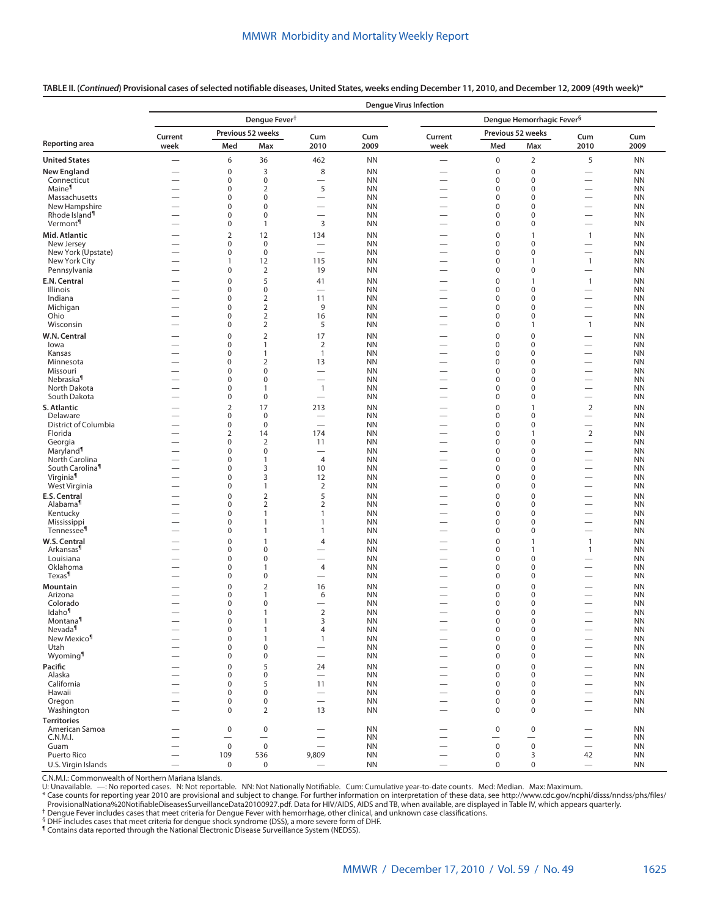|                                         |                                                      | <b>Dengue Virus Infection</b> |                                       |                                               |                        |                                                      |                                         |                                  |                                                      |                        |  |  |  |  |
|-----------------------------------------|------------------------------------------------------|-------------------------------|---------------------------------------|-----------------------------------------------|------------------------|------------------------------------------------------|-----------------------------------------|----------------------------------|------------------------------------------------------|------------------------|--|--|--|--|
|                                         |                                                      |                               | Dengue Fever <sup>†</sup>             |                                               |                        | Dengue Hemorrhagic Fever <sup>§</sup>                |                                         |                                  |                                                      |                        |  |  |  |  |
|                                         | Current                                              |                               | Previous 52 weeks                     | Cum                                           | Cum                    | Current                                              | Previous 52 weeks                       |                                  | Cum                                                  | Cum                    |  |  |  |  |
| Reporting area                          | week                                                 | Med                           | Max                                   | 2010                                          | 2009                   | week                                                 | Med                                     | Max                              | 2010                                                 | 2009                   |  |  |  |  |
| <b>United States</b>                    |                                                      | 6                             | 36                                    | 462                                           | <b>NN</b>              |                                                      | $\boldsymbol{0}$                        | $\overline{2}$                   | 5                                                    | <b>NN</b>              |  |  |  |  |
| <b>New England</b>                      |                                                      | $\pmb{0}$                     | $\mathsf 3$                           | 8                                             | <b>NN</b>              |                                                      | $\mathbf 0$                             | $\pmb{0}$                        |                                                      | <b>NN</b>              |  |  |  |  |
| Connecticut<br>Maine <sup>¶</sup>       |                                                      | 0                             | $\pmb{0}$                             | $\overline{\phantom{0}}$                      | <b>NN</b>              | $\overline{\phantom{0}}$                             | 0                                       | 0                                | $\overline{\phantom{0}}$                             | <b>NN</b>              |  |  |  |  |
| Massachusetts                           |                                                      | $\mathbf 0$<br>$\pmb{0}$      | $\overline{2}$<br>$\mathbf 0$         | 5<br>$\overline{\phantom{0}}$                 | <b>NN</b><br><b>NN</b> |                                                      | $\mathbf 0$<br>$\mathbf 0$              | $\mathbf 0$<br>$\mathbf 0$       | $\overline{\phantom{0}}$<br>$\overline{\phantom{0}}$ | <b>NN</b><br><b>NN</b> |  |  |  |  |
| New Hampshire                           |                                                      | 0                             | $\mathbf 0$                           | $\overbrace{\phantom{12322111}}$              | <b>NN</b>              | $\overline{\phantom{0}}$                             | $\mathbf 0$                             | $\boldsymbol{0}$                 | $\overline{\phantom{0}}$                             | <b>NN</b>              |  |  |  |  |
| Rhode Island <sup>1</sup>               | $\overline{\phantom{0}}$                             | 0                             | $\mathbf 0$                           | $\overbrace{\phantom{12322111}}$              | <b>NN</b>              | $\overline{\phantom{0}}$                             | $\mathbf 0$                             | 0                                |                                                      | <b>NN</b>              |  |  |  |  |
| Vermont                                 |                                                      | $\pmb{0}$                     | $\mathbf{1}$                          | 3                                             | <b>NN</b>              | $\overline{\phantom{0}}$                             | $\mathbf 0$                             | $\boldsymbol{0}$                 |                                                      | <b>NN</b>              |  |  |  |  |
| Mid. Atlantic                           |                                                      | $\overline{2}$                | 12                                    | 134                                           | <b>NN</b>              |                                                      | $\mathbf 0$                             | $\mathbf{1}$                     | $\overline{1}$                                       | <b>NN</b>              |  |  |  |  |
| New Jersey                              |                                                      | 0                             | $\mathbf 0$                           | $\qquad \qquad -$                             | <b>NN</b>              | $\overline{\phantom{0}}$                             | $\mathbf 0$                             | $\mathbf 0$                      |                                                      | <b>NN</b>              |  |  |  |  |
| New York (Upstate)                      |                                                      | $\mathbf 0$                   | $\pmb{0}$                             |                                               | <b>NN</b>              |                                                      | $\mathbf 0$<br>$\mathbf 0$              | $\mathbf 0$                      | $\mathbf{1}$                                         | <b>NN</b>              |  |  |  |  |
| New York City<br>Pennsylvania           | $\overline{\phantom{0}}$<br>$\overline{\phantom{0}}$ | 1<br>$\pmb{0}$                | 12<br>$\overline{2}$                  | 115<br>19                                     | <b>NN</b><br><b>NN</b> | $\overline{\phantom{0}}$<br>$\overline{\phantom{0}}$ | $\mathbf 0$                             | $\mathbf{1}$<br>$\mathsf 0$      |                                                      | <b>NN</b><br><b>NN</b> |  |  |  |  |
| E.N. Central                            |                                                      | $\pmb{0}$                     | 5                                     | 41                                            | <b>NN</b>              |                                                      | $\mathbf 0$                             | $\mathbf{1}$                     | $\mathbf{1}$                                         | <b>NN</b>              |  |  |  |  |
| Illinois                                | $\overline{\phantom{0}}$                             | 0                             | $\mathbf 0$                           |                                               | <b>NN</b>              | $\overline{\phantom{0}}$                             | $\mathbf 0$                             | $\boldsymbol{0}$                 | $\overline{\phantom{0}}$                             | <b>NN</b>              |  |  |  |  |
| Indiana                                 |                                                      | 0                             | $\overline{2}$                        | 11                                            | <b>NN</b>              |                                                      | $\mathbf 0$                             | $\mathbf 0$                      | $\overline{\phantom{0}}$                             | <b>NN</b>              |  |  |  |  |
| Michigan                                |                                                      | 0                             | $\mathbf 2$                           | 9                                             | <b>NN</b>              |                                                      | $\mathbf 0$                             | $\mathbf 0$                      | $\overline{\phantom{0}}$                             | <b>NN</b>              |  |  |  |  |
| Ohio                                    |                                                      | 0                             | $\mathbf 2$                           | 16                                            | <b>NN</b>              | $\overline{\phantom{0}}$                             | $\mathbf 0$                             | $\pmb{0}$                        | $\overline{\phantom{0}}$                             | <b>NN</b>              |  |  |  |  |
| Wisconsin                               |                                                      | 0                             | $\overline{2}$                        | 5                                             | <b>NN</b>              |                                                      | $\mathbf 0$                             | $\mathbf{1}$                     | $\overline{1}$                                       | <b>NN</b>              |  |  |  |  |
| W.N. Central                            |                                                      | $\mathbf 0$                   | $\mathbf 2$                           | 17                                            | <b>NN</b>              |                                                      | $\mathbf 0$                             | $\pmb{0}$                        | $\overline{\phantom{0}}$                             | <b>NN</b>              |  |  |  |  |
| lowa<br>Kansas                          |                                                      | $\mathbf 0$<br>$\mathbf 0$    | $\mathbf{1}$<br>$\mathbf{1}$          | $\overline{2}$<br>$\overline{1}$              | <b>NN</b><br><b>NN</b> |                                                      | $\mathbf 0$<br>$\mathbf 0$              | $\mathbf 0$<br>$\mathbf 0$       | $\overline{\phantom{0}}$                             | <b>NN</b><br><b>NN</b> |  |  |  |  |
| Minnesota                               |                                                      | $\mathbf 0$                   | $\overline{2}$                        | 13                                            | <b>NN</b>              |                                                      | $\mathbf 0$                             | $\mathbf 0$                      | $\overline{\phantom{0}}$                             | <b>NN</b>              |  |  |  |  |
| Missouri                                |                                                      | $\mathbf 0$                   | $\pmb{0}$                             |                                               | <b>NN</b>              | $\overline{\phantom{0}}$                             | $\mathbf 0$                             | $\mathbf 0$                      |                                                      | <b>NN</b>              |  |  |  |  |
| Nebraska <sup>¶</sup>                   |                                                      | $\mathbf 0$                   | $\pmb{0}$                             |                                               | <b>NN</b>              |                                                      | $\mathbf 0$                             | $\mathbf 0$                      |                                                      | <b>NN</b>              |  |  |  |  |
| North Dakota                            |                                                      | 0                             | $\mathbf{1}$                          | $\mathbf{1}$                                  | <b>NN</b>              | $\overline{\phantom{0}}$                             | $\mathbf 0$                             | $\boldsymbol{0}$                 | $\overline{\phantom{0}}$                             | <b>NN</b>              |  |  |  |  |
| South Dakota                            |                                                      | 0                             | $\mathbf 0$                           | $\overline{\phantom{0}}$                      | <b>NN</b>              | $\overline{\phantom{0}}$                             | $\mathbf 0$                             | $\mathbf 0$                      | $\overline{\phantom{0}}$                             | <b>NN</b>              |  |  |  |  |
| S. Atlantic<br>Delaware                 |                                                      | $\overline{2}$<br>$\mathbf 0$ | 17<br>$\mathbf 0$                     | 213                                           | <b>NN</b><br><b>NN</b> |                                                      | $\mathbf 0$<br>$\mathbf 0$              | $\mathbf{1}$<br>$\boldsymbol{0}$ | $\mathbf 2$                                          | <b>NN</b><br><b>NN</b> |  |  |  |  |
| District of Columbia                    | $\overline{\phantom{0}}$                             | $\mathbf 0$                   | $\boldsymbol{0}$                      | $\overbrace{\phantom{12322111}}$              | <b>NN</b>              | $\overline{\phantom{0}}$                             | $\mathbf 0$                             | $\mathbf 0$                      | $\overline{\phantom{0}}$                             | <b>NN</b>              |  |  |  |  |
| Florida                                 |                                                      | 2                             | 14                                    | 174                                           | <b>NN</b>              | $\overline{\phantom{0}}$                             | $\mathbf 0$                             | $\mathbf{1}$                     | $\mathbf 2$                                          | <b>NN</b>              |  |  |  |  |
| Georgia                                 | $\overline{\phantom{0}}$                             | $\mathbf 0$                   | $\overline{2}$                        | 11                                            | <b>NN</b>              | $\overline{\phantom{0}}$                             | $\mathbf 0$                             | $\mathbf 0$                      |                                                      | <b>NN</b>              |  |  |  |  |
| Maryland <sup>1</sup>                   | $\overline{\phantom{0}}$                             | 0                             | $\pmb{0}$                             | $\overline{\phantom{0}}$                      | <b>NN</b>              | $\overline{\phantom{0}}$                             | $\mathbf 0$                             | $\boldsymbol{0}$                 |                                                      | <b>NN</b>              |  |  |  |  |
| North Carolina                          | $\overline{\phantom{0}}$                             | $\mathbf 0$                   | $\mathbf{1}$                          | $\overline{4}$                                | <b>NN</b>              | $\overline{\phantom{0}}$                             | $\mathbf 0$                             | $\mathbf 0$                      |                                                      | <b>NN</b>              |  |  |  |  |
| South Carolina <sup>1</sup><br>Virginia | $\overline{\phantom{0}}$                             | 0<br>$\mathbf 0$              | 3<br>3                                | 10<br>12                                      | <b>NN</b><br><b>NN</b> |                                                      | $\mathbf 0$<br>$\mathbf 0$              | $\boldsymbol{0}$<br>$\mathbf 0$  | $\overline{\phantom{0}}$                             | <b>NN</b><br><b>NN</b> |  |  |  |  |
| West Virginia                           |                                                      | 0                             | $\overline{1}$                        | $\overline{2}$                                | <b>NN</b>              | $\overline{\phantom{0}}$                             | $\mathbf 0$                             | $\mathbf 0$                      | $\overbrace{\phantom{1232211}}$                      | <b>NN</b>              |  |  |  |  |
| E.S. Central                            |                                                      | $\mathbf 0$                   | $\mathbf 2$                           | 5                                             | <b>NN</b>              | $\overline{\phantom{0}}$                             | $\mathbf 0$                             | $\mathbf 0$                      | $\overline{\phantom{0}}$                             | <b>NN</b>              |  |  |  |  |
| Alabama <sup>1</sup>                    |                                                      | $\mathbf 0$                   | $\mathbf 2$                           | $\mathbf 2$                                   | <b>NN</b>              |                                                      | $\mathbf 0$                             | $\mathbf 0$                      |                                                      | <b>NN</b>              |  |  |  |  |
| Kentucky                                |                                                      | $\mathbf 0$                   | $\mathbf{1}$                          | $\mathbf{1}$                                  | <b>NN</b>              |                                                      | $\mathbf 0$                             | $\mathbf 0$                      |                                                      | <b>NN</b>              |  |  |  |  |
| Mississippi<br>Tennessee <sup>¶</sup>   | $\overline{\phantom{0}}$                             | $\mathbf 0$                   | $\mathbf{1}$                          | 1                                             | <b>NN</b>              |                                                      | $\mathbf 0$                             | $\mathbf 0$                      | $\overline{\phantom{0}}$                             | <b>NN</b>              |  |  |  |  |
|                                         |                                                      | 0                             | $\mathbf{1}$<br>$\overline{1}$        | 1                                             | <b>NN</b>              | $\overline{\phantom{0}}$                             | $\mathbf 0$<br>$\mathbf 0$              | $\boldsymbol{0}$<br>$\mathbf{1}$ | $\overline{\phantom{0}}$                             | <b>NN</b>              |  |  |  |  |
| W.S. Central<br>Arkansas <sup>¶</sup>   | $\overline{\phantom{0}}$                             | $\pmb{0}$<br>$\mathbf 0$      | $\bf 0$                               | $\overline{4}$<br>-                           | <b>NN</b><br><b>NN</b> | $\overline{\phantom{0}}$                             | $\mathbf 0$                             | $\mathbf{1}$                     | $\mathbf{1}$<br>$\mathbf{1}$                         | <b>NN</b><br><b>NN</b> |  |  |  |  |
| Louisiana                               |                                                      | 0                             | $\pmb{0}$                             | $\overline{\phantom{0}}$                      | <b>NN</b>              | $\overline{\phantom{0}}$                             | $\mathbf 0$                             | $\boldsymbol{0}$                 | $\overline{\phantom{0}}$                             | <b>NN</b>              |  |  |  |  |
| Oklahoma                                | $\overline{\phantom{0}}$                             | $\mathbf 0$                   | $\mathbf{1}$                          | $\overline{4}$                                | <b>NN</b>              |                                                      | 0                                       | $\mathbf 0$                      | $\overline{\phantom{0}}$                             | <b>NN</b>              |  |  |  |  |
| Texas <sup>¶</sup>                      |                                                      | 0                             | $\pmb{0}$                             | $\overline{\phantom{0}}$                      | <b>NN</b>              | $\overline{\phantom{0}}$                             | 0                                       | $\mathsf 0$                      | $\overline{\phantom{0}}$                             | <b>NN</b>              |  |  |  |  |
| Mountain                                |                                                      | $\mathbf 0$                   | $\mathbf 2$                           | 16                                            | <b>NN</b>              |                                                      | $\mathbf 0$                             | $\mathbf 0$                      |                                                      | <b>NN</b>              |  |  |  |  |
| Arizona<br>Colorado                     |                                                      | $\mathbf 0$<br>0              | $\mathbf{1}$<br>$\mathbf 0$           | 6<br>$\overline{\phantom{0}}$                 | <b>NN</b><br><b>NN</b> |                                                      | $\mathbf 0$<br>0                        | $\mathbf 0$<br>$\mathbf 0$       | —                                                    | <b>NN</b><br><b>NN</b> |  |  |  |  |
| Idaho¶                                  | $\overline{\phantom{0}}$                             | $\Omega$                      | $\mathbf{1}$                          | $\mathbf 2$                                   | <b>NN</b>              |                                                      | $\mathbf 0$                             | $\mathbf 0$                      | $\overline{\phantom{0}}$                             | <b>NN</b>              |  |  |  |  |
| Montana                                 |                                                      | 0                             | $\mathbf{1}$                          | 3                                             | ΝN                     |                                                      | 0                                       | 0                                |                                                      | <b>NN</b>              |  |  |  |  |
| Nevada <sup>1</sup>                     |                                                      | $\mathsf{O}\xspace$           | $\mathbf{1}$                          | $\overline{4}$                                | <b>NN</b>              |                                                      | $\pmb{0}$                               | $\pmb{0}$                        | $\qquad \qquad$                                      | <b>NN</b>              |  |  |  |  |
| New Mexico <sup>¶</sup>                 | $\overline{\phantom{0}}$                             | 0                             | $\mathbf{1}$                          | $\mathbf{1}$                                  | <b>NN</b>              | $\overline{\phantom{0}}$                             | $\pmb{0}$                               | $\mathsf 0$                      | $\qquad \qquad -$                                    | <b>NN</b>              |  |  |  |  |
| Utah<br>Wyoming <sup>1</sup>            |                                                      | 0<br>$\pmb{0}$                | $\pmb{0}$<br>$\pmb{0}$                | $\overbrace{\phantom{123221111}}$<br>$\equiv$ | <b>NN</b><br><b>NN</b> | $\overline{\phantom{0}}$                             | $\pmb{0}$<br>$\pmb{0}$                  | $\mathbf 0$<br>$\mathbf 0$       | $\equiv$                                             | <b>NN</b><br><b>NN</b> |  |  |  |  |
| Pacific                                 |                                                      | $\pmb{0}$                     | 5                                     |                                               | <b>NN</b>              |                                                      | $\pmb{0}$                               | $\pmb{0}$                        |                                                      | <b>NN</b>              |  |  |  |  |
| Alaska                                  | $\overline{\phantom{0}}$                             | $\mathbf 0$                   | $\mathbf 0$                           | 24<br>$\overline{\phantom{0}}$                | <b>NN</b>              | $\overline{\phantom{0}}$                             | $\pmb{0}$                               | $\mathbf 0$                      |                                                      | <b>NN</b>              |  |  |  |  |
| California                              | $\overline{\phantom{0}}$                             | 0                             | 5                                     | 11                                            | <b>NN</b>              | $\overline{\phantom{0}}$                             | $\pmb{0}$                               | $\mathsf 0$                      |                                                      | <b>NN</b>              |  |  |  |  |
| Hawaii                                  | $\overline{\phantom{0}}$                             | 0                             | $\bf 0$                               | $\overbrace{\phantom{1232211}}$               | <b>NN</b>              | $\overline{\phantom{0}}$                             | $\boldsymbol{0}$                        | $\mathbf 0$                      |                                                      | <b>NN</b>              |  |  |  |  |
| Oregon                                  | $\overbrace{\phantom{12322111}}$                     | 0                             | $\pmb{0}$                             | $\overline{\phantom{m}}$                      | <b>NN</b>              | $\overline{\phantom{0}}$                             | 0                                       | $\mathbf 0$                      | $\qquad \qquad -$                                    | <b>NN</b>              |  |  |  |  |
| Washington                              | $\overline{\phantom{0}}$                             | 0                             | 2                                     | 13                                            | <b>NN</b>              | $\overline{\phantom{0}}$                             | $\mathbf 0$                             | $\mathbf 0$                      |                                                      | <b>NN</b>              |  |  |  |  |
| <b>Territories</b>                      |                                                      |                               |                                       |                                               |                        |                                                      |                                         |                                  |                                                      |                        |  |  |  |  |
| American Samoa<br>C.N.M.I.              |                                                      | $\mathbf 0$                   | $\pmb{0}$<br>$\overline{\phantom{0}}$ | $\qquad \qquad -$<br>$\overline{\phantom{0}}$ | <b>NN</b><br><b>NN</b> |                                                      | $\mathbf 0$<br>$\overline{\phantom{0}}$ | $\boldsymbol{0}$                 |                                                      | <b>NN</b><br><b>NN</b> |  |  |  |  |
| Guam                                    |                                                      | $\mathsf 0$                   | $\mathbf 0$                           | $\equiv$                                      | <b>NN</b>              | $\overline{\phantom{0}}$                             | $\mathbf 0$                             | $\mathsf{O}\xspace$              | $\equiv$                                             | <b>NN</b>              |  |  |  |  |
| Puerto Rico                             |                                                      | 109                           | 536                                   | 9,809                                         | <b>NN</b>              | $\overline{\phantom{0}}$                             | $\mathbf 0$                             | 3                                | 42                                                   | <b>NN</b>              |  |  |  |  |
| U.S. Virgin Islands                     |                                                      | $\mathbf 0$                   | $\mathbf 0$                           | $\overline{\phantom{m}}$                      | <b>NN</b>              |                                                      | 0                                       | 0                                | $\overline{\phantom{0}}$                             | <b>NN</b>              |  |  |  |  |

### **TABLE II. (***Continued***) Provisional cases of selected notifiable diseases, United States, weeks ending December 11, 2010, and December 12, 2009 (49th week)\***

C.N.M.I.: Commonwealth of Northern Mariana Islands.<br>U: Unavailable. —: No reported cases. N: Not reportable. NN: Not Nationally Notifiable. Cum: Cumulative year-to-date counts. Med: Median. Max: Maximum.<br>\* Case

<sup>†</sup> Dengue Fever includes cases that meet criteria for Dengue Fever with hemorrhage, other clinical, and unknown case classifications.<br><sup>§</sup> DHF includes cases that meet criteria for dengue shock syndrome (DSS), a more seve

¶ Contains data reported through the National Electronic Disease Surveillance System (NEDSS).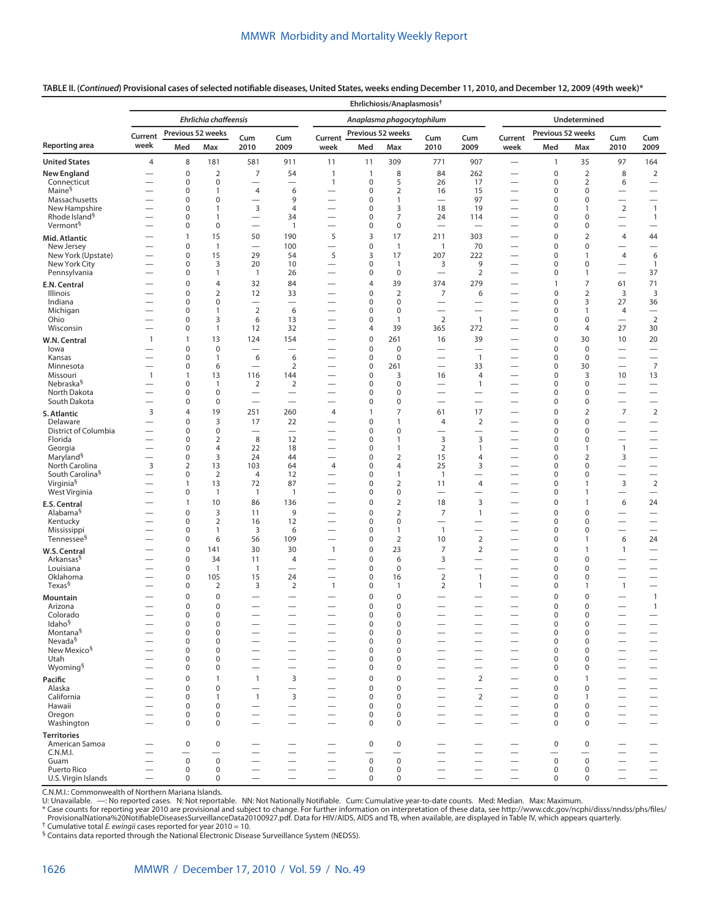### **TABLE II. (***Continued***) Provisional cases of selected notifiable diseases, United States, weeks ending December 11, 2010, and December 12, 2009 (49th week)\***

|                                                      |                                                      |                   |                                |                                                      |                                                              |                                                      |                             | Ehrlichiosis/Anaplasmosis <sup>+</sup> |                                                              |                                                      |                                                              |                            |                                  |                                                      |                                                      |
|------------------------------------------------------|------------------------------------------------------|-------------------|--------------------------------|------------------------------------------------------|--------------------------------------------------------------|------------------------------------------------------|-----------------------------|----------------------------------------|--------------------------------------------------------------|------------------------------------------------------|--------------------------------------------------------------|----------------------------|----------------------------------|------------------------------------------------------|------------------------------------------------------|
|                                                      |                                                      |                   | Ehrlichia chaffeensis          |                                                      |                                                              |                                                      |                             | Anaplasma phagocytophilum              | Undetermined                                                 |                                                      |                                                              |                            |                                  |                                                      |                                                      |
|                                                      | Current                                              | Previous 52 weeks |                                | Cum                                                  | Cum                                                          | Current                                              | Previous 52 weeks           |                                        | Cum                                                          | Cum                                                  | Current                                                      | Previous 52 weeks          |                                  | Cum                                                  | Cum                                                  |
| Reporting area                                       | week                                                 | Med               | Max                            | 2010                                                 | 2009                                                         | week                                                 | Med                         | Max                                    | 2010                                                         | 2009                                                 | week                                                         | Med                        | Max                              | 2010                                                 | 2009                                                 |
| <b>United States</b>                                 | $\overline{4}$                                       | 8                 | 181                            | 581                                                  | 911                                                          | 11                                                   | 11                          | 309                                    | 771                                                          | 907                                                  | $\qquad \qquad -$                                            | $\mathbf{1}$               | 35                               | 97                                                   | 164                                                  |
| <b>New England</b>                                   |                                                      | 0<br>0            | $\mathbf 2$<br>$\mathbf 0$     | $\overline{7}$<br>$\overline{\phantom{0}}$           | 54                                                           | $\mathbf{1}$<br>$\mathbf{1}$                         | $\mathbf{1}$<br>$\mathbf 0$ | 8<br>5                                 | 84<br>26                                                     | 262                                                  | $\overline{\phantom{0}}$                                     | $\pmb{0}$<br>$\mathbf 0$   | $\overline{2}$<br>$\overline{2}$ | 8<br>6                                               | $\overline{2}$<br>$\overline{\phantom{0}}$           |
| Connecticut<br>Maine <sup>§</sup>                    | $\overline{\phantom{0}}$                             | 0                 | $\mathbf{1}$                   | 4                                                    | 6                                                            | $\overline{\phantom{0}}$                             | $\pmb{0}$                   | $\overline{2}$                         | 16                                                           | 17<br>15                                             | $\overbrace{\phantom{12322111}}$                             | $\mathbf 0$                | 0                                | $\overline{\phantom{0}}$                             | $\overline{\phantom{0}}$                             |
| Massachusetts                                        | $\overline{\phantom{0}}$                             | 0                 | $\mathbf 0$                    | $\overline{\phantom{0}}$                             | 9                                                            | $\overline{\phantom{0}}$                             | $\mathbf 0$                 | $\mathbf{1}$                           | $\overline{\phantom{0}}$                                     | 97                                                   | $\overline{\phantom{0}}$                                     | $\Omega$                   | $\mathbf 0$                      | $\overline{\phantom{0}}$                             | $\overline{\phantom{0}}$                             |
| New Hampshire<br>Rhode Island <sup>§</sup>           | $\overline{\phantom{0}}$                             | 0<br>0            | $\mathbf{1}$<br>$\mathbf{1}$   | 3<br>$\overline{\phantom{0}}$                        | 4<br>34                                                      | $\overline{\phantom{0}}$<br>$\overline{\phantom{0}}$ | $\mathbf 0$<br>$\mathbf 0$  | 3<br>$\overline{7}$                    | 18<br>24                                                     | 19<br>114                                            | $\overline{\phantom{0}}$<br>$\overline{\phantom{0}}$         | $\mathbf 0$<br>$\mathbf 0$ | 1<br>0                           | $\overline{2}$<br>$\overline{\phantom{0}}$           | $\overline{1}$<br>$\mathbf{1}$                       |
| Vermont <sup>§</sup>                                 | $\overline{\phantom{0}}$                             | 0                 | $\pmb{0}$                      | $\overline{\phantom{0}}$                             | $\overline{1}$                                               | $\overline{\phantom{0}}$                             | $\pmb{0}$                   | 0                                      | $\overbrace{\phantom{12322111}}$                             | $\overline{\phantom{0}}$                             | $\overline{\phantom{0}}$                                     | $\mathbf 0$                | 0                                | $\qquad \qquad$                                      | $\overline{\phantom{0}}$                             |
| Mid. Atlantic                                        |                                                      | $\mathbf{1}$      | 15<br>$\mathbf{1}$             | 50                                                   | 190                                                          | 5                                                    | 3<br>$\pmb{0}$              | 17                                     | 211<br>$\overline{1}$                                        | 303<br>70                                            | $\overline{\phantom{0}}$                                     | $\pmb{0}$<br>$\mathbf 0$   | $\overline{2}$<br>$\pmb{0}$      | 4                                                    | 44                                                   |
| New Jersey<br>New York (Upstate)                     | $\overline{\phantom{0}}$<br>$\overline{\phantom{0}}$ | 0<br>0            | 15                             | $\overline{\phantom{0}}$<br>29                       | 100<br>54                                                    | $\overline{\phantom{0}}$<br>5                        | 3                           | $\mathbf{1}$<br>17                     | 207                                                          | 222                                                  | $\overline{\phantom{0}}$<br>$\overline{\phantom{0}}$         | $\mathbf 0$                | 1                                | $\overline{\phantom{0}}$<br>4                        | $\overline{\phantom{0}}$<br>6                        |
| New York City                                        |                                                      | 0                 | 3                              | 20                                                   | 10                                                           | $\overline{\phantom{0}}$                             | $\mathbf 0$                 | $\mathbf{1}$                           | 3                                                            | 9                                                    | $\overline{\phantom{0}}$                                     | $\mathbf 0$                | 0                                |                                                      | $\overline{1}$                                       |
| Pennsylvania                                         | $\overline{\phantom{0}}$<br>$\overline{\phantom{0}}$ | 0<br>0            | $\mathbf{1}$<br>$\overline{4}$ | $\mathbf{1}$<br>32                                   | 26<br>84                                                     | $\overline{\phantom{0}}$<br>$\overline{\phantom{0}}$ | $\mathbf 0$<br>4            | $\mathbf 0$<br>39                      | $\overline{\phantom{0}}$<br>374                              | $\overline{2}$<br>279                                | $\overbrace{\phantom{12322111}}$<br>$\overline{\phantom{0}}$ | $\mathbf 0$<br>1           | 1<br>$\overline{7}$              | $\overline{\phantom{0}}$<br>61                       | 37<br>71                                             |
| E.N. Central<br>Illinois                             |                                                      | 0                 | $\overline{2}$                 | 12                                                   | 33                                                           |                                                      | $\mathbf 0$                 | $\overline{2}$                         | $\overline{7}$                                               | 6                                                    |                                                              | $\mathbf 0$                | $\mathbf 2$                      | 3                                                    | $\overline{3}$                                       |
| Indiana                                              | $\overline{\phantom{0}}$                             | 0                 | $\pmb{0}$                      | $\overline{\phantom{0}}$                             | $\overline{\phantom{0}}$                                     | $\overline{\phantom{0}}$                             | $\pmb{0}$                   | 0                                      | $\overline{\phantom{0}}$                                     | $\overline{\phantom{0}}$                             | $\overline{\phantom{0}}$                                     | $\mathbf 0$                | 3                                | 27                                                   | 36                                                   |
| Michigan<br>Ohio                                     | $\overline{\phantom{0}}$                             | 0<br>0            | $\mathbf{1}$<br>3              | $\mathbf 2$<br>6                                     | 6<br>13                                                      | $\overline{\phantom{0}}$<br>$\overline{\phantom{0}}$ | $\mathbf 0$<br>$\mathbf 0$  | $\mathbf 0$<br>$\mathbf{1}$            | $\overline{\phantom{0}}$<br>$\overline{2}$                   | —<br>$\overline{1}$                                  | $\overline{\phantom{0}}$<br>$\overline{\phantom{0}}$         | $\mathbf 0$<br>$\mathbf 0$ | 1<br>0                           | $\overline{4}$<br>$\equiv$                           | $\overline{\phantom{0}}$<br>$\overline{2}$           |
| Wisconsin                                            | $\overline{\phantom{0}}$                             | 0                 | $\mathbf{1}$                   | 12                                                   | 32                                                           | $\overline{\phantom{0}}$                             | 4                           | 39                                     | 365                                                          | 272                                                  | $\qquad \qquad$                                              | 0                          | $\overline{4}$                   | 27                                                   | 30                                                   |
| W.N. Central                                         | $\mathbf{1}$                                         | $\mathbf{1}$      | 13                             | 124                                                  | 154                                                          | $\overline{\phantom{0}}$                             | $\mathbf 0$                 | 261                                    | 16                                                           | 39                                                   | $\overline{\phantom{0}}$                                     | $\mathbf 0$                | 30                               | 10                                                   | 20                                                   |
| lowa<br>Kansas                                       | $\overline{\phantom{0}}$                             | 0<br>0            | $\mathbf 0$<br>$\mathbf{1}$    | $\overline{\phantom{0}}$<br>6                        | $\overline{\phantom{0}}$<br>6                                | $\overline{\phantom{0}}$                             | $\mathbf 0$<br>$\pmb{0}$    | $\mathbf 0$<br>0                       | $\overline{\phantom{0}}$                                     | $\overline{\phantom{0}}$<br>$\overline{1}$           | $\overbrace{\phantom{12322111}}$                             | $\mathbf 0$<br>0           | $\mathbf 0$<br>$\mathbf 0$       | $\overline{\phantom{0}}$<br>$\overline{\phantom{0}}$ | $\overline{\phantom{0}}$<br>$\overline{\phantom{0}}$ |
| Minnesota                                            | $\overline{\phantom{0}}$                             | 0                 | 6                              | $\qquad \qquad -$                                    | 2                                                            | $\overline{\phantom{0}}$                             | $\mathbf 0$                 | 261                                    | $\overline{\phantom{0}}$                                     | 33                                                   | $\overline{\phantom{0}}$                                     | $\mathbf 0$                | 30                               | $\overbrace{\phantom{12322111}}$                     | $\overline{7}$                                       |
| Missouri                                             | $\mathbf{1}$                                         | $\mathbf{1}$      | 13                             | 116                                                  | 144                                                          | $\overline{\phantom{0}}$                             | $\pmb{0}$                   | 3                                      | 16                                                           | $\overline{4}$                                       | $\overline{\phantom{0}}$                                     | 0                          | 3                                | 10                                                   | 13                                                   |
| Nebraska <sup>§</sup><br>North Dakota                | $\overline{\phantom{0}}$<br>$\overline{\phantom{0}}$ | 0<br>0            | $\mathbf{1}$<br>$\pmb{0}$      | 2<br>$\overline{\phantom{m}}$                        | $\overline{2}$<br>$\overline{\phantom{0}}$                   | $\overline{\phantom{0}}$<br>$\overline{\phantom{0}}$ | $\pmb{0}$<br>0              | $\mathbf 0$<br>$\pmb{0}$               | $\overline{\phantom{0}}$<br>$\overline{\phantom{0}}$         | $\mathbf{1}$<br>$\overline{\phantom{0}}$             | $\overline{\phantom{0}}$<br>$\overline{\phantom{0}}$         | $\mathbf 0$<br>0           | 0<br>0                           | $\overline{\phantom{0}}$<br>$\overline{\phantom{0}}$ | $\qquad \qquad -$<br>$\overline{\phantom{0}}$        |
| South Dakota                                         |                                                      | 0                 | $\mathbf 0$                    | $\equiv$                                             | $\overline{\phantom{0}}$                                     | $\overline{\phantom{0}}$                             | $\mathbf 0$                 | $\mathbf 0$                            | $\overline{\phantom{0}}$                                     | $\overline{\phantom{0}}$                             | $\overline{\phantom{0}}$                                     | $\mathbf 0$                | 0                                | $\overline{\phantom{0}}$                             | $\overline{\phantom{0}}$                             |
| S. Atlantic                                          | 3                                                    | $\overline{4}$    | 19                             | 251                                                  | 260                                                          | 4                                                    | 1                           | $\overline{7}$                         | 61                                                           | 17                                                   | $\overline{\phantom{0}}$                                     | $\mathbf 0$                | $\overline{2}$                   | $\overline{7}$                                       | $\overline{2}$                                       |
| Delaware<br>District of Columbia                     | $\overline{\phantom{0}}$<br>$\overline{\phantom{0}}$ | 0<br>0            | 3<br>$\pmb{0}$                 | 17<br>$\overline{\phantom{0}}$                       | 22<br>$\overline{\phantom{0}}$                               | $\overline{\phantom{0}}$<br>$\overline{\phantom{0}}$ | $\mathbf 0$<br>$\pmb{0}$    | $\mathbf{1}$<br>$\pmb{0}$              | $\overline{4}$<br>$\overline{\phantom{0}}$                   | $\overline{2}$<br>$\overline{\phantom{0}}$           | $\overline{\phantom{0}}$<br>$\overline{\phantom{0}}$         | $\mathbf 0$<br>0           | 0<br>0                           | $\overline{\phantom{0}}$<br>$\overline{\phantom{0}}$ | $\overline{\phantom{0}}$<br>$\overline{\phantom{0}}$ |
| Florida                                              | $\overline{\phantom{0}}$                             | 0                 | $\overline{2}$                 | 8                                                    | 12                                                           | $\overline{\phantom{0}}$                             | $\mathbf 0$                 | 1                                      | 3                                                            | 3                                                    | $\overline{\phantom{0}}$                                     | $\mathbf 0$                | 0                                |                                                      | $\qquad \qquad -$                                    |
| Georgia<br>Maryland <sup>§</sup>                     | $\overline{\phantom{0}}$<br>$\overline{\phantom{0}}$ | 0<br>0            | $\overline{4}$<br>3            | 22<br>24                                             | 18<br>44                                                     | $\overline{\phantom{0}}$<br>$\overline{\phantom{0}}$ | 0<br>$\mathbf 0$            | 1<br>$\overline{2}$                    | $\overline{2}$<br>15                                         | $\mathbf{1}$<br>$\overline{4}$                       | $\overline{\phantom{0}}$<br>$\overline{\phantom{0}}$         | 0<br>$\mathbf 0$           | 1<br>$\overline{2}$              | $\overline{1}$<br>3                                  | $\overline{\phantom{0}}$<br>$\overline{\phantom{0}}$ |
| North Carolina                                       | 3                                                    | 2                 | 13                             | 103                                                  | 64                                                           | $\overline{4}$                                       | $\pmb{0}$                   | $\overline{4}$                         | 25                                                           | 3                                                    | $\overline{\phantom{0}}$                                     | 0                          | 0                                | $\overline{\phantom{0}}$                             | $\qquad \qquad$                                      |
| South Carolina <sup>§</sup><br>Virginia <sup>§</sup> | $\overline{\phantom{0}}$<br>$\overline{\phantom{0}}$ | 0<br>1            | 2<br>13                        | $\overline{4}$<br>72                                 | 12<br>87                                                     | $\overline{\phantom{0}}$<br>$\overline{\phantom{0}}$ | $\mathbf 0$<br>0            | 1<br>$\overline{2}$                    | $\overline{1}$<br>11                                         | $\overline{\phantom{0}}$<br>$\overline{4}$           | $\overline{\phantom{0}}$<br>$\overline{\phantom{0}}$         | $\mathbf 0$<br>0           | 0<br>1                           | $\overline{\phantom{0}}$<br>3                        | $\overline{2}$                                       |
| West Virginia                                        | $\overline{\phantom{0}}$                             | 0                 | $\mathbf{1}$                   | $\mathbf{1}$                                         | $\overline{1}$                                               | $\overline{\phantom{0}}$                             | $\mathbf 0$                 | $\pmb{0}$                              | $\overline{\phantom{0}}$                                     |                                                      | $\overline{\phantom{0}}$                                     | $\mathbf 0$                | $\mathbf{1}$                     | $\qquad \qquad$                                      | $\qquad \qquad -$                                    |
| E.S. Central                                         | $\overline{\phantom{0}}$                             | $\mathbf{1}$      | 10                             | 86                                                   | 136                                                          | $\overline{\phantom{0}}$                             | $\mathbf 0$                 | $\overline{2}$                         | 18                                                           | 3                                                    | $\overline{\phantom{0}}$                                     | $\mathbf 0$                | $\mathbf{1}$                     | 6                                                    | 24                                                   |
| Alabama <sup>§</sup>                                 |                                                      | 0                 | 3                              | 11                                                   | 9                                                            |                                                      | $\mathbf 0$                 | $\overline{2}$                         | 7                                                            | $\mathbf{1}$                                         | $\overline{\phantom{0}}$                                     | $\mathbf 0$                | 0                                | $\overline{\phantom{0}}$                             | $\overline{\phantom{0}}$                             |
| Kentucky<br>Mississippi                              | $\overline{\phantom{0}}$<br>$\overline{\phantom{0}}$ | 0<br>0            | $\overline{2}$<br>1            | 16<br>3                                              | 12<br>6                                                      | $\overline{\phantom{0}}$<br>$\overline{\phantom{0}}$ | $\pmb{0}$<br>$\pmb{0}$      | $\pmb{0}$<br>1                         | $\overline{\phantom{0}}$<br>$\mathbf{1}$                     | $\overline{\phantom{0}}$<br>$\overline{\phantom{0}}$ | $\overline{\phantom{0}}$                                     | 0<br>$\mathbf 0$           | 0<br>0                           | $\overline{\phantom{0}}$<br>$\qquad \qquad$          | $\overline{\phantom{0}}$<br>$\overline{\phantom{0}}$ |
| Tennessee <sup>§</sup>                               | $\overline{\phantom{0}}$                             | 0                 | 6                              | 56                                                   | 109                                                          | $\overline{\phantom{0}}$                             | $\mathbf 0$                 | $\overline{2}$                         | 10                                                           | $\overline{2}$                                       | $\overbrace{\phantom{12322111}}$                             | $\mathbf 0$                | $\mathbf{1}$                     | 6                                                    | 24                                                   |
| W.S. Central                                         |                                                      | 0                 | 141                            | 30                                                   | 30                                                           | $\mathbf{1}$                                         | $\mathbf 0$                 | 23                                     | $\overline{7}$                                               | $\overline{2}$                                       |                                                              | $\mathbf 0$                | $\mathbf{1}$                     | $\mathbf{1}$                                         |                                                      |
| Arkansas <sup>§</sup><br>Louisiana                   |                                                      | 0<br>0            | 34<br>$\mathbf{1}$             | 11<br>$\overline{1}$                                 | $\overline{4}$                                               | $\overline{\phantom{0}}$                             | $\pmb{0}$<br>$\mathbf 0$    | 6<br>$\mathbf 0$                       | 3                                                            | $\overline{\phantom{0}}$                             | $\overline{\phantom{0}}$<br>$\overline{\phantom{0}}$         | $\pmb{0}$<br>$\mathbf 0$   | 0<br>0                           | $\overline{\phantom{0}}$<br>$\overline{\phantom{0}}$ | $\overline{\phantom{0}}$<br>$\overline{\phantom{0}}$ |
| Oklahoma                                             |                                                      | 0                 | 105                            | 15                                                   | 24                                                           | $\overline{\phantom{0}}$                             | $\pmb{0}$                   | 16                                     | $\overline{2}$                                               | $\overline{1}$                                       | $\overline{\phantom{0}}$                                     | 0                          | 0                                | $\overline{\phantom{0}}$                             | $\qquad \qquad -$                                    |
| Texas <sup>§</sup>                                   |                                                      | 0<br>0            | $\overline{2}$                 | 3                                                    | $\overline{2}$                                               | $\mathbf{1}$                                         | $\pmb{0}$<br>$\mathbf 0$    | 1<br>$\mathbf 0$                       | $\overline{2}$                                               | $\mathbf{1}$                                         | $\qquad \qquad$                                              | $\pmb{0}$<br>$\mathbf 0$   | 1<br>$\mathbf 0$                 | $\mathbf{1}$                                         | $\qquad \qquad -$                                    |
| Mountain<br>Arizona                                  | $\overline{\phantom{0}}$                             | 0                 | $\mathbf 0$<br>$\mathbf 0$     | $\overline{\phantom{0}}$<br>$\overline{\phantom{0}}$ | $\overline{\phantom{0}}$                                     | $\overline{\phantom{0}}$                             | $\mathbf 0$                 | $\mathbf 0$                            | $\overline{\phantom{0}}$                                     | $\overline{\phantom{0}}$                             |                                                              | $\mathbf 0$                | $\mathbf 0$                      | $\overline{\phantom{0}}$<br>$\overline{\phantom{0}}$ | $\mathbf{1}$<br>$\mathbf{1}$                         |
| Colorado                                             |                                                      | 0                 | $\Omega$                       |                                                      |                                                              |                                                      | $\Omega$                    | $\Omega$                               |                                                              | $\overline{\phantom{0}}$                             |                                                              | $\Omega$                   | $\Omega$                         |                                                      | $\overline{\phantom{0}}$                             |
| Idaho <sup>§</sup><br>Montana <sup>§</sup>           | $\overline{\phantom{0}}$                             | $\mathbf 0$<br>0  | $\pmb{0}$<br>$\pmb{0}$         | $\overline{\phantom{0}}$                             |                                                              | $\overline{\phantom{0}}$<br>$\overline{\phantom{0}}$ | $\pmb{0}$<br>$\pmb{0}$      | 0<br>0                                 | $\overline{\phantom{0}}$<br>$\overline{\phantom{0}}$         | $\overline{\phantom{0}}$                             | $\overline{\phantom{0}}$                                     | $\mathbf 0$<br>$\pmb{0}$   | $\mathbf 0$<br>0                 | $\overline{\phantom{0}}$                             | $\qquad \qquad -$<br>$\overline{\phantom{0}}$        |
| Nevada <sup>§</sup>                                  |                                                      | 0                 | $\pmb{0}$                      |                                                      |                                                              |                                                      | $\pmb{0}$                   | $\mathbf 0$                            |                                                              |                                                      |                                                              | $\mathbf 0$                | 0                                |                                                      |                                                      |
| New Mexico <sup>§</sup><br>Utah                      | $\overline{\phantom{0}}$                             | 0<br>0            | $\pmb{0}$<br>$\mathbf 0$       | $\overline{\phantom{0}}$                             | $\overline{\phantom{0}}$                                     |                                                      | $\pmb{0}$<br>$\mathbf 0$    | $\mathbf 0$<br>$\mathbf 0$             | $\overline{\phantom{0}}$                                     | $\overline{\phantom{0}}$                             | $\overline{\phantom{0}}$                                     | $\mathbf 0$<br>$\mathbf 0$ | 0<br>$\mathbf 0$                 | $\overline{\phantom{0}}$                             | $\overline{\phantom{0}}$                             |
| Wyoming <sup>§</sup>                                 | $\overline{\phantom{0}}$                             | 0                 | $\mathbf 0$                    | $\overline{\phantom{0}}$                             | $\overline{\phantom{0}}$                                     |                                                      | $\mathbf 0$                 | $\pmb{0}$                              | $\overline{\phantom{0}}$                                     | $\overline{\phantom{0}}$                             | $\qquad \qquad$                                              | $\mathbf 0$                | 0                                |                                                      | —                                                    |
| Pacific                                              | $\overline{\phantom{0}}$                             | $\mathbf 0$       | $\mathbf{1}$                   | $\mathbf{1}$                                         | 3                                                            |                                                      | $\mathbf 0$                 | $\mathbf 0$                            | $\overline{\phantom{0}}$                                     | $\sqrt{2}$                                           | $\qquad \qquad$                                              | $\mathbf 0$                | $\mathbf{1}$                     |                                                      | $\qquad \qquad -$                                    |
| Alaska                                               |                                                      | 0                 | $\mathbf 0$                    | $\overline{\phantom{0}}$                             |                                                              |                                                      | $\mathbf 0$                 | $\mathbf 0$                            |                                                              | —                                                    |                                                              | $\mathbf 0$                | $\mathbf 0$                      |                                                      | $\overline{\phantom{0}}$                             |
| California<br>Hawaii                                 | $\overline{\phantom{0}}$                             | 0<br>0            | $\mathbf{1}$<br>$\pmb{0}$      | $\mathbf{1}$<br>$\qquad \qquad$                      | $\mathsf 3$<br>$\overline{\phantom{0}}$                      | $\overline{\phantom{0}}$                             | $\pmb{0}$<br>$\pmb{0}$      | $\mathbf 0$<br>$\mathbf 0$             | $\overline{\phantom{0}}$                                     | $\sqrt{2}$                                           | $\qquad \qquad$<br>$\overline{\phantom{0}}$                  | $\mathbf 0$<br>$\mathbf 0$ | $\mathbf{1}$<br>0                |                                                      | $\qquad \qquad -$                                    |
| Oregon                                               |                                                      | 0                 | $\pmb{0}$                      |                                                      |                                                              |                                                      | $\mathbf 0$                 | $\mathbf 0$                            |                                                              | $\overline{\phantom{0}}$                             | $\overline{\phantom{0}}$                                     | $\mathbf 0$                | $\mathbf 0$                      |                                                      |                                                      |
| Washington                                           |                                                      | $\mathbf 0$       | $\mathbf 0$                    |                                                      |                                                              | $\overline{\phantom{0}}$                             | $\mathbf 0$                 | 0                                      |                                                              | $\overline{\phantom{0}}$                             | $\overbrace{\phantom{12322111}}$                             | $\mathbf 0$                | $\mathbf 0$                      |                                                      | $\overline{\phantom{0}}$                             |
| <b>Territories</b><br>American Samoa                 |                                                      | 0                 | $\pmb{0}$                      |                                                      |                                                              |                                                      | $\pmb{0}$                   | 0                                      |                                                              |                                                      |                                                              | $\boldsymbol{0}$           | $\boldsymbol{0}$                 |                                                      |                                                      |
| C.N.M.I.                                             |                                                      |                   |                                | $\overline{\phantom{0}}$                             |                                                              |                                                      |                             | $\overline{\phantom{0}}$               | $\overbrace{\phantom{123221111}}$                            | $\overline{\phantom{0}}$                             | $\overline{\phantom{0}}$                                     | $\overline{\phantom{0}}$   | $\overline{\phantom{0}}$         | $\overline{\phantom{0}}$                             |                                                      |
| Guam<br>Puerto Rico                                  | $\overline{\phantom{0}}$<br>$\overline{\phantom{0}}$ | $\mathbf 0$<br>0  | $\mathsf 0$<br>$\mathbf 0$     | $\overline{\phantom{0}}$<br>$\qquad \qquad -$        | $\overbrace{\phantom{12322111}}$<br>$\overline{\phantom{0}}$ | $\overline{\phantom{0}}$                             | $\mathbf 0$<br>$\pmb{0}$    | $\mathsf 0$<br>0                       | $\overbrace{\phantom{12322111}}$<br>$\overline{\phantom{m}}$ | $\overline{\phantom{0}}$                             | $\overbrace{\phantom{12322111}}$<br>$\overline{\phantom{0}}$ | $\mathbf 0$<br>$\pmb{0}$   | $\mathbf 0$<br>$\mathbf 0$       | $\overline{\phantom{0}}$<br>$\overline{\phantom{0}}$ | $\equiv$                                             |
| U.S. Virgin Islands                                  | $\equiv$                                             | 0                 | $\mathbf 0$                    | $\overline{\phantom{0}}$                             | $\overline{\phantom{0}}$                                     | $\overline{\phantom{0}}$                             | $\mathbf 0$                 | 0                                      |                                                              | $\overline{\phantom{0}}$                             | $\overline{\phantom{0}}$                                     | 0                          | 0                                | $\overline{\phantom{0}}$                             | $\equiv$                                             |

C.N.M.I.: Commonwealth of Northern Mariana Islands.

U: Unavailable. —: No reported cases. N: Not reportable. NN: Not Nationally Notifiable. Cum: Cumulative year-to-date counts. Med: Median. Max: Maximum.<br>\* Case counts for reporting year 2010 are provisional and subject to [ProvisionalNationa%20NotifiableDiseasesSurveillanceData20100927.pdf](http://www.cdc.gov/ncphi/disss/nndss/phs/files/ProvisionalNationa%20NotifiableDiseasesSurveillanceData20100927.pdf). Data for HIV/AIDS, AIDS and TB, when available, are displayed in Table IV, which appears quarterly.<br><sup>†</sup> Cumulative total *E. ewingii* cases reported for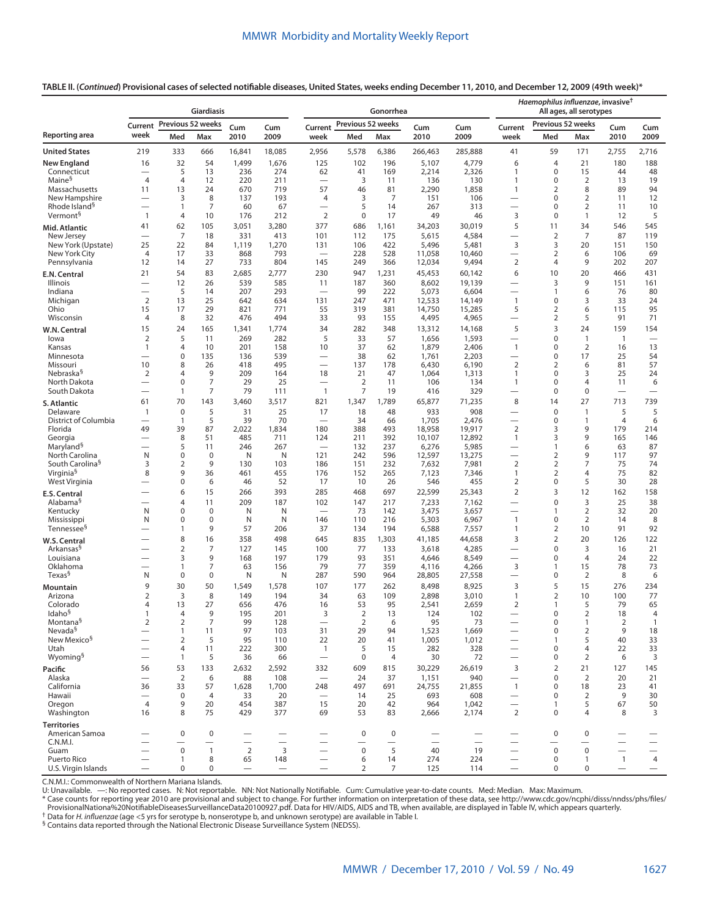**TABLE II. (***Continued***) Provisional cases of selected notifiable diseases, United States, weeks ending December 11, 2010, and December 12, 2009 (49th week)\***

|                                             | <b>Giardiasis</b>              |                             |                                          |                                            |                                  |                                         | Gonorrhea                             |                               |                 |                 |                                                      |                                | Haemophilus influenzae, invasive <sup>†</sup><br>All ages, all serotypes |                          |                          |  |  |  |
|---------------------------------------------|--------------------------------|-----------------------------|------------------------------------------|--------------------------------------------|----------------------------------|-----------------------------------------|---------------------------------------|-------------------------------|-----------------|-----------------|------------------------------------------------------|--------------------------------|--------------------------------------------------------------------------|--------------------------|--------------------------|--|--|--|
|                                             |                                | Current Previous 52 weeks   |                                          | Cum                                        | Cum                              | Current                                 | Previous 52 weeks                     |                               | Cum             | Cum             | Current                                              | Previous 52 weeks              |                                                                          | Cum                      | Cum                      |  |  |  |
| Reporting area                              | week                           | Med                         | Max                                      | 2010                                       | 2009                             | week                                    | Med                                   | Max                           | 2010            | 2009            | week                                                 | Med                            | Max                                                                      | 2010                     | 2009                     |  |  |  |
| <b>United States</b>                        | 219                            | 333                         | 666                                      | 16,841                                     | 18,085                           | 2,956                                   | 5,578                                 | 6,386                         | 266,463         | 285,888         | 41                                                   | 59                             | 171                                                                      | 2,755                    | 2,716                    |  |  |  |
| <b>New England</b>                          | 16                             | 32                          | 54                                       | 1,499                                      | 1,676                            | 125                                     | 102                                   | 196                           | 5,107           | 4,779           | 6                                                    | $\overline{4}$                 | 21                                                                       | 180                      | 188                      |  |  |  |
| Connecticut                                 |                                | 5                           | 13                                       | 236                                        | 274                              | 62                                      | 41                                    | 169                           | 2,214           | 2,326           | $\mathbf{1}$                                         | $\mathbf 0$                    | 15                                                                       | 44                       | 48                       |  |  |  |
| Maine <sup>§</sup><br>Massachusetts         | $\overline{4}$<br>11           | 4<br>13                     | 12<br>24                                 | 220<br>670                                 | 211<br>719                       | $\overline{\phantom{0}}$<br>57          | 3<br>46                               | 11<br>81                      | 136<br>2,290    | 130<br>1,858    | $\mathbf{1}$<br>$\mathbf{1}$                         | 0<br>2                         | 2<br>8                                                                   | 13<br>89                 | 19<br>94                 |  |  |  |
| New Hampshire                               |                                | 3                           | 8                                        | 137                                        | 193                              | 4                                       | 3                                     | 7                             | 151             | 106             | $\overline{\phantom{0}}$                             | $\mathbf 0$                    | 2                                                                        | 11                       | 12                       |  |  |  |
| Rhode Island <sup>§</sup>                   |                                | $\mathbf{1}$                | 7                                        | 60                                         | 67                               |                                         | 5                                     | 14                            | 267             | 313             |                                                      | $\mathbf 0$                    | $\overline{2}$                                                           | 11                       | 10                       |  |  |  |
| Vermont <sup>§</sup>                        | $\mathbf{1}$                   | $\overline{4}$              | 10                                       | 176                                        | 212                              | $\overline{2}$                          | $\mathbf 0$                           | 17                            | 49              | 46              | 3                                                    | $\mathbf 0$                    | $\mathbf{1}$                                                             | 12                       | 5                        |  |  |  |
| Mid. Atlantic                               | 41                             | 62<br>$\overline{7}$        | 105<br>18                                | 3,051<br>331                               | 3,280<br>413                     | 377<br>101                              | 686<br>112                            | 1,161<br>175                  | 34,203<br>5,615 | 30,019<br>4,584 | 5                                                    | 11<br>$\overline{2}$           | 34<br>7                                                                  | 546<br>87                | 545<br>119               |  |  |  |
| New Jersey<br>New York (Upstate)            | 25                             | 22                          | 84                                       | 1,119                                      | 1,270                            | 131                                     | 106                                   | 422                           | 5,496           | 5,481           | 3                                                    | 3                              | 20                                                                       | 151                      | 150                      |  |  |  |
| New York City                               | $\overline{4}$                 | 17                          | 33                                       | 868                                        | 793                              | $\overline{\phantom{0}}$                | 228                                   | 528                           | 11,058          | 10,460          |                                                      | $\overline{2}$                 | 6                                                                        | 106                      | 69                       |  |  |  |
| Pennsylvania                                | 12                             | 14                          | 27                                       | 733                                        | 804                              | 145                                     | 249                                   | 366                           | 12,034          | 9,494           | $\overline{2}$                                       | $\overline{4}$                 | 9                                                                        | 202                      | 207                      |  |  |  |
| E.N. Central                                | 21                             | 54                          | 83                                       | 2,685                                      | 2,777                            | 230                                     | 947                                   | 1,231                         | 45,453          | 60,142          | 6                                                    | 10                             | 20                                                                       | 466                      | 431                      |  |  |  |
| Illinois<br>Indiana                         |                                | 12<br>5                     | 26<br>14                                 | 539<br>207                                 | 585<br>293                       | 11                                      | 187<br>99                             | 360<br>222                    | 8,602<br>5,073  | 19,139<br>6,604 | $\overline{\phantom{0}}$<br>$\overline{\phantom{0}}$ | 3<br>$\mathbf{1}$              | 9<br>6                                                                   | 151<br>76                | 161<br>80                |  |  |  |
| Michigan                                    | $\overline{2}$                 | 13                          | 25                                       | 642                                        | 634                              | 131                                     | 247                                   | 471                           | 12,533          | 14,149          | $\mathbf{1}$                                         | $\mathbf 0$                    | 3                                                                        | 33                       | 24                       |  |  |  |
| Ohio                                        | 15                             | 17                          | 29                                       | 821                                        | 771                              | 55                                      | 319                                   | 381                           | 14,750          | 15,285          | 5                                                    | $\overline{2}$                 | 6                                                                        | 115                      | 95                       |  |  |  |
| Wisconsin                                   | 4                              | 8                           | 32                                       | 476                                        | 494                              | 33                                      | 93                                    | 155                           | 4,495           | 4,965           | $\overline{\phantom{0}}$                             | $\overline{2}$                 | 5                                                                        | 91                       | 71                       |  |  |  |
| W.N. Central                                | 15                             | 24                          | 165                                      | 1,341                                      | 1,774                            | 34                                      | 282                                   | 348                           | 13,312          | 14,168          | 5                                                    | 3                              | 24                                                                       | 159                      | 154                      |  |  |  |
| lowa                                        | $\overline{2}$                 | 5                           | 11                                       | 269                                        | 282                              | 5                                       | 33                                    | 57                            | 1,656           | 1,593           | $\overline{\phantom{0}}$                             | $\mathbf 0$                    | $\mathbf{1}$                                                             | $\overline{1}$           | $\overline{\phantom{0}}$ |  |  |  |
| Kansas<br>Minnesota                         | $\mathbf{1}$                   | 4<br>0                      | 10<br>135                                | 201<br>136                                 | 158<br>539                       | 10<br>$\overline{\phantom{0}}$          | 37<br>38                              | 62<br>62                      | 1,879<br>1,761  | 2,406<br>2,203  | $\mathbf{1}$<br>-                                    | $\mathbf 0$<br>$\mathbf 0$     | 2<br>17                                                                  | 16<br>25                 | 13<br>54                 |  |  |  |
| Missouri                                    | 10                             | 8                           | 26                                       | 418                                        | 495                              | $\overline{\phantom{0}}$                | 137                                   | 178                           | 6,430           | 6,190           | $\overline{2}$                                       | $\overline{2}$                 | 6                                                                        | 81                       | 57                       |  |  |  |
| Nebraska <sup>§</sup>                       | $\overline{2}$                 | 4                           | 9                                        | 209                                        | 164                              | 18                                      | 21                                    | 47                            | 1,064           | 1,313           | $\mathbf{1}$                                         | $\mathbf 0$                    | 3                                                                        | 25                       | 24                       |  |  |  |
| North Dakota                                |                                | 0                           | 7                                        | 29                                         | 25                               | $\overline{\phantom{0}}$                | $\overline{2}$                        | 11                            | 106             | 134             | $\mathbf{1}$                                         | $\mathbf 0$                    | 4                                                                        | 11                       | 6                        |  |  |  |
| South Dakota                                |                                | 1                           | 7                                        | 79                                         | 111                              | $\mathbf{1}$                            | 7                                     | 19                            | 416             | 329             | $\overline{\phantom{0}}$                             | 0                              | 0                                                                        | $\overline{\phantom{0}}$ |                          |  |  |  |
| <b>S. Atlantic</b><br>Delaware              | 61<br>$\mathbf{1}$             | 70<br>$\mathbf 0$           | 143<br>5                                 | 3,460<br>31                                | 3,517<br>25                      | 821<br>17                               | 1,347<br>18                           | 1,789<br>48                   | 65,877<br>933   | 71,235<br>908   | 8<br>$\overline{\phantom{0}}$                        | 14<br>$\mathbf 0$              | 27<br>$\mathbf{1}$                                                       | 713<br>5                 | 739<br>5                 |  |  |  |
| <b>District of Columbia</b>                 |                                | $\mathbf{1}$                | 5                                        | 39                                         | 70                               | $\overline{\phantom{0}}$                | 34                                    | 66                            | 1,705           | 2,476           | $\overline{\phantom{0}}$                             | $\mathbf 0$                    | 1                                                                        | $\overline{4}$           | 6                        |  |  |  |
| Florida                                     | 49                             | 39                          | 87                                       | 2,022                                      | 1,834                            | 180                                     | 388                                   | 493                           | 18,958          | 19,917          | $\overline{2}$                                       | 3                              | 9                                                                        | 179                      | 214                      |  |  |  |
| Georgia                                     |                                | 8                           | 51                                       | 485                                        | 711                              | 124                                     | 211                                   | 392                           | 10,107          | 12,892          | $\mathbf{1}$                                         | 3                              | 9                                                                        | 165                      | 146                      |  |  |  |
| Maryland <sup>§</sup><br>North Carolina     | N                              | 5<br>0                      | 11<br>$\mathbf{0}$                       | 246<br>N                                   | 267<br>N                         | 121                                     | 132<br>242                            | 237<br>596                    | 6,276<br>12,597 | 5,985<br>13,275 | $\overline{\phantom{0}}$                             | $\mathbf{1}$<br>$\overline{2}$ | 6<br>9                                                                   | 63<br>117                | 87<br>97                 |  |  |  |
| South Carolina <sup>§</sup>                 | 3                              | $\overline{2}$              | 9                                        | 130                                        | 103                              | 186                                     | 151                                   | 232                           | 7,632           | 7,981           | $\overline{2}$                                       | $\sqrt{2}$                     | 7                                                                        | 75                       | 74                       |  |  |  |
| Virginia <sup>§</sup>                       | 8                              | 9                           | 36                                       | 461                                        | 455                              | 176                                     | 152                                   | 265                           | 7,123           | 7,346           | $\mathbf{1}$                                         | $\overline{2}$                 | 4                                                                        | 75                       | 82                       |  |  |  |
| West Virginia                               |                                | 0                           | 6                                        | 46                                         | 52                               | 17                                      | 10                                    | 26                            | 546             | 455             | 2                                                    | $\mathbf 0$                    | 5                                                                        | 30                       | 28                       |  |  |  |
| E.S. Central                                |                                | 6                           | 15                                       | 266                                        | 393                              | 285                                     | 468                                   | 697                           | 22,599          | 25,343          | $\overline{2}$                                       | 3                              | 12                                                                       | 162                      | 158                      |  |  |  |
| Alabama <sup>§</sup>                        |                                | 4                           | 11                                       | 209                                        | 187                              | 102                                     | 147                                   | 217                           | 7,233           | 7,162           |                                                      | $\mathbf 0$                    | 3                                                                        | 25                       | 38                       |  |  |  |
| Kentucky<br>Mississippi                     | N<br>N                         | 0<br>0                      | $\mathbf 0$<br>0                         | N<br>N                                     | N<br>N                           | $\overline{\phantom{0}}$<br>146         | 73<br>110                             | 142<br>216                    | 3,475<br>5,303  | 3,657<br>6,967  | $\mathbf{1}$                                         | $\mathbf{1}$<br>$\mathbf 0$    | $\overline{2}$<br>2                                                      | 32<br>14                 | 20<br>8                  |  |  |  |
| Tennessee <sup>§</sup>                      |                                | $\mathbf{1}$                | 9                                        | 57                                         | 206                              | 37                                      | 134                                   | 194                           | 6,588           | 7,557           | $\mathbf{1}$                                         | $\overline{2}$                 | 10                                                                       | 91                       | 92                       |  |  |  |
| W.S. Central                                |                                | 8                           | 16                                       | 358                                        | 498                              | 645                                     | 835                                   | 1,303                         | 41,185          | 44,658          | 3                                                    | $\overline{2}$                 | 20                                                                       | 126                      | 122                      |  |  |  |
| Arkansas <sup>§</sup>                       |                                | $\overline{2}$              | 7                                        | 127                                        | 145                              | 100                                     | 77                                    | 133                           | 3,618           | 4,285           | -                                                    | $\mathbf 0$                    | 3                                                                        | 16                       | 21                       |  |  |  |
| Louisiana                                   |                                | 3                           | 9                                        | 168                                        | 197                              | 179                                     | 93                                    | 351                           | 4,646           | 8,549           |                                                      | 0                              | 4                                                                        | 24                       | 22                       |  |  |  |
| Oklahoma<br>Texas <sup>§</sup>              | N                              | $\mathbf{1}$<br>$\mathbf 0$ | 7<br>0                                   | 63<br>N                                    | 156<br>N                         | 79<br>287                               | 77<br>590                             | 359<br>964                    | 4,116<br>28,805 | 4,266<br>27,558 | 3<br>$\overline{\phantom{0}}$                        | $\mathbf{1}$<br>$\mathbf 0$    | 15<br>2                                                                  | 78<br>8                  | 73<br>6                  |  |  |  |
| <b>Mountain</b>                             | 9                              | 30                          | 50                                       | 1,549                                      | 1,578                            | 107                                     | 177                                   | 262                           | 8,498           | 8,925           | 3                                                    | 5                              | 15                                                                       | 276                      | 234                      |  |  |  |
| Arizona                                     | $\overline{2}$                 | 3                           | 8                                        | 149                                        | 194                              | 34                                      | 63                                    | 109                           | 2,898           | 3,010           | $\mathbf{1}$                                         | $\overline{2}$                 | 10                                                                       | 100                      | 77                       |  |  |  |
| Colorado                                    | 4                              | 13                          | 27                                       | 656                                        | 476                              | 16                                      | 53                                    | 95                            | 2,541           | 2,659           | $\overline{2}$                                       | $\mathbf{1}$                   | 5                                                                        | 79                       | 65                       |  |  |  |
| Idaho <sup>§</sup>                          | 1                              | 4                           | 9                                        | 195                                        | 201                              | 3                                       | 2                                     | 13                            | 124             | 102             |                                                      | $\Omega$                       | 2                                                                        | 18                       | $\overline{4}$           |  |  |  |
| Montana <sup>§</sup><br>Nevada <sup>§</sup> | $\overline{2}$                 | 2<br>$\mathbf{1}$           | $\overline{7}$<br>11                     | 99<br>97                                   | 128<br>103                       | $\overbrace{\phantom{123221111}}$<br>31 | 2<br>29                               | 6<br>94                       | 95<br>1,523     | 73<br>1,669     |                                                      | $\pmb{0}$<br>$\pmb{0}$         | $\mathbf{1}$<br>$\overline{2}$                                           | $\overline{2}$<br>9      | $\overline{1}$<br>18     |  |  |  |
| New Mexico <sup>§</sup>                     |                                | $\overline{2}$              | 5                                        | 95                                         | 110                              | 22                                      | 20                                    | 41                            | 1,005           | 1,012           |                                                      | $\mathbf{1}$                   | 5                                                                        | 40                       | 33                       |  |  |  |
| Utah                                        |                                | $\overline{4}$              | 11                                       | 222                                        | 300                              | $\overline{1}$                          | 5                                     | 15                            | 282             | 328             | $\overline{\phantom{0}}$                             | $\mathbf 0$                    | $\overline{4}$                                                           | 22                       | 33                       |  |  |  |
| Wyoming <sup>§</sup>                        |                                | $\overline{1}$              | 5                                        | 36                                         | 66                               | $\overline{\phantom{m}}$                | $\bf 0$                               | 4                             | 30              | 72              | $\qquad \qquad -$                                    | $\mathbf 0$                    | 2                                                                        | 6                        | $\overline{3}$           |  |  |  |
| Pacific                                     | 56                             | 53                          | 133                                      | 2,632                                      | 2,592                            | 332                                     | 609                                   | 815                           | 30,229          | 26,619          | 3                                                    | $\sqrt{2}$                     | 21                                                                       | 127                      | 145                      |  |  |  |
| Alaska<br>California                        | $\overline{\phantom{0}}$<br>36 | $\overline{2}$<br>33        | 6<br>57                                  | 88                                         | 108                              | $\overline{\phantom{m}}$<br>248         | 24<br>497                             | 37<br>691                     | 1,151           | 940             | $\overline{\phantom{0}}$<br>$\mathbf{1}$             | $\mathbf 0$<br>$\mathbf 0$     | $\overline{2}$<br>18                                                     | 20<br>23                 | 21<br>41                 |  |  |  |
| Hawaii                                      | $\overline{\phantom{0}}$       | $\mathbf 0$                 | $\overline{4}$                           | 1,628<br>33                                | 1,700<br>20                      | $\overline{\phantom{m}}$                | 14                                    | 25                            | 24,755<br>693   | 21,855<br>608   | $\qquad \qquad -$                                    | $\mathbf 0$                    | 2                                                                        | 9                        | 30                       |  |  |  |
| Oregon                                      | $\overline{4}$                 | 9                           | 20                                       | 454                                        | 387                              | 15                                      | 20                                    | 42                            | 964             | 1,042           | $\qquad \qquad -$                                    | $\mathbf{1}$                   | 5                                                                        | 67                       | 50                       |  |  |  |
| Washington                                  | 16                             | 8                           | 75                                       | 429                                        | 377                              | 69                                      | 53                                    | 83                            | 2,666           | 2,174           | 2                                                    | $\mathbf 0$                    | $\overline{4}$                                                           | 8                        | 3                        |  |  |  |
| <b>Territories</b>                          |                                |                             |                                          |                                            |                                  |                                         |                                       |                               |                 |                 |                                                      |                                |                                                                          |                          |                          |  |  |  |
| American Samoa                              |                                | $\mathbf 0$                 | $\mathbf 0$                              |                                            | $\overline{\phantom{0}}$         | $\overline{\phantom{0}}$                | $\pmb{0}$                             | $\boldsymbol{0}$              | $\equiv$        | $\qquad \qquad$ |                                                      | $\pmb{0}$                      | $\mathbf 0$                                                              |                          |                          |  |  |  |
| C.N.M.I.<br>Guam                            | $\overline{\phantom{0}}$       | $\mathbf 0$                 | $\overline{\phantom{0}}$<br>$\mathbf{1}$ | $\overline{\phantom{0}}$<br>$\overline{2}$ | 3                                | $\qquad \qquad$                         | $\overline{\phantom{0}}$<br>$\pmb{0}$ | $\overline{\phantom{0}}$<br>5 | 40              | 19              | $\overline{\phantom{0}}$                             | $\mathsf 0$                    | $\mathbf 0$                                                              | $\overline{\phantom{0}}$ |                          |  |  |  |
| Puerto Rico                                 |                                | $\mathbf{1}$                | 8                                        | 65                                         | 148                              |                                         | 6                                     | 14                            | 274             | 224             |                                                      | 0                              | $\mathbf{1}$                                                             | $\mathbf{1}$             | $\overline{4}$           |  |  |  |
| U.S. Virgin Islands                         | $\overline{\phantom{0}}$       | 0                           | 0                                        | $\overline{\phantom{0}}$                   | $\overbrace{\phantom{12322111}}$ |                                         | $\overline{2}$                        | $\overline{7}$                | 125             | 114             |                                                      | $\mathbf 0$                    | $\mathbf 0$                                                              |                          |                          |  |  |  |

C.N.M.I.: Commonwealth of Northern Mariana Islands.<br>U: Unavailable. —: No reported cases. N: Not reportable. NN: Not Nationally Notifiable. Cum: Cumulative year-to-date counts. Med: Median. Max: Maximum.<br>\* Case coun

Final for H. influenzae (age <5 yrs for serotype b, nonserotype b, and unknown serotype) are available in Table I.<br>
<sup>5</sup> Contains data reported through the National Electronic Disease Surveillance System (NEDSS).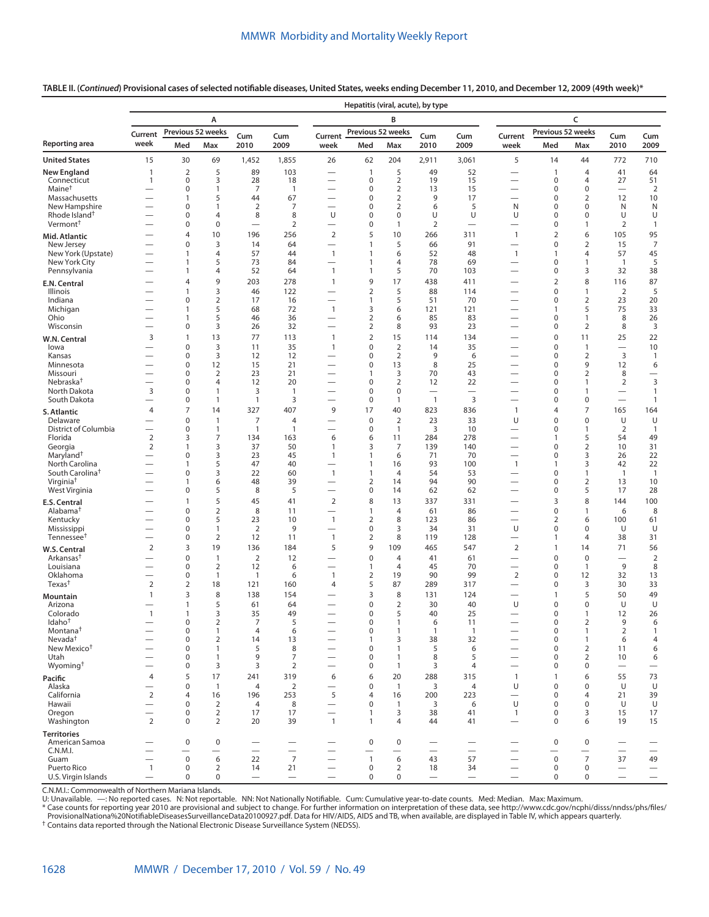### **TABLE II. (***Continued***) Provisional cases of selected notifiable diseases, United States, weeks ending December 11, 2010, and December 12, 2009 (49th week)\***

|                                               |                                            |                             |                                |                                  |                          |                                                      |                                  |                                  | Hepatitis (viral, acute), by type        |                          |                                    |                              |                                  |                                |                                |  |
|-----------------------------------------------|--------------------------------------------|-----------------------------|--------------------------------|----------------------------------|--------------------------|------------------------------------------------------|----------------------------------|----------------------------------|------------------------------------------|--------------------------|------------------------------------|------------------------------|----------------------------------|--------------------------------|--------------------------------|--|
|                                               |                                            |                             | Α                              |                                  |                          |                                                      |                                  | B                                |                                          |                          |                                    |                              | C                                |                                |                                |  |
|                                               | Current                                    | Previous 52 weeks           |                                | Cum                              | Cum                      | Current                                              | Previous 52 weeks                |                                  | Cum                                      | Cum                      | Current                            | Previous 52 weeks            |                                  | Cum                            | Cum                            |  |
| Reporting area                                | week                                       | Med                         | Max                            | 2010                             | 2009                     | week                                                 | Med                              | Max                              | 2010                                     | 2009                     | week                               | Med                          | Max                              | 2010                           | 2009                           |  |
| <b>United States</b>                          | 15                                         | 30                          | 69                             | 1,452                            | 1,855                    | 26                                                   | 62                               | 204                              | 2,911                                    | 3,061                    | 5                                  | 14                           | 44                               | 772                            | 710                            |  |
| <b>New England</b>                            | 1                                          | $\overline{2}$              | 5                              | 89                               | 103                      |                                                      | $\mathbf{1}$                     | 5                                | 49                                       | 52                       |                                    | $\mathbf{1}$                 | 4                                | 41                             | 64                             |  |
| Connecticut<br>Maine <sup>†</sup>             | 1                                          | 0<br>0                      | 3<br>$\mathbf{1}$              | 28<br>7                          | 18<br>$\overline{1}$     |                                                      | 0<br>0                           | $\overline{2}$<br>$\overline{2}$ | 19<br>13                                 | 15<br>15                 |                                    | 0<br>$\mathbf 0$             | 4<br>0                           | 27<br>$\overline{\phantom{0}}$ | 51<br>$\overline{2}$           |  |
| Massachusetts                                 |                                            | 1                           | 5                              | 44                               | 67                       | $\overline{\phantom{0}}$                             | 0                                | $\overline{2}$                   | 9                                        | 17                       |                                    | 0                            | $\overline{2}$                   | 12                             | 10                             |  |
| New Hampshire<br>Rhode Island <sup>†</sup>    |                                            | 0<br>$\pmb{0}$              | $\mathbf{1}$<br>$\overline{4}$ | $\overline{2}$<br>8              | 7<br>8                   | U                                                    | 0<br>0                           | $\overline{2}$<br>$\mathbf 0$    | 6<br>U                                   | 5<br>U                   | N<br>U                             | 0<br>$\mathbf 0$             | 0<br>0                           | N<br>U                         | N<br>U                         |  |
| Vermont <sup>†</sup>                          |                                            | 0                           | $\pmb{0}$                      | $\overline{\phantom{0}}$         | $\overline{2}$           |                                                      | 0                                | 1                                | 2                                        | $\overline{\phantom{0}}$ |                                    | 0                            | 1                                | $\overline{2}$                 | $\overline{1}$                 |  |
| Mid. Atlantic                                 |                                            | 4                           | 10                             | 196                              | 256                      | $\overline{2}$                                       | 5                                | 10                               | 266                                      | 311                      | $\mathbf{1}$                       | $\overline{2}$               | 6                                | 105                            | 95                             |  |
| New Jersey<br>New York (Upstate)              |                                            | 0<br>1                      | 3<br>4                         | 14<br>57                         | 64<br>44                 | $\overline{\phantom{0}}$<br>$\mathbf{1}$             | $\mathbf{1}$<br>$\mathbf{1}$     | 5<br>6                           | 66<br>52                                 | 91<br>48                 | $\mathbf{1}$                       | 0<br>$\mathbf{1}$            | $\overline{2}$<br>4              | 15<br>57                       | $\overline{7}$<br>45           |  |
| New York City                                 | $\overline{\phantom{0}}$                   | $\mathbf{1}$                | 5                              | 73                               | 84                       | $\overline{\phantom{0}}$                             | $\mathbf{1}$                     | $\overline{4}$                   | 78                                       | 69                       | $\overline{\phantom{0}}$           | 0                            | $\mathbf{1}$                     | $\mathbf{1}$                   | 5                              |  |
| Pennsylvania                                  |                                            | 1                           | 4                              | 52                               | 64                       | $\mathbf{1}$                                         | $\mathbf{1}$                     | 5                                | 70                                       | 103                      |                                    | 0                            | 3                                | 32                             | 38                             |  |
| E.N. Central                                  |                                            | $\overline{4}$              | 9                              | 203                              | 278                      | $\mathbf{1}$                                         | 9                                | 17                               | 438                                      | 411                      |                                    | $\overline{2}$               | 8                                | 116                            | 87                             |  |
| Illinois<br>Indiana                           |                                            | $\mathbf{1}$<br>0           | 3<br>$\mathbf 2$               | 46<br>17                         | 122<br>16                |                                                      | $\overline{2}$<br>1              | 5<br>5                           | 88<br>51                                 | 114<br>70                |                                    | 0<br>0                       | $\mathbf{1}$<br>$\overline{2}$   | $\overline{2}$<br>23           | 5<br>20                        |  |
| Michigan                                      |                                            | 1                           | 5                              | 68                               | 72                       | $\mathbf{1}$                                         | 3                                | 6                                | 121                                      | 121                      |                                    | $\mathbf{1}$                 | 5                                | 75                             | 33                             |  |
| Ohio                                          |                                            | $\mathbf{1}$<br>0           | 5<br>3                         | 46                               | 36<br>32                 | $\overline{\phantom{0}}$<br>-                        | $\overline{2}$<br>$\overline{2}$ | 6<br>8                           | 85<br>93                                 | 83<br>23                 |                                    | 0<br>0                       | $\mathbf{1}$<br>$\overline{2}$   | 8<br>8                         | 26<br>3                        |  |
| Wisconsin<br>W.N. Central                     | 3                                          | 1                           | 13                             | 26<br>77                         | 113                      | $\mathbf{1}$                                         | $\overline{2}$                   | 15                               | 114                                      | 134                      |                                    | 0                            | 11                               | 25                             | 22                             |  |
| lowa                                          |                                            | 0                           | 3                              | 11                               | 35                       | $\mathbf{1}$                                         | 0                                | $\overline{2}$                   | 14                                       | 35                       |                                    | 0                            | $\mathbf{1}$                     | $\overline{\phantom{0}}$       | 10                             |  |
| Kansas                                        |                                            | 0                           | 3                              | 12                               | 12                       |                                                      | 0                                | $\overline{2}$                   | 9                                        | 6                        |                                    | 0                            | $\overline{2}$                   | 3                              | $\overline{1}$                 |  |
| Minnesota<br>Missouri                         |                                            | $\mathbf 0$<br>$\mathbf 0$  | 12<br>$\overline{2}$           | 15<br>23                         | 21<br>21                 |                                                      | 0<br>$\mathbf{1}$                | 13<br>3                          | 8<br>70                                  | 25<br>43                 | $\overline{\phantom{0}}$           | 0<br>0                       | 9<br>$\overline{2}$              | 12<br>8                        | 6                              |  |
| Nebraska <sup>†</sup>                         |                                            | $\pmb{0}$                   | $\overline{4}$                 | 12                               | 20                       |                                                      | 0                                | $\overline{2}$                   | 12                                       | 22                       |                                    | 0                            | 1                                | $\overline{2}$                 | $\overline{3}$                 |  |
| North Dakota<br>South Dakota                  | 3                                          | 0<br>$\pmb{0}$              | $\mathbf{1}$<br>$\mathbf{1}$   | 3<br>$\mathbf{1}$                | $\overline{1}$<br>3      | $\overline{\phantom{0}}$<br>$\overline{\phantom{0}}$ | 0<br>0                           | $\mathbf 0$<br>$\mathbf{1}$      | $\overline{\phantom{0}}$<br>$\mathbf{1}$ | 3                        | $\overline{\phantom{0}}$           | 0<br>0                       | $\mathbf{1}$<br>0                | $\overline{\phantom{0}}$       | $\mathbf{1}$<br>$\mathbf{1}$   |  |
| S. Atlantic                                   | $\overline{4}$                             | $\overline{7}$              | 14                             | 327                              | 407                      | 9                                                    | 17                               | 40                               | 823                                      | 836                      | $\mathbf{1}$                       | 4                            | 7                                | 165                            | 164                            |  |
| Delaware                                      |                                            | 0                           | $\mathbf{1}$                   | 7                                | $\overline{4}$           | $\overline{\phantom{0}}$                             | $\pmb{0}$                        | $\overline{2}$                   | 23                                       | 33                       | U                                  | 0                            | 0                                | U                              | U                              |  |
| District of Columbia                          |                                            | $\mathbf 0$                 | $\mathbf{1}$                   | $\overline{1}$                   | $\overline{1}$           | $\overline{\phantom{0}}$                             | 0                                | $\mathbf{1}$                     | 3                                        | 10                       | $\overline{\phantom{0}}$           | 0                            | $\mathbf{1}$                     | 2                              | $\overline{1}$                 |  |
| Florida<br>Georgia                            | $\overline{2}$<br>$\overline{2}$           | 3<br>$\mathbf{1}$           | 7<br>3                         | 134<br>37                        | 163<br>50                | 6<br>$\mathbf{1}$                                    | 6<br>3                           | 11<br>$\overline{7}$             | 284<br>139                               | 278<br>140               |                                    | $\mathbf{1}$<br>0            | 5<br>$\overline{2}$              | 54<br>10                       | 49<br>31                       |  |
| Maryland <sup>+</sup>                         |                                            | $\pmb{0}$                   | 3                              | 23                               | 45                       | $\mathbf{1}$                                         | $\mathbf{1}$                     | 6                                | 71                                       | 70                       |                                    | 0                            | 3                                | 26                             | 22                             |  |
| North Carolina<br>South Carolina <sup>†</sup> |                                            | $\mathbf{1}$<br>$\mathbf 0$ | 5<br>3                         | 47<br>22                         | 40<br>60                 | $\overline{\phantom{0}}$<br>$\mathbf{1}$             | 1<br>$\mathbf{1}$                | 16<br>$\overline{4}$             | 93<br>54                                 | 100<br>53                | $\overline{1}$                     | $\mathbf{1}$<br>$\mathbf 0$  | 3<br>1                           | 42<br>$\overline{1}$           | 22<br>$\overline{1}$           |  |
| Virginia <sup>†</sup>                         |                                            | 1                           | 6                              | 48                               | 39                       | $\overline{\phantom{0}}$                             | $\overline{2}$                   | 14                               | 94                                       | 90                       |                                    | 0                            | $\overline{2}$                   | 13                             | 10                             |  |
| West Virginia                                 |                                            | $\mathbf 0$                 | 5                              | 8                                | 5                        |                                                      | 0                                | 14                               | 62                                       | 62                       | $\overline{\phantom{0}}$           | 0                            | 5                                | 17                             | 28                             |  |
| E.S. Central<br>Alabama <sup>†</sup>          |                                            | $\mathbf{1}$<br>$\pmb{0}$   | 5<br>$\overline{2}$            | 45<br>8                          | 41<br>11                 | $\overline{2}$                                       | 8<br>$\mathbf{1}$                | 13<br>$\overline{4}$             | 337                                      | 331<br>86                |                                    | 3<br>0                       | 8<br>1                           | 144<br>6                       | 100<br>8                       |  |
| Kentucky                                      |                                            | 0                           | 5                              | 23                               | 10                       | $\mathbf{1}$                                         | $\overline{2}$                   | 8                                | 61<br>123                                | 86                       |                                    | $\overline{2}$               | 6                                | 100                            | 61                             |  |
| Mississippi                                   |                                            | 0                           | $\mathbf{1}$                   | $\overline{2}$                   | 9                        | $\overline{\phantom{0}}$                             | 0                                | 3                                | 34                                       | 31                       | U                                  | $\mathbf 0$                  | $\mathbf 0$                      | U                              | U                              |  |
| Tennessee <sup>†</sup>                        | $\overline{\phantom{0}}$<br>$\overline{2}$ | 0<br>3                      | $\overline{2}$<br>19           | 12<br>136                        | 11<br>184                | $\mathbf{1}$<br>5                                    | $\overline{2}$<br>9              | 8<br>109                         | 119                                      | 128<br>547               | 2                                  | $\mathbf{1}$<br>$\mathbf{1}$ | 4<br>14                          | 38<br>71                       | 31                             |  |
| W.S. Central<br>Arkansas <sup>†</sup>         |                                            | 0                           | $\mathbf{1}$                   | $\overline{2}$                   | 12                       | $\overline{\phantom{0}}$                             | 0                                | $\overline{4}$                   | 465<br>41                                | 61                       | $\overline{\phantom{0}}$           | $\mathbf 0$                  | $\mathbf 0$                      |                                | 56<br>$\overline{2}$           |  |
| Louisiana                                     |                                            | $\pmb{0}$                   | $\overline{2}$                 | 12                               | 6                        | $\overline{\phantom{0}}$                             | $\mathbf{1}$                     | $\overline{4}$                   | 45                                       | 70                       |                                    | $\mathbf 0$                  | $\mathbf{1}$                     | 9                              | 8                              |  |
| Oklahoma<br>Texas <sup>†</sup>                | $\overline{2}$                             | 0<br>$\overline{2}$         | $\mathbf{1}$<br>18             | $\overline{1}$<br>121            | 6<br>160                 | $\mathbf{1}$<br>4                                    | $\overline{2}$<br>5              | 19<br>87                         | 90<br>289                                | 99<br>317                | $\overline{2}$<br>$\qquad \qquad$  | 0<br>0                       | 12<br>3                          | 32<br>30                       | 13<br>33                       |  |
| Mountain                                      | 1                                          | 3                           | 8                              | 138                              | 154                      |                                                      | 3                                | 8                                | 131                                      | 124                      | $\overline{\phantom{0}}$           | 1                            | 5                                | 50                             | 49                             |  |
| Arizona                                       |                                            | 1                           | 5                              | 61                               | 64                       |                                                      | 0                                | $\overline{2}$                   | 30                                       | 40                       | U                                  | 0                            | 0                                | U                              | U                              |  |
| Colorado                                      | $\mathbf{1}$                               | $\mathbf{1}$                | 3                              | 35                               | 49                       |                                                      | 0                                | 5                                | 40                                       | 25                       |                                    | 0<br>$\pmb{0}$               | $\mathbf{1}$                     | 12<br>9                        | 26                             |  |
| Idaho <sup>†</sup><br>Montana <sup>†</sup>    |                                            | $\pmb{0}$<br>$\pmb{0}$      | $\overline{2}$<br>$\mathbf{1}$ | $\overline{7}$<br>$\overline{4}$ | 5<br>6                   | $\overline{\phantom{0}}$                             | $\pmb{0}$<br>$\pmb{0}$           | 1<br>$\mathbf{1}$                | 6<br>$\overline{1}$                      | 11<br>$\overline{1}$     |                                    | $\mathbf 0$                  | $\overline{2}$<br>$\mathbf{1}$   | $\overline{2}$                 | 6<br>$\mathbf{1}$              |  |
| Nevada <sup>†</sup>                           |                                            | $\mathbf 0$                 | $\overline{2}$                 | 14                               | 13                       |                                                      | $\mathbf{1}$                     | 3                                | 38                                       | 32                       | $\qquad \qquad$                    | $\mathbf 0$                  | $\mathbf{1}$                     | 6                              | 4                              |  |
| New Mexico <sup>+</sup><br>Utah               |                                            | $\pmb{0}$<br>$\mathbf 0$    | $\mathbf{1}$<br>$\mathbf{1}$   | 5<br>9                           | 8<br>$\overline{7}$      |                                                      | 0<br>0                           | $\mathbf{1}$<br>$\mathbf{1}$     | 5<br>8                                   | 6<br>5                   | $\qquad \qquad$<br>$\qquad \qquad$ | $\mathbf 0$<br>$\mathbf 0$   | $\overline{2}$<br>$\overline{2}$ | 11<br>10                       | 6<br>6                         |  |
| Wyoming <sup>+</sup>                          | $\overline{\phantom{0}}$                   | $\pmb{0}$                   | 3                              | 3                                | $\overline{2}$           | $\overline{\phantom{0}}$                             | $\mathbf 0$                      | $\mathbf{1}$                     | 3                                        | 4                        | $\overline{\phantom{0}}$           | $\mathbf 0$                  | $\mathbf 0$                      |                                | $\qquad \qquad$                |  |
| Pacific                                       | 4                                          | 5                           | 17                             | 241                              | 319                      | 6                                                    | 6                                | 20                               | 288                                      | 315                      | $\mathbf{1}$                       | $\mathbf{1}$                 | 6                                | 55                             | 73                             |  |
| Alaska<br>California                          | $\overline{\phantom{0}}$<br>$\overline{2}$ | $\pmb{0}$<br>$\overline{4}$ | $\mathbf{1}$<br>16             | $\overline{4}$<br>196            | $\overline{2}$<br>253    | $\overline{\phantom{0}}$<br>5                        | 0<br>$\overline{4}$              | $\overline{1}$<br>16             | 3<br>200                                 | $\overline{4}$<br>223    | U<br>$\qquad \qquad$               | $\mathbf 0$<br>$\mathbf 0$   | $\mathbf 0$<br>$\overline{4}$    | U<br>21                        | $\cup$<br>39                   |  |
| Hawaii                                        |                                            | $\mathsf 0$                 | $\overline{2}$                 | $\overline{4}$                   | 8                        | $\overline{\phantom{0}}$                             | 0                                | $\overline{1}$                   | 3                                        | 6                        | U                                  | $\mathbf 0$                  | $\mathsf 0$                      | U                              | U                              |  |
| Oregon                                        |                                            | $\mathsf 0$                 | $\overline{2}$                 | 17                               | 17                       |                                                      | 1                                | 3                                | 38                                       | 41                       | $\mathbf{1}$                       | $\mathbf 0$                  | 3                                | 15                             | 17                             |  |
| Washington                                    | $\overline{2}$                             | $\mathbf 0$                 | $\overline{2}$                 | 20                               | 39                       | $\overline{1}$                                       | $\mathbf{1}$                     | $\overline{4}$                   | 44                                       | 41                       | $\qquad \qquad -$                  | $\mathbf 0$                  | 6                                | 19                             | 15                             |  |
| <b>Territories</b><br>American Samoa          |                                            | $\mathsf 0$                 | $\pmb{0}$                      |                                  | $\overline{\phantom{0}}$ |                                                      | $\mathbf 0$                      | $\mathbf 0$                      |                                          |                          |                                    | $\mathbf 0$                  | $\mathbf 0$                      |                                |                                |  |
| C.N.M.I.                                      |                                            | $\overline{\phantom{0}}$    |                                | $\overline{\phantom{0}}$         | $\overline{\phantom{0}}$ | $\overline{\phantom{0}}$                             | $\overline{\phantom{0}}$         | $\overline{\phantom{0}}$         | $\equiv$                                 | $\overline{\phantom{0}}$ | $\overline{\phantom{0}}$           |                              | $\overline{\phantom{0}}$         | $\overline{\phantom{0}}$       |                                |  |
| Guam<br>Puerto Rico                           | $\mathbf{1}$                               | 0<br>$\boldsymbol{0}$       | 6<br>2                         | 22<br>14                         | $\overline{7}$<br>21     | —                                                    | $\mathbf{1}$<br>$\mathbf 0$      | 6<br>2                           | 43<br>18                                 | 57<br>34                 | —                                  | $\mathsf 0$<br>$\mathbf 0$   | $\overline{7}$<br>$\mathbf 0$    | 37<br>$\qquad \qquad -$        | 49<br>$\overline{\phantom{m}}$ |  |
| U.S. Virgin Islands                           |                                            | 0                           | $\mathbf 0$                    | $\overline{\phantom{0}}$         |                          | $\overline{\phantom{0}}$                             | 0                                | $\mathbf 0$                      |                                          |                          | $\overbrace{\phantom{12322111}}$   | 0                            | $\mathbf 0$                      | $\overline{\phantom{0}}$       | $\overline{\phantom{0}}$       |  |

C.N.M.I.: Commonwealth of Northern Mariana Islands.<br>U: Unavailable. —: No reported cases. N: Not reportable. NN: Not Nationally Notifiable. Cum: Cumulative year-to-date counts. Med: Median. Max: Maximum.<br>\* Case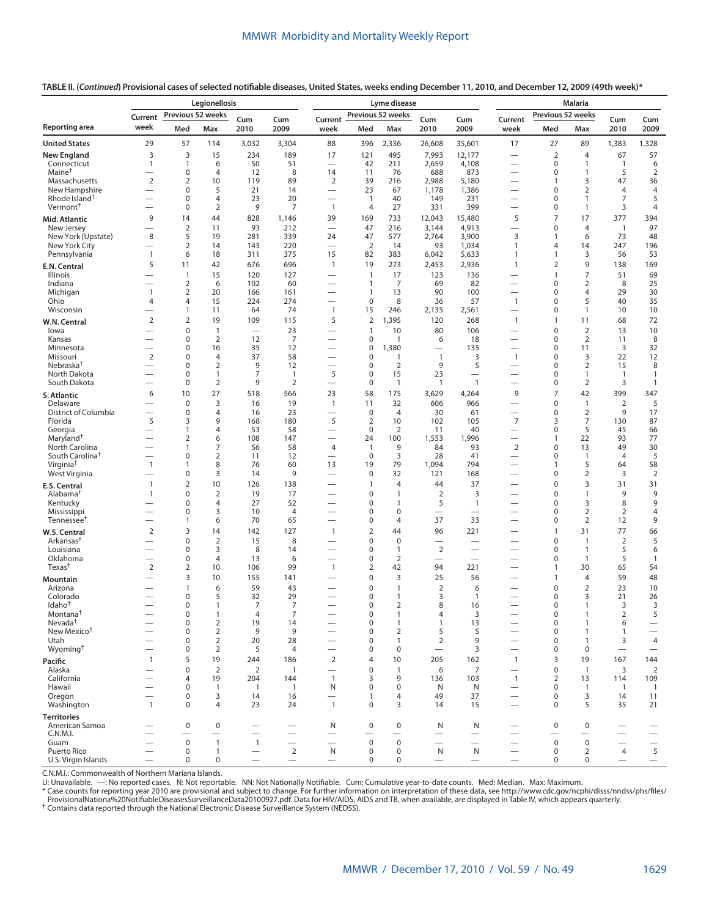| TABLE II. (Continued) Provisional cases of selected notifiable diseases, United States, weeks ending December 11, 2010, and December 12, 2009 (49th week)* |  |
|------------------------------------------------------------------------------------------------------------------------------------------------------------|--|
|------------------------------------------------------------------------------------------------------------------------------------------------------------|--|

|                                             |                          |                                         | Legionellosis                           |                          |                          |                                            |                              | Lyme disease                            |                                | <b>Malaria</b>                           |                                                      |                             |                                  |                          |                       |
|---------------------------------------------|--------------------------|-----------------------------------------|-----------------------------------------|--------------------------|--------------------------|--------------------------------------------|------------------------------|-----------------------------------------|--------------------------------|------------------------------------------|------------------------------------------------------|-----------------------------|----------------------------------|--------------------------|-----------------------|
|                                             | Current                  | Previous 52 weeks                       |                                         |                          |                          |                                            | Previous 52 weeks            |                                         |                                |                                          |                                                      | Previous 52 weeks           |                                  |                          |                       |
| Reporting area                              | week                     | Med                                     | Max                                     | Cum<br>2010              | Cum<br>2009              | Current<br>week                            | Med                          | Max                                     | Cum<br>2010                    | Cum<br>2009                              | Current<br>week                                      | Med                         | Max                              | Cum<br>2010              | Cum<br>2009           |
| <b>United States</b>                        | 29                       | 57                                      | 114                                     | 3,032                    | 3,304                    | 88                                         | 396                          | 2,336                                   | 26,608                         | 35,601                                   | 17                                                   | 27                          | 89                               | 1,383                    | 1,328                 |
| <b>New England</b>                          | 3                        | 3                                       | 15                                      | 234                      | 189                      | 17                                         | 121                          | 495                                     | 7,993                          | 12,177                                   |                                                      | $\overline{2}$              | 4                                | 67                       | 57                    |
| Connecticut                                 | $\mathbf{1}$             | $\mathbf{1}$                            | 6                                       | 50                       | 51                       | $\overline{\phantom{0}}$                   | 42                           | 211                                     | 2,659                          | 4,108                                    |                                                      | $\mathbf 0$                 | 1                                | $\overline{1}$           | 6                     |
| Maine <sup>†</sup><br>Massachusetts         | 2                        | $\mathbf 0$<br>2                        | 4<br>10                                 | 12<br>119                | 8<br>89                  | 14<br>2                                    | 11<br>39                     | 76<br>216                               | 688<br>2,988                   | 873<br>5,180                             | $\overline{\phantom{0}}$<br>$\overline{\phantom{0}}$ | $\mathbf 0$<br>1            | $\mathbf{1}$<br>3                | 5<br>47                  | $\overline{2}$<br>36  |
| New Hampshire                               | $\overline{\phantom{0}}$ | 0                                       | 5                                       | 21                       | 14                       | $\overline{\phantom{0}}$                   | 23                           | 67                                      | 1,178                          | 1,386                                    | $\overline{\phantom{0}}$                             | $\mathbf 0$                 | $\overline{2}$                   | 4                        | 4                     |
| Rhode Island <sup>†</sup>                   | $\overline{\phantom{0}}$ | $\mathbf 0$                             | 4                                       | 23                       | 20                       | $\overline{\phantom{0}}$                   | $\mathbf{1}$                 | 40                                      | 149                            | 231                                      | $\overline{\phantom{0}}$                             | $\mathbf 0$                 | $\mathbf{1}$                     | 7                        | 5                     |
| Vermont <sup>†</sup>                        |                          | 0                                       | $\overline{2}$                          | 9                        | 7                        | $\mathbf{1}$                               | $\overline{4}$               | 27                                      | 331                            | 399                                      | $\overline{\phantom{0}}$                             | $\mathbf 0$                 | $\mathbf{1}$                     | 3                        | $\overline{4}$        |
| Mid. Atlantic                               | 9                        | 14                                      | 44                                      | 828                      | 1,146                    | 39                                         | 169                          | 733                                     | 12,043                         | 15,480                                   | 5                                                    | $\overline{7}$<br>$\Omega$  | 17                               | 377                      | 394<br>97             |
| New Jersey<br>New York (Upstate)            | 8                        | $\overline{2}$<br>5                     | 11<br>19                                | 93<br>281                | 212<br>339               | $\overline{\phantom{0}}$<br>24             | 47<br>47                     | 216<br>577                              | 3,144<br>2,764                 | 4,913<br>3,900                           | 3                                                    | 1                           | $\overline{4}$<br>6              | $\overline{1}$<br>73     | 48                    |
| New York City                               |                          | $\overline{2}$                          | 14                                      | 143                      | 220                      |                                            | $\overline{2}$               | 14                                      | 93                             | 1,034                                    | 1                                                    | 4                           | 14                               | 247                      | 196                   |
| Pennsylvania                                | $\mathbf{1}$             | 6                                       | 18                                      | 311                      | 375                      | 15                                         | 82                           | 383                                     | 6,042                          | 5,633                                    | 1                                                    | 1                           | 3                                | 56                       | 53                    |
| E.N. Central                                | 5                        | 11                                      | 42                                      | 676                      | 696                      | $\mathbf{1}$                               | 19                           | 273                                     | 2,453                          | 2,936                                    | 1                                                    | $\overline{2}$              | 9                                | 138                      | 169                   |
| Illinois<br>Indiana                         |                          | $\mathbf{1}$<br>$\overline{2}$          | 15<br>6                                 | 120<br>102               | 127<br>60                |                                            | $\mathbf{1}$<br>$\mathbf{1}$ | 17<br>7                                 | 123<br>69                      | 136<br>82                                | $\overline{\phantom{0}}$                             | $\mathbf{1}$<br>$\mathbf 0$ | $\overline{7}$<br>$\overline{2}$ | 51<br>8                  | 69<br>25              |
| Michigan                                    | 1                        | 2                                       | 20                                      | 166                      | 161                      | $\overline{\phantom{0}}$                   | 1                            | 13                                      | 90                             | 100                                      | $\overline{\phantom{0}}$                             | $\mathbf 0$                 | 4                                | 29                       | 30                    |
| Ohio                                        | 4                        | 4                                       | 15                                      | 224                      | 274                      | $\overline{\phantom{0}}$                   | $\mathbf 0$                  | 8                                       | 36                             | 57                                       | $\overline{1}$                                       | $\mathbf 0$                 | 5                                | 40                       | 35                    |
| Wisconsin                                   |                          | 1                                       | 11                                      | 64                       | 74                       | $\overline{1}$                             | 15                           | 246                                     | 2,135                          | 2,561                                    | $\overline{\phantom{0}}$                             | $\mathbf 0$                 | $\mathbf{1}$                     | 10                       | 10                    |
| W.N. Central                                | $\overline{2}$           | $\overline{2}$                          | 19                                      | 109                      | 115                      | 5                                          | $\overline{2}$               | 1,395                                   | 120                            | 268                                      | $\mathbf{1}$                                         | $\mathbf{1}$                | 11                               | 68                       | 72                    |
| lowa                                        |                          | $\mathbf 0$                             | $\overline{1}$                          | $\overline{\phantom{0}}$ | 23                       |                                            | 1                            | 10                                      | 80                             | 106                                      | $\overline{\phantom{0}}$                             | $\mathbf 0$                 | $\overline{2}$                   | 13                       | 10                    |
| Kansas<br>Minnesota                         |                          | 0<br>0                                  | $\overline{2}$<br>16                    | 12<br>35                 | $\overline{7}$<br>12     | $\overline{\phantom{0}}$                   | 0<br>0                       | $\mathbf{1}$<br>1,380                   | 6<br>$\overline{\phantom{0}}$  | 18<br>135                                | $\overline{\phantom{0}}$<br>$\overline{\phantom{0}}$ | $\mathbf 0$<br>$\mathbf 0$  | $\overline{2}$<br>11             | 11<br>3                  | 8<br>32               |
| Missouri                                    | $\overline{2}$           | $\mathbf 0$                             | 4                                       | 37                       | 58                       | $\overline{\phantom{0}}$                   | 0                            | $\mathbf{1}$                            | $\mathbf{1}$                   | 3                                        | $\mathbf{1}$                                         | $\mathbf 0$                 | 3                                | 22                       | 12                    |
| Nebraska <sup>†</sup>                       |                          | 0                                       | $\overline{2}$                          | 9                        | 12                       | $\overline{\phantom{0}}$                   | 0                            | $\overline{2}$                          | 9                              | 5                                        |                                                      | $\mathbf 0$                 | $\overline{2}$                   | 15                       | 8                     |
| North Dakota                                |                          | $\mathbf 0$                             | 1                                       | 7                        | $\mathbf{1}$             | 5                                          | 0                            | 15                                      | 23                             |                                          | $\overline{\phantom{0}}$                             | $\mathbf 0$                 | $\mathbf{1}$                     | $\overline{1}$           | $\mathbf{1}$          |
| South Dakota                                |                          | 0<br>10                                 | $\overline{2}$<br>27                    | 9<br>518                 | $\overline{2}$           | $\overline{\phantom{0}}$<br>23             | 0<br>58                      | $\mathbf{1}$<br>175                     | $\mathbf{1}$                   | $\mathbf{1}$                             | 9                                                    | 0<br>$\overline{7}$         | $\overline{2}$<br>42             | 3<br>399                 | $\mathbf{1}$<br>347   |
| S. Atlantic<br>Delaware                     | 6                        | 0                                       | 3                                       | 16                       | 566<br>19                | $\mathbf{1}$                               | 11                           | 32                                      | 3,629<br>606                   | 4,264<br>966                             |                                                      | $\mathbf 0$                 | $\mathbf{1}$                     | $\overline{2}$           | 5                     |
| District of Columbia                        | $\overline{\phantom{0}}$ | 0                                       | 4                                       | 16                       | 23                       | $\overline{\phantom{0}}$                   | $\mathbf 0$                  | $\overline{4}$                          | 30                             | 61                                       | $\overline{\phantom{0}}$                             | $\mathbf 0$                 | $\overline{2}$                   | 9                        | 17                    |
| Florida                                     | 5                        | 3                                       | 9                                       | 168                      | 180                      | 5                                          | $\overline{2}$               | 10                                      | 102                            | 105                                      | 7                                                    | 3                           | 7                                | 130                      | 87                    |
| Georgia                                     | $\overline{\phantom{0}}$ | 1                                       | 4                                       | 53                       | 58                       |                                            | 0                            | $\overline{2}$                          | 11                             | 40                                       |                                                      | $\mathbf 0$                 | 5                                | 45                       | 66                    |
| Maryland <sup>†</sup><br>North Carolina     | $\overline{\phantom{0}}$ | 2<br>1                                  | 6<br>7                                  | 108<br>56                | 147<br>58                | $\overline{\phantom{0}}$<br>4              | 24<br>$\overline{1}$         | 100<br>9                                | 1,553<br>84                    | 1,996<br>93                              | 2                                                    | $\mathbf{1}$<br>0           | 22<br>13                         | 93<br>49                 | 77<br>30              |
| South Carolina <sup>t</sup>                 |                          | $\mathbf 0$                             | $\overline{2}$                          | 11                       | 12                       |                                            | $\mathbf 0$                  | 3                                       | 28                             | 41                                       | —                                                    | $\mathbf 0$                 | $\mathbf{1}$                     | $\overline{4}$           | 5                     |
| Virginia <sup>†</sup>                       | 1                        | 1                                       | 8                                       | 76                       | 60                       | 13                                         | 19                           | 79                                      | 1,094                          | 794                                      | -                                                    |                             | 5                                | 64                       | 58                    |
| West Virginia                               |                          | 0                                       | 3                                       | 14                       | 9                        | $\overline{\phantom{0}}$                   | 0                            | 32                                      | 121                            | 168                                      |                                                      | $\mathbf 0$                 | $\overline{2}$                   | 3                        | 2                     |
| <b>E.S. Central</b>                         | 1                        | $\overline{2}$                          | 10                                      | 126                      | 138                      |                                            | $\mathbf{1}$                 | $\overline{4}$                          | 44                             | 37                                       | -                                                    | $\mathbf 0$                 | 3                                | 31                       | 31                    |
| Alabama <sup>†</sup>                        | $\mathbf{1}$             | $\mathbf 0$<br>0                        | $\overline{2}$<br>4                     | 19<br>27                 | 17<br>52                 |                                            | $\mathbf 0$<br>0             | $\mathbf{1}$<br>1                       | $\overline{2}$<br>5            | 3                                        | -                                                    | $\mathbf 0$<br>$\mathbf 0$  | $\mathbf{1}$<br>3                | 9<br>8                   | 9<br>9                |
| Kentucky<br>Mississippi                     |                          | 0                                       | 3                                       | 10                       | $\overline{4}$           |                                            | 0                            | $\mathbf 0$                             | $\overline{\phantom{0}}$       | $\mathbf{1}$<br>$\overline{\phantom{0}}$ |                                                      | $\mathbf 0$                 | $\overline{2}$                   | $\overline{2}$           | 4                     |
| Tennessee <sup>t</sup>                      |                          | 1                                       | 6                                       | 70                       | 65                       |                                            | 0                            | $\overline{4}$                          | 37                             | 33                                       | -                                                    | 0                           | $\overline{2}$                   | 12                       | 9                     |
| W.S. Central                                | $\overline{2}$           | 3                                       | 14                                      | 142                      | 127                      | $\mathbf{1}$                               | $\overline{2}$               | 44                                      | 96                             | 221                                      |                                                      | $\mathbf{1}$                | 31                               | 77                       | 66                    |
| Arkansas <sup>†</sup>                       |                          | $\mathbf 0$                             | $\overline{2}$                          | 15                       | 8                        |                                            | 0                            | $\mathbf 0$                             | $\overline{\phantom{0}}$       |                                          |                                                      | $\mathbf 0$                 | $\mathbf{1}$                     | $\overline{2}$           | 5                     |
| Louisiana                                   |                          | 0                                       | 3<br>4                                  | 8                        | 14                       | $\overline{\phantom{0}}$                   | 0                            | 1                                       | 2                              | $\overline{\phantom{0}}$                 |                                                      | $\mathbf 0$                 | $\mathbf{1}$                     | 5                        | 6                     |
| Oklahoma<br>Texas <sup>t</sup>              | $\overline{2}$           | 0<br>2                                  | 10                                      | 13<br>106                | 6<br>99                  | $\mathbf{1}$                               | 0<br>2                       | $\overline{2}$<br>42                    | $\overline{\phantom{0}}$<br>94 | $\overline{\phantom{0}}$<br>221          |                                                      | $\mathbf 0$<br>1            | $\mathbf{1}$<br>30               | 5<br>65                  | $\mathbf{1}$<br>54    |
| Mountain                                    |                          | 3                                       | 10                                      | 155                      | 141                      |                                            | $\Omega$                     | 3                                       | 25                             | 56                                       |                                                      | 1                           | $\overline{4}$                   | 59                       | 48                    |
| Arizona                                     |                          | $\mathbf{1}$                            | 6                                       | 59                       | 43                       |                                            | 0                            | $\mathbf{1}$                            | $\overline{2}$                 | 6                                        |                                                      | $\mathbf 0$                 | $\overline{2}$                   | 23                       | 10                    |
| Colorado                                    |                          | $\mathbf 0$                             | 5                                       | 32                       | 29                       |                                            | 0                            | $\mathbf{1}$                            | 3                              | $\mathbf{1}$                             |                                                      | $\mathbf 0$                 | 3                                | 21                       | 26                    |
| Idaho <sup>†</sup>                          |                          | 0                                       | 1                                       | 7<br>$\overline{4}$      | $\overline{7}$           |                                            | $\Omega$                     | $\overline{2}$                          | 8                              | 16                                       |                                                      | $\Omega$                    | $\mathbf{1}$                     | 3                        | 3                     |
| Montana <sup>†</sup><br>Nevada <sup>†</sup> |                          | 0<br>0                                  | $\mathbf{1}$<br>$\overline{2}$          | 19                       | 7<br>14                  |                                            | $\pmb{0}$<br>0               | $\mathbf{1}$<br>$\mathbf{1}$            | $\overline{4}$<br>$\mathbf{1}$ | 3<br>13                                  | -                                                    | $\mathbf 0$<br>0            | $\mathbf{1}$<br>$\mathbf{1}$     | $\overline{2}$<br>6      | 5                     |
| New Mexico <sup>+</sup>                     |                          | 0                                       | $\overline{2}$                          | 9                        | 9                        | $\overline{\phantom{0}}$                   | 0                            | $\overline{2}$                          | 5                              | 5                                        |                                                      | $\pmb{0}$                   | $\mathbf{1}$                     | $\mathbf{1}$             |                       |
| Utah                                        |                          | $\mathbf 0$                             | $\overline{2}$                          | 20                       | 28                       |                                            | 0                            | 1                                       | 2                              | 9                                        |                                                      | $\mathbf 0$                 | $\mathbf{1}$                     | 3                        | $\overline{4}$        |
| Wyoming <sup>+</sup>                        |                          | 0                                       | $\overline{2}$                          | 5                        | $\overline{4}$           | $\overline{\phantom{0}}$                   | 0                            | $\mathbf 0$                             | $\qquad \qquad -$              | 3                                        | $\overline{\phantom{0}}$                             | $\mathbf 0$                 | $\mathbf 0$                      | $\overline{\phantom{0}}$ | $\qquad \qquad -$     |
| Pacific                                     | $\mathbf{1}$             | 5                                       | 19                                      | 244                      | 186                      | $\overline{2}$                             | 4                            | 10                                      | 205                            | 162                                      | $\overline{1}$                                       | 3                           | 19                               | 167                      | 144                   |
| Alaska<br>California                        |                          | $\mathbf 0$<br>$\overline{4}$           | 2<br>19                                 | 2<br>204                 | $\mathbf{1}$<br>144      | $\overline{\phantom{0}}$<br>$\overline{1}$ | 0<br>3                       | $\mathbf{1}$<br>9                       | 6<br>136                       | 7<br>103                                 | $\overline{\phantom{0}}$<br>$\overline{1}$           | $\mathbf 0$<br>2            | $\mathbf{1}$<br>13               | 3<br>114                 | $\overline{2}$<br>109 |
| Hawaii                                      |                          | 0                                       | $\mathbf{1}$                            | $\overline{1}$           | $\overline{1}$           | N                                          | 0                            | $\pmb{0}$                               | N                              | N                                        | $\overline{\phantom{0}}$                             | $\mathbf 0$                 | $\mathbf{1}$                     | $\overline{1}$           | $\mathbf{1}$          |
| Oregon                                      |                          | 0                                       | 3                                       | 14                       | 16                       | $\overline{\phantom{0}}$                   | $\mathbf{1}$                 | 4                                       | 49                             | 37                                       | $\overbrace{\phantom{123221111}}$                    | $\mathbf 0$                 | 3                                | 14                       | 11                    |
| Washington                                  | $\mathbf{1}$             | $\mathbf 0$                             | 4                                       | 23                       | 24                       | $\overline{1}$                             | $\Omega$                     | 3                                       | 14                             | 15                                       | $\overline{\phantom{0}}$                             | $\mathbf 0$                 | 5                                | 35                       | 21                    |
| <b>Territories</b>                          |                          |                                         |                                         |                          |                          |                                            |                              |                                         |                                |                                          |                                                      |                             |                                  |                          |                       |
| American Samoa<br>C.N.M.I.                  |                          | $\mathbf 0$<br>$\overline{\phantom{0}}$ | $\mathbf 0$<br>$\overline{\phantom{0}}$ | $\overline{\phantom{0}}$ | $\overline{\phantom{0}}$ | N                                          | $\mathbf 0$                  | $\mathbf 0$<br>$\overline{\phantom{0}}$ | N                              | N<br>$\overline{\phantom{0}}$            | $\overline{\phantom{0}}$<br>$\overline{\phantom{0}}$ | $\mathbf 0$                 | $\pmb{0}$                        |                          |                       |
| Guam                                        |                          | $\mathbf 0$                             | $\mathbf{1}$                            | $\mathbf{1}$             | $\overline{\phantom{m}}$ |                                            | $\mathbf 0$                  | $\pmb{0}$                               | $\overline{\phantom{m}}$       |                                          | $\overline{\phantom{0}}$                             | $\mathbf 0$                 | $\mathsf 0$                      | $\overline{\phantom{0}}$ |                       |
| Puerto Rico                                 |                          | 0                                       | $\mathbf{1}$                            | $\overline{\phantom{0}}$ | $\overline{2}$           | N                                          | $\pmb{0}$                    | $\mathbf 0$                             | N                              | N                                        | $\overbrace{\phantom{123221111}}$                    | $\mathbf 0$                 | $\overline{2}$                   | $\overline{4}$           | 5                     |
| U.S. Virgin Islands                         | $\overline{\phantom{0}}$ | $\mathbf 0$                             | $\pmb{0}$                               |                          | $\overline{\phantom{m}}$ |                                            | 0                            | $\mathbf 0$                             | $\qquad \qquad$                | $\qquad \qquad$                          |                                                      | 0                           | 0                                |                          | $\qquad \qquad -$     |

C.N.M.I.: Commonwealth of Northern Mariana Islands.

U: Unavailable. —: No reported cases. N: Not reportable. NN: Not Nationally Notifiable. Cum: Cumulative year-to-date counts. Med: Median. Max: Maximum.<br>\* Case counts for reporting year 2010 are provisional and subjec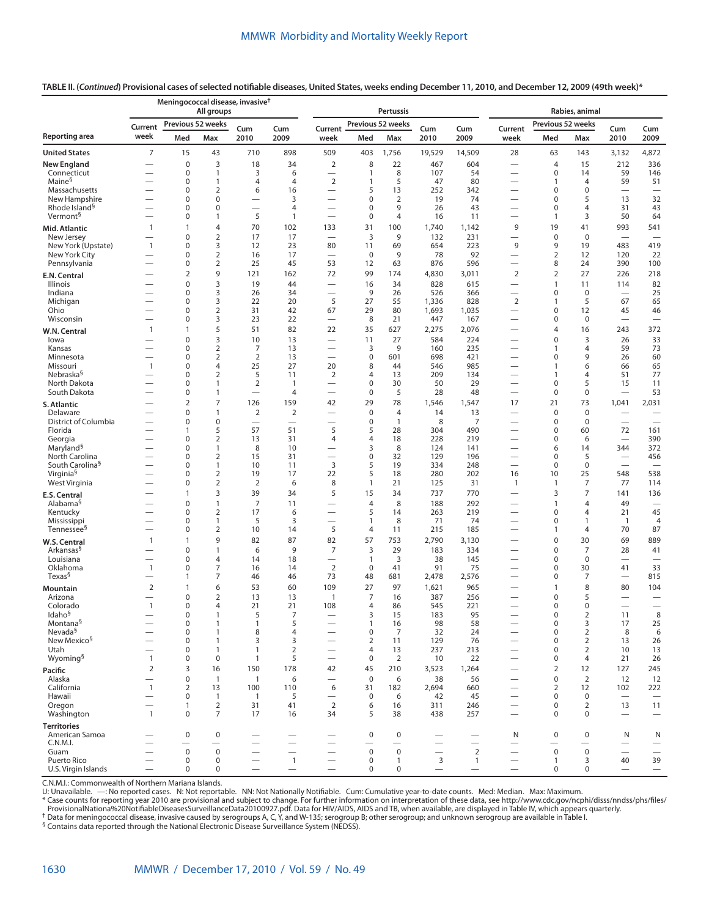### **TABLE II. (***Continued***) Provisional cases of selected notifiable diseases, United States, weeks ending December 11, 2010, and December 12, 2009 (49th week)\***

|                                               |                                                      | Meningococcal disease, invasive <sup>†</sup> | All groups                       |                                            |                          | Pertussis                                            |                            |                                |                          |                          | Rabies, animal                                       |                             |                                |                                |                                  |
|-----------------------------------------------|------------------------------------------------------|----------------------------------------------|----------------------------------|--------------------------------------------|--------------------------|------------------------------------------------------|----------------------------|--------------------------------|--------------------------|--------------------------|------------------------------------------------------|-----------------------------|--------------------------------|--------------------------------|----------------------------------|
|                                               | Current                                              | Previous 52 weeks                            |                                  | Cum                                        | Cum                      | Current                                              |                            | Previous 52 weeks              | Cum                      | Cum                      | Current                                              | Previous 52 weeks           |                                | Cum                            | Cum                              |
| Reporting area                                | week                                                 | Med                                          | Max                              | 2010                                       | 2009                     | week                                                 | Med                        | Max                            | 2010                     | 2009                     | week                                                 | Med                         | Max                            | 2010                           | 2009                             |
| <b>United States</b>                          | $\overline{7}$                                       | 15                                           | 43                               | 710                                        | 898                      | 509                                                  | 403                        | 1,756                          | 19,529                   | 14,509                   | 28                                                   | 63                          | 143                            | 3,132                          | 4,872                            |
| <b>New England</b>                            | $\overline{\phantom{0}}$                             | 0                                            | 3                                | 18                                         | 34                       | $\overline{2}$                                       | 8                          | 22                             | 467                      | 604                      | -                                                    | 4                           | 15                             | 212                            | 336                              |
| Connecticut                                   |                                                      | 0                                            | 1                                | 3                                          | 6                        | $\overline{\phantom{0}}$                             | $\mathbf{1}$               | 8                              | 107                      | 54                       |                                                      | $\mathbf 0$                 | 14                             | 59                             | 146                              |
| Maine <sup>§</sup><br>Massachusetts           |                                                      | 0<br>0                                       | 1<br>$\overline{2}$              | 4<br>6                                     | 4<br>16                  | $\overline{2}$<br>$\overline{\phantom{0}}$           | 1<br>5                     | 5<br>13                        | 47<br>252                | 80<br>342                | —<br>-                                               | $\mathbf{1}$<br>$\mathbf 0$ | $\overline{4}$<br>$\mathbf 0$  | 59<br>$\overline{\phantom{0}}$ | 51                               |
| New Hampshire                                 |                                                      | 0                                            | $\mathbf 0$                      |                                            | 3                        |                                                      | 0                          | $\overline{2}$                 | 19                       | 74                       |                                                      | 0                           | 5                              | 13                             | 32                               |
| Rhode Island <sup>§</sup>                     |                                                      | 0                                            | $\mathbf 0$                      | —                                          | 4                        |                                                      | 0                          | 9                              | 26                       | 43                       | —                                                    | $\mathbf 0$                 | 4                              | 31                             | 43                               |
| Vermont <sup>§</sup>                          |                                                      | 0                                            | 1                                | 5                                          | 1                        | $\overline{\phantom{0}}$                             | 0                          | 4                              | 16                       | 11                       | $\overline{\phantom{0}}$                             | $\mathbf{1}$                | 3                              | 50                             | 64                               |
| Mid. Atlantic                                 | 1                                                    | $\mathbf{1}$                                 | $\overline{4}$                   | 70                                         | 102                      | 133                                                  | 31                         | 100                            | 1,740                    | 1,142                    | 9                                                    | 19                          | 41                             | 993                            | 541                              |
| New Jersey<br>New York (Upstate)              | $\overline{\phantom{0}}$<br>$\mathbf{1}$             | 0<br>0                                       | $\overline{2}$<br>3              | 17<br>12                                   | 17<br>23                 | $\overline{\phantom{0}}$<br>80                       | 3<br>11                    | 9<br>69                        | 132<br>654               | 231<br>223               | —<br>9                                               | $\mathbf 0$<br>9            | $\mathbf 0$<br>19              | 483                            | 419                              |
| New York City                                 |                                                      | 0                                            | $\overline{2}$                   | 16                                         | 17                       |                                                      | $\mathbf 0$                | 9                              | 78                       | 92                       | $\overline{\phantom{0}}$                             | $\overline{2}$              | 12                             | 120                            | 22                               |
| Pennsylvania                                  | $\overline{\phantom{0}}$                             | 0                                            | $\overline{2}$                   | 25                                         | 45                       | 53                                                   | 12                         | 63                             | 876                      | 596                      | —                                                    | 8                           | 24                             | 390                            | 100                              |
| E.N. Central                                  |                                                      | $\overline{2}$                               | 9                                | 121                                        | 162                      | 72                                                   | 99                         | 174                            | 4,830                    | 3,011                    | $\overline{2}$                                       | $\overline{2}$              | 27                             | 226                            | 218                              |
| Illinois                                      |                                                      | 0                                            | 3                                | 19                                         | 44                       | $\overline{\phantom{0}}$                             | 16                         | 34                             | 828                      | 615                      | —                                                    | $\mathbf{1}$                | 11                             | 114                            | 82                               |
| Indiana<br>Michigan                           |                                                      | 0<br>0                                       | 3<br>3                           | 26<br>22                                   | 34<br>20                 | $\overline{\phantom{0}}$<br>5                        | 9<br>27                    | 26<br>55                       | 526<br>1,336             | 366<br>828               | $\overline{2}$                                       | 0<br>$\mathbf{1}$           | 0<br>5                         | 67                             | 25<br>65                         |
| Ohio                                          |                                                      | 0                                            | $\mathbf 2$                      | 31                                         | 42                       | 67                                                   | 29                         | 80                             | 1,693                    | 1,035                    | $\overline{\phantom{0}}$                             | 0                           | 12                             | 45                             | 46                               |
| Wisconsin                                     |                                                      | 0                                            | 3                                | 23                                         | 22                       | $\overline{\phantom{0}}$                             | 8                          | 21                             | 447                      | 167                      | $\overline{\phantom{0}}$                             | $\mathbf 0$                 | 0                              | $\overline{\phantom{0}}$       | $\overline{\phantom{0}}$         |
| W.N. Central                                  | $\mathbf{1}$                                         | 1                                            | 5                                | 51                                         | 82                       | 22                                                   | 35                         | 627                            | 2,275                    | 2,076                    |                                                      | $\overline{4}$              | 16                             | 243                            | 372                              |
| lowa                                          |                                                      | 0                                            | 3                                | 10                                         | 13                       | $\overline{\phantom{0}}$                             | 11                         | 27                             | 584                      | 224                      |                                                      | $\mathbf 0$                 | 3                              | 26                             | 33                               |
| Kansas                                        |                                                      | 0<br>0                                       | $\overline{2}$<br>$\overline{2}$ | 7<br>$\overline{2}$                        | 13<br>13                 | $\overline{\phantom{0}}$<br>$\overline{\phantom{0}}$ | 3<br>0                     | 9<br>601                       | 160<br>698               | 235<br>421               | $\overline{\phantom{0}}$                             | $\mathbf{1}$<br>$\mathbf 0$ | $\overline{4}$<br>9            | 59<br>26                       | 73<br>60                         |
| Minnesota<br>Missouri                         | $\mathbf{1}$                                         | 0                                            | 4                                | 25                                         | 27                       | 20                                                   | 8                          | 44                             | 546                      | 985                      | -                                                    | $\mathbf{1}$                | 6                              | 66                             | 65                               |
| Nebraska <sup>§</sup>                         |                                                      | 0                                            | $\overline{2}$                   | 5                                          | 11                       | 2                                                    | 4                          | 13                             | 209                      | 134                      |                                                      | $\overline{1}$              | 4                              | 51                             | 77                               |
| North Dakota                                  | $\overline{\phantom{0}}$                             | 0                                            | 1                                | 2                                          | $\overline{1}$           | $\overline{\phantom{0}}$                             | 0                          | 30                             | 50                       | 29                       | $\overline{\phantom{0}}$                             | 0                           | 5                              | 15                             | 11                               |
| South Dakota                                  |                                                      | 0                                            | 1                                |                                            | $\overline{4}$           |                                                      | 0                          | 5                              | 28                       | 48                       | $\overline{\phantom{0}}$                             | $\mathbf 0$                 | $\boldsymbol{0}$               | $\overline{\phantom{0}}$       | 53                               |
| S. Atlantic                                   |                                                      | 2                                            | 7                                | 126                                        | 159                      | 42                                                   | 29                         | 78                             | 1,546                    | 1,547                    | 17                                                   | 21                          | 73<br>$\mathbf 0$              | 1,041                          | 2,031                            |
| Delaware<br>District of Columbia              |                                                      | 0<br>0                                       | $\mathbf{1}$<br>$\mathbf 0$      | $\overline{2}$<br>$\overline{\phantom{0}}$ | $\overline{2}$           | $\overline{\phantom{0}}$<br>$\overline{\phantom{0}}$ | $\mathbf 0$<br>$\mathbf 0$ | $\overline{4}$<br>$\mathbf{1}$ | 14<br>8                  | 13<br>7                  | $\overline{\phantom{0}}$                             | $\mathbf 0$<br>$\mathbf 0$  | $\mathbf 0$                    | $\overline{\phantom{0}}$       |                                  |
| Florida                                       |                                                      | 1                                            | 5                                | 57                                         | 51                       | 5                                                    | 5                          | 28                             | 304                      | 490                      | $\overline{\phantom{0}}$                             | $\mathbf 0$                 | 60                             | 72                             | 161                              |
| Georgia                                       | $\overline{\phantom{0}}$                             | 0                                            | $\overline{2}$                   | 13                                         | 31                       | 4                                                    | 4                          | 18                             | 228                      | 219                      |                                                      | 0                           | 6                              | $\overline{\phantom{0}}$       | 390                              |
| Maryland <sup>§</sup>                         | $\overline{\phantom{0}}$                             | 0                                            | $\mathbf{1}$                     | 8                                          | 10                       | $\overline{\phantom{0}}$                             | 3                          | 8                              | 124                      | 141                      | —                                                    | 6                           | 14                             | 344                            | 372                              |
| North Carolina<br>South Carolina <sup>§</sup> | $\overline{\phantom{0}}$<br>$\overline{\phantom{0}}$ | 0<br>0                                       | $\overline{2}$<br>1              | 15<br>10                                   | 31<br>11                 | $\overline{\phantom{0}}$<br>3                        | 0<br>5                     | 32<br>19                       | 129<br>334               | 196<br>248               | $\overline{\phantom{0}}$<br>$\overline{\phantom{0}}$ | 0<br>$\mathbf 0$            | 5<br>$\mathbf 0$               | $\overline{\phantom{0}}$       | 456                              |
| Virginia <sup>§</sup>                         | $\overline{\phantom{0}}$                             | 0                                            | $\overline{2}$                   | 19                                         | 17                       | 22                                                   | 5                          | 18                             | 280                      | 202                      | 16                                                   | 10                          | 25                             | 548                            | 538                              |
| West Virginia                                 |                                                      | 0                                            | $\overline{2}$                   | $\overline{2}$                             | 6                        | 8                                                    | $\mathbf{1}$               | 21                             | 125                      | 31                       | $\mathbf{1}$                                         | $\mathbf{1}$                | 7                              | 77                             | 114                              |
| E.S. Central                                  |                                                      | 1                                            | 3                                | 39                                         | 34                       | 5                                                    | 15                         | 34                             | 737                      | 770                      |                                                      | 3                           | $\overline{7}$                 | 141                            | 136                              |
| Alabama <sup>§</sup>                          |                                                      | 0                                            | $\mathbf{1}$                     | 7                                          | 11                       | $\overline{\phantom{0}}$<br>$\overline{\phantom{0}}$ | 4                          | 8                              | 188                      | 292                      | $\overline{\phantom{0}}$                             | $\mathbf{1}$                | $\overline{4}$                 | 49                             |                                  |
| Kentucky<br>Mississippi                       | $\overline{\phantom{0}}$                             | 0<br>0                                       | $\overline{2}$<br>1              | 17<br>5                                    | 6<br>3                   | $\overline{\phantom{0}}$                             | 5<br>$\mathbf{1}$          | 14<br>8                        | 263<br>71                | 219<br>74                | —                                                    | $\mathbf 0$<br>0            | $\overline{4}$<br>$\mathbf{1}$ | 21<br>$\overline{1}$           | 45<br>$\overline{4}$             |
| Tennessee <sup>§</sup>                        |                                                      | 0                                            | $\overline{2}$                   | 10                                         | 14                       | 5                                                    | 4                          | 11                             | 215                      | 185                      |                                                      | $\mathbf{1}$                | 4                              | 70                             | 87                               |
| W.S. Central                                  | $\mathbf{1}$                                         | $\mathbf{1}$                                 | 9                                | 82                                         | 87                       | 82                                                   | 57                         | 753                            | 2,790                    | 3,130                    |                                                      | $\mathbf 0$                 | 30                             | 69                             | 889                              |
| Arkansas <sup>§</sup>                         | $\overline{\phantom{0}}$                             | 0                                            | $\mathbf{1}$                     | 6                                          | 9                        | 7                                                    | 3                          | 29                             | 183                      | 334                      | $\overline{\phantom{0}}$                             | 0                           | 7                              | 28                             | 41                               |
| Louisiana                                     | $\overline{\phantom{0}}$                             | 0                                            | 4                                | 14                                         | 18                       | $\overline{\phantom{0}}$                             | $\mathbf{1}$               | 3                              | 38                       | 145                      | $\overline{\phantom{0}}$                             | 0                           | $\mathbf 0$                    | $\overline{\phantom{0}}$       |                                  |
| Oklahoma<br>Texas <sup>§</sup>                | $\mathbf{1}$<br>$\overline{\phantom{0}}$             | 0<br>1                                       | 7<br>7                           | 16<br>46                                   | 14<br>46                 | 2<br>73                                              | 0<br>48                    | 41<br>681                      | 91<br>2,478              | 75<br>2,576              | $\overline{\phantom{0}}$<br>$\overline{\phantom{0}}$ | 0<br>0                      | 30<br>7                        | 41                             | 33<br>815                        |
| Mountain                                      | $\overline{2}$                                       | $\mathbf{1}$                                 | 6                                | 53                                         | 60                       | 109                                                  | 27                         | 97                             | 1,621                    | 965                      |                                                      | $\mathbf{1}$                | 8                              | 80                             | 104                              |
| Arizona                                       |                                                      | 0                                            | $\overline{2}$                   | 13                                         | 13                       | $\mathbf{1}$                                         | 7                          | 16                             | 387                      | 256                      |                                                      | $\mathbf 0$                 | 5                              |                                |                                  |
| Colorado                                      | $\mathbf{1}$                                         | 0                                            | 4                                | 21                                         | 21                       | 108                                                  | 4                          | 86                             | 545                      | 221                      | $\overline{\phantom{0}}$                             | 0                           | $\mathbf 0$                    | $\overline{\phantom{0}}$       |                                  |
| Idaho <sup>§</sup>                            | -                                                    | 0                                            | 1                                | 5                                          | 7                        |                                                      | 3                          | 15                             | 183                      | 95                       |                                                      | $\Omega$                    |                                | 11                             | 8                                |
| Montana§<br>Nevada <sup>§</sup>               | $\overline{\phantom{0}}$                             | 0<br>0                                       | 1<br>$\mathbf{1}$                | 1<br>8                                     | 5<br>4                   | $\overline{\phantom{0}}$                             | $\mathbf{1}$<br>$\pmb{0}$  | 16<br>7                        | 98<br>32                 | 58<br>24                 |                                                      | $\mathbf 0$<br>$\mathbf 0$  | 3<br>$\overline{2}$            | 17<br>8                        | 25<br>6                          |
| New Mexico <sup>§</sup>                       | $\overline{\phantom{0}}$                             | 0                                            | $\mathbf{1}$                     | 3                                          | 3                        | $\overline{\phantom{0}}$                             | 2                          | 11                             | 129                      | 76                       |                                                      | $\mathbf 0$                 | $\overline{2}$                 | 13                             | 26                               |
| Utah                                          |                                                      | 0                                            | 1                                | $\mathbf{1}$                               | $\overline{2}$           | $\overline{\phantom{0}}$                             | 4                          | 13                             | 237                      | 213                      | $\overline{\phantom{0}}$                             | $\mathbf 0$                 | $\overline{2}$                 | 10                             | 13                               |
| Wyoming <sup>§</sup>                          | $\mathbf{1}$                                         | 0                                            | 0                                | $\mathbf{1}$                               | 5                        | $\overline{\phantom{0}}$                             | $\mathbf 0$                | 2                              | 10                       | 22                       |                                                      | $\mathbf 0$                 | 4                              | 21                             | 26                               |
| Pacific                                       | 2                                                    | 3                                            | 16                               | 150                                        | 178                      | 42                                                   | 45                         | 210                            | 3,523                    | 1,264                    | $\overline{\phantom{0}}$                             | 2                           | 12                             | 127                            | 245                              |
| Alaska<br>California                          | $\overline{\phantom{0}}$<br>$\mathbf{1}$             | 0<br>2                                       | $\mathbf{1}$<br>13               | $\mathbf{1}$<br>100                        | 6<br>110                 | $\overline{\phantom{0}}$<br>6                        | $\mathbf 0$<br>31          | 6<br>182                       | 38<br>2,694              | 56<br>660                | $\overline{\phantom{0}}$                             | $\pmb{0}$<br>2              | $\overline{2}$<br>12           | 12<br>102                      | 12<br>222                        |
| Hawaii                                        | $\overline{\phantom{0}}$                             | 0                                            | $\mathbf{1}$                     | $\mathbf{1}$                               | 5                        |                                                      | $\mathbf 0$                | 6                              | 42                       | 45                       |                                                      | $\mathbf 0$                 | $\mathbf 0$                    | $\overline{\phantom{0}}$       | $\overline{\phantom{m}}$         |
| Oregon                                        |                                                      | $\mathbf{1}$                                 | $\overline{2}$                   | 31                                         | 41                       | 2                                                    | 6                          | 16                             | 311                      | 246                      | $\qquad \qquad$                                      | $\mathbf 0$                 | 2                              | 13                             | 11                               |
| Washington                                    | $\overline{1}$                                       | $\mathbf 0$                                  | $\overline{7}$                   | 17                                         | 16                       | 34                                                   | 5                          | 38                             | 438                      | 257                      |                                                      | $\mathbf 0$                 | $\mathbf 0$                    |                                |                                  |
| <b>Territories</b><br>American Samoa          |                                                      | $\mathbf 0$                                  | $\mathbf 0$                      |                                            | $\overline{\phantom{0}}$ |                                                      | $\mathbf 0$                | $\mathbf 0$                    |                          |                          | N                                                    | $\mathbf 0$                 | $\mathbf 0$                    | N                              | N                                |
| C.N.M.I.                                      |                                                      |                                              |                                  | $\overline{\phantom{0}}$                   | $\overline{\phantom{0}}$ |                                                      |                            |                                | $\overline{\phantom{0}}$ | $\overline{\phantom{0}}$ | $\overline{\phantom{0}}$                             |                             | $\overline{\phantom{0}}$       |                                | $\overbrace{\phantom{12322111}}$ |
| Guam                                          | $\overline{\phantom{0}}$                             | $\mathbf 0$                                  | $\pmb{0}$                        | $\overline{\phantom{0}}$                   | $\overline{\phantom{0}}$ | $\overline{\phantom{0}}$                             | $\mathbf 0$                | 0                              | $\overline{\phantom{0}}$ | $\overline{2}$           | $\overline{\phantom{0}}$                             | $\pmb{0}$                   | $\mathbf 0$                    | $\equiv$                       | $\overbrace{\phantom{12322111}}$ |
| Puerto Rico                                   |                                                      | 0                                            | 0                                |                                            | $\overline{1}$           |                                                      | $\pmb{0}$                  | $\mathbf{1}$                   | 3                        | $\mathbf{1}$             |                                                      | $\mathbf{1}$                | 3                              | 40                             | 39                               |
| U.S. Virgin Islands                           | $\overline{\phantom{0}}$                             | 0                                            | 0                                | $\overline{\phantom{0}}$                   | $\overline{\phantom{0}}$ | $\overline{\phantom{0}}$                             | $\mathbf 0$                | 0                              | $\qquad \qquad -$        | $\overline{\phantom{0}}$ | $\overline{\phantom{0}}$                             | $\mathbf 0$                 | $\mathbf 0$                    | $\overline{\phantom{0}}$       | $\overline{\phantom{0}}$         |

C.N.M.I.: Commonwealth of Northern Mariana Islands.

U: Unavailable. —: No reported cases. N: Not reportable. NN: Not Nationally Notifiable. Cum: Cumulative year-to-date counts. Med: Median. Max: Maximum.

\* Case counts for reporting year 2010 are provisional and subject to change. For further information on interpretation of these data, see [http://www.cdc.gov/ncphi/disss/nndss/phs/files/](http://www.cdc.gov/ncphi/disss/nndss/phs/files/ProvisionalNationa%20NotifiableDiseasesSurveillanceData20100927.pdf)<br>ProvisionalNationa%20NotifiableDisea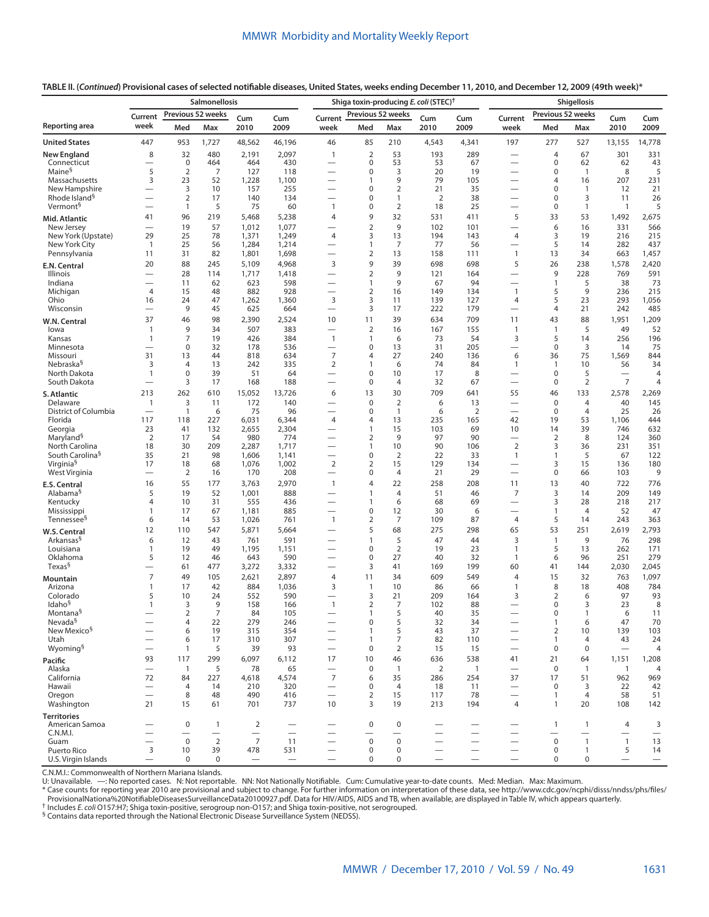**TABLE II. (***Continued***) Provisional cases of selected notifiable diseases, United States, weeks ending December 11, 2010, and December 12, 2009 (49th week)\***

|                                                      | Salmonellosis                                                |                                         |                                                   |                        |                          | Shiga toxin-producing E. coli (STEC) <sup>†</sup>    |                     |                                |                                  |                          | <b>Shigellosis</b>                            |                             |                                   |                               |                               |
|------------------------------------------------------|--------------------------------------------------------------|-----------------------------------------|---------------------------------------------------|------------------------|--------------------------|------------------------------------------------------|---------------------|--------------------------------|----------------------------------|--------------------------|-----------------------------------------------|-----------------------------|-----------------------------------|-------------------------------|-------------------------------|
|                                                      | Current                                                      | Previous 52 weeks                       |                                                   | Cum                    | Cum                      | Current                                              | Previous 52 weeks   |                                | Cum                              | Cum                      | Current                                       | Previous 52 weeks           |                                   | Cum                           | Cum                           |
| Reporting area                                       | week                                                         | Med                                     | Max                                               | 2010                   | 2009                     | week                                                 | Med                 | Max                            | 2010                             | 2009                     | week                                          | Med                         | Max                               | 2010                          | 2009                          |
| <b>United States</b>                                 | 447                                                          | 953                                     | 1,727                                             | 48,562                 | 46,196                   | 46                                                   | 85                  | 210                            | 4,543                            | 4,341                    | 197                                           | 277                         | 527                               | 13,155                        | 14,778                        |
| <b>New England</b>                                   | 8                                                            | 32                                      | 480                                               | 2,191                  | 2.097                    | $\mathbf{1}$                                         | $\overline{2}$      | 53                             | 193                              | 289                      |                                               | $\overline{4}$              | 67                                | 301                           | 331                           |
| Connecticut<br>Maine <sup>§</sup>                    | 5                                                            | $\mathbf 0$<br>$\overline{2}$           | 464<br>$\overline{7}$                             | 464<br>127             | 430<br>118               |                                                      | 0<br>0              | 53<br>3                        | 53<br>20                         | 67<br>19                 |                                               | $\mathbf 0$<br>$\mathbf 0$  | 62<br>$\mathbf{1}$                | 62<br>8                       | 43<br>5                       |
| Massachusetts                                        | 3                                                            | 23                                      | 52                                                | 1,228                  | 1,100                    |                                                      | 1                   | 9                              | 79                               | 105                      | —                                             | $\overline{4}$              | 16                                | 207                           | 231                           |
| New Hampshire                                        | $\overline{\phantom{0}}$                                     | 3                                       | 10                                                | 157                    | 255                      |                                                      | 0                   | 2                              | 21                               | 35                       |                                               | $\mathbf 0$                 | $\overline{1}$                    | 12                            | 21                            |
| Rhode Island <sup>§</sup><br>Vermont <sup>§</sup>    | $\overline{\phantom{0}}$                                     | $\overline{2}$<br>$\mathbf{1}$          | 17<br>5                                           | 140<br>75              | 134<br>60                | $\overline{\phantom{0}}$<br>$\mathbf{1}$             | 0<br>0              | $\mathbf{1}$<br>$\overline{2}$ | $\overline{2}$<br>18             | 38<br>25                 | $\overline{\phantom{0}}$                      | $\mathbf 0$<br>$\mathbf 0$  | 3<br>$\mathbf{1}$                 | 11<br>$\overline{1}$          | 26<br>5                       |
| Mid. Atlantic                                        | 41                                                           | 96                                      | 219                                               | 5,468                  | 5,238                    | 4                                                    | 9                   | 32                             | 531                              | 411                      | 5                                             | 33                          | 53                                | 1,492                         | 2,675                         |
| New Jersey                                           |                                                              | 19                                      | 57                                                | 1,012                  | 1,077                    |                                                      | 2                   | 9                              | 102                              | 101                      | —                                             | 6                           | 16                                | 331                           | 566                           |
| New York (Upstate)<br>New York City                  | 29<br>$\overline{1}$                                         | 25<br>25                                | 78<br>56                                          | 1,371<br>1,284         | 1,249<br>1,214           | $\overline{4}$<br>$\overline{\phantom{0}}$           | 3<br>1              | 13<br>7                        | 194<br>77                        | 143<br>56                | $\overline{4}$<br>$\overline{\phantom{0}}$    | 3<br>5                      | 19<br>14                          | 216<br>282                    | 215<br>437                    |
| Pennsylvania                                         | 11                                                           | 31                                      | 82                                                | 1,801                  | 1,698                    |                                                      | 2                   | 13                             | 158                              | 111                      | $\mathbf{1}$                                  | 13                          | 34                                | 663                           | 1,457                         |
| <b>E.N. Central</b>                                  | 20                                                           | 88                                      | 245                                               | 5,109                  | 4,968                    | 3                                                    | 9                   | 39                             | 698                              | 698                      | 5                                             | 26                          | 238                               | 1,578                         | 2,420                         |
| <b>Illinois</b>                                      |                                                              | 28                                      | 114                                               | 1,717                  | 1,418                    |                                                      | $\overline{2}$      | 9                              | 121                              | 164                      | —                                             | 9                           | 228                               | 769                           | 591                           |
| Indiana<br>Michigan                                  | $\overline{\phantom{0}}$<br>$\overline{4}$                   | 11<br>15                                | 62<br>48                                          | 623<br>882             | 598<br>928               | $\overline{\phantom{0}}$                             | 1<br>2              | 9<br>16                        | 67<br>149                        | 94<br>134                | $\overline{\phantom{0}}$<br>$\mathbf{1}$      | $\mathbf{1}$<br>5           | 5<br>9                            | 38<br>236                     | 73<br>215                     |
| Ohio                                                 | 16                                                           | 24                                      | 47                                                | 1,262                  | 1,360                    | 3                                                    | 3                   | 11                             | 139                              | 127                      | 4                                             | 5                           | 23                                | 293                           | 1,056                         |
| Wisconsin                                            | $\overline{\phantom{0}}$                                     | 9                                       | 45                                                | 625                    | 664                      |                                                      | 3                   | 17                             | 222                              | 179                      |                                               | $\overline{4}$              | 21                                | 242                           | 485                           |
| W.N. Central                                         | 37                                                           | 46                                      | 98                                                | 2,390                  | 2,524                    | 10                                                   | 11                  | 39                             | 634                              | 709                      | 11                                            | 43                          | 88                                | 1,951                         | 1,209                         |
| lowa                                                 | 1<br>1                                                       | 9<br>$\overline{7}$                     | 34<br>19                                          | 507                    | 383<br>384               | $\overline{\phantom{0}}$                             | $\overline{2}$<br>1 | 16                             | 167<br>73                        | 155<br>54                | $\mathbf{1}$<br>3                             | $\overline{1}$<br>5         | 5<br>14                           | 49<br>256                     | 52                            |
| Kansas<br>Minnesota                                  | $\overline{\phantom{0}}$                                     | $\mathbf 0$                             | 32                                                | 426<br>178             | 536                      | $\mathbf{1}$                                         | 0                   | 6<br>13                        | 31                               | 205                      |                                               | $\mathbf 0$                 | 3                                 | 14                            | 196<br>75                     |
| Missouri                                             | 31                                                           | 13                                      | 44                                                | 818                    | 634                      | $\overline{7}$                                       | 4                   | 27                             | 240                              | 136                      | 6                                             | 36                          | 75                                | 1,569                         | 844                           |
| Nebraska <sup>§</sup>                                | 3                                                            | $\overline{4}$                          | 13                                                | 242                    | 335                      | $\overline{2}$                                       | 1                   | 6                              | 74                               | 84                       | $\mathbf{1}$                                  | $\mathbf{1}$                | 10                                | 56                            | 34                            |
| North Dakota<br>South Dakota                         | 1<br>$\overline{\phantom{0}}$                                | $\mathbf 0$<br>3                        | 39<br>17                                          | 51<br>168              | 64<br>188                |                                                      | 0<br>0              | 10<br>4                        | 17<br>32                         | 8<br>67                  | $\overline{\phantom{0}}$                      | $\mathbf 0$<br>$\mathbf 0$  | 5<br>2                            | $\overline{7}$                | 4<br>4                        |
| <b>S. Atlantic</b>                                   | 213                                                          | 262                                     | 610                                               | 15,052                 | 13,726                   | 6                                                    | 13                  | 30                             | 709                              | 641                      | 55                                            | 46                          | 133                               | 2,578                         | 2,269                         |
| Delaware                                             | 1                                                            | 3                                       | 11                                                | 172                    | 140                      |                                                      | 0                   | $\overline{2}$                 | 6                                | 13                       | —                                             | $\mathbf 0$                 | $\overline{4}$                    | 40                            | 145                           |
| District of Columbia                                 | $\overline{\phantom{0}}$                                     | $\overline{1}$                          | 6                                                 | 75                     | 96                       | $\overline{\phantom{0}}$                             | 0                   | $\overline{1}$                 | 6                                | $\overline{2}$           | $\overline{\phantom{0}}$                      | $\mathbf 0$                 | $\overline{4}$                    | 25                            | 26                            |
| Florida<br>Georgia                                   | 117<br>23                                                    | 118<br>41                               | 227<br>132                                        | 6,031<br>2,655         | 6,344<br>2,304           | $\overline{4}$<br>$\overline{\phantom{0}}$           | 4<br>1              | 13<br>15                       | 235<br>103                       | 165<br>69                | 42<br>10                                      | 19<br>14                    | 53<br>39                          | 1,106<br>746                  | 444<br>632                    |
| Maryland <sup>§</sup>                                | $\overline{2}$                                               | 17                                      | 54                                                | 980                    | 774                      |                                                      | 2                   | 9                              | 97                               | 90                       | $\overline{\phantom{0}}$                      | $\overline{2}$              | 8                                 | 124                           | 360                           |
| North Carolina                                       | 18                                                           | 30                                      | 209                                               | 2,287                  | 1,717                    | $\overline{\phantom{0}}$                             | 1                   | 10                             | 90                               | 106                      | $\overline{2}$                                | 3                           | 36                                | 231                           | 351                           |
| South Carolina <sup>§</sup><br>Virginia <sup>§</sup> | 35<br>17                                                     | 21<br>18                                | 98<br>68                                          | 1,606<br>1,076         | 1,141<br>1,002           | $\overline{\phantom{0}}$<br>$\overline{2}$           | 0<br>2              | $\overline{2}$<br>15           | 22<br>129                        | 33<br>134                | $\mathbf{1}$                                  | $\mathbf{1}$<br>3           | 5<br>15                           | 67<br>136                     | 122<br>180                    |
| West Virginia                                        | $\overline{\phantom{0}}$                                     | 2                                       | 16                                                | 170                    | 208                      | $\overline{\phantom{0}}$                             | 0                   | $\overline{4}$                 | 21                               | 29                       | $\overline{\phantom{0}}$                      | $\mathbf 0$                 | 66                                | 103                           | 9                             |
| E.S. Central                                         | 16                                                           | 55                                      | 177                                               | 3,763                  | 2,970                    | $\mathbf{1}$                                         | 4                   | 22                             | 258                              | 208                      | 11                                            | 13                          | 40                                | 722                           | 776                           |
| Alabama <sup>§</sup>                                 | 5                                                            | 19                                      | 52                                                | 1,001                  | 888                      |                                                      | 1                   | $\overline{4}$                 | 51                               | 46                       | $\overline{7}$                                | 3                           | 14                                | 209                           | 149                           |
| Kentucky                                             | 4<br>1                                                       | 10<br>17                                | 31<br>67                                          | 555<br>1,181           | 436<br>885               | $\overline{\phantom{0}}$                             | 1<br>0              | 6                              | 68<br>30                         | 69<br>6                  | $\overline{\phantom{0}}$                      | 3<br>$\mathbf{1}$           | 28<br>$\overline{4}$              | 218                           | 217<br>47                     |
| Mississippi<br>Tennessee <sup>9</sup>                | 6                                                            | 14                                      | 53                                                | 1,026                  | 761                      | $\mathbf{1}$                                         | 2                   | 12<br>7                        | 109                              | 87                       | 4                                             | 5                           | 14                                | 52<br>243                     | 363                           |
| W.S. Central                                         | 12                                                           | 110                                     | 547                                               | 5,871                  | 5,664                    |                                                      | 5                   | 68                             | 275                              | 298                      | 65                                            | 53                          | 251                               | 2,619                         | 2,793                         |
| Arkansas <sup>§</sup>                                | 6                                                            | 12                                      | 43                                                | 761                    | 591                      |                                                      | 1                   | 5                              | 47                               | 44                       | 3                                             | $\overline{1}$              | 9                                 | 76                            | 298                           |
| Louisiana                                            | 1                                                            | 19                                      | 49                                                | 1,195                  | 1,151                    |                                                      | 0                   | $\overline{2}$                 | 19                               | 23                       | $\mathbf{1}$                                  | 5                           | 13                                | 262                           | 171                           |
| Oklahoma<br>Texas <sup>§</sup>                       | 5                                                            | 12<br>61                                | 46<br>477                                         | 643<br>3,272           | 590<br>3,332             | $\overline{\phantom{0}}$                             | 0<br>3              | 27<br>41                       | 40<br>169                        | 32<br>199                | $\mathbf{1}$<br>60                            | 6<br>41                     | 96<br>144                         | 251<br>2,030                  | 279<br>2,045                  |
| <b>Mountain</b>                                      | 7                                                            | 49                                      | 105                                               | 2,621                  | 2,897                    | $\overline{4}$                                       | 11                  | 34                             | 609                              | 549                      | $\overline{4}$                                | 15                          | 32                                | 763                           | 1,097                         |
| Arizona                                              | 1                                                            | 17                                      | 42                                                | 884                    | 1,036                    | 3                                                    | 1                   | 10                             | 86                               | 66                       | $\mathbf{1}$                                  | 8                           | 18                                | 408                           | 784                           |
| Colorado                                             | 5                                                            | 10                                      | 24                                                | 552                    | 590                      |                                                      | 3                   | 21                             | 209                              | 164                      | 3                                             | 2                           | 6                                 | 97                            | 93                            |
| Idaho <sup>§</sup><br>Montana <sup>§</sup>           | $\mathbf{1}$                                                 | 3<br>2                                  | 9<br>7                                            | 158<br>84              | 166<br>105               | $\mathbf{1}$                                         | 2<br>1              | $\overline{7}$<br>5            | 102<br>40                        | 88<br>35                 | $\overline{\phantom{0}}$                      | $\mathbf 0$<br>0            | 3<br>$\mathbf{1}$                 | 23<br>6                       | 8<br>11                       |
| Nevada <sup>§</sup>                                  |                                                              | 4                                       | 22                                                | 279                    | 246                      |                                                      | 0                   | 5                              | 32                               | 34                       |                                               | $\mathbf{1}$                | 6                                 | 47                            | 70                            |
| New Mexico <sup>§</sup>                              | $\overline{\phantom{0}}$                                     | 6                                       | 19                                                | 315                    | 354                      | $\overline{\phantom{0}}$                             | 1                   | 5                              | 43                               | 37                       |                                               | $\overline{2}$              | 10                                | 139                           | 103                           |
| Utah<br>Wyoming <sup>§</sup>                         | $\overline{\phantom{0}}$                                     | 6<br>$\mathbf{1}$                       | 17<br>5                                           | 310<br>39              | 307<br>93                | $\overline{\phantom{0}}$<br>$\qquad \qquad -$        | 1<br>0              | 7<br>$\overline{2}$            | 82<br>15                         | 110<br>15                | $\overline{\phantom{0}}$<br>$\qquad \qquad -$ | $\mathbf{1}$<br>$\mathbf 0$ | 4<br>0                            | 43<br>$\qquad \qquad$         | 24<br>$\overline{4}$          |
| Pacific                                              | 93                                                           | 117                                     | 299                                               | 6,097                  | 6,112                    | 17                                                   | 10                  | 46                             | 636                              | 538                      | 41                                            | 21                          | 64                                | 1,151                         | 1,208                         |
| Alaska                                               |                                                              | $\mathbf{1}$                            | 5                                                 | 78                     | 65                       | $\overbrace{\phantom{1232211}}$                      | $\mathbf 0$         | $\overline{1}$                 | $\overline{2}$                   | $\mathbf{1}$             | $\overbrace{\phantom{12322111}}$              | $\mathbf 0$                 | $\mathbf{1}$                      | $\overline{1}$                | $\overline{4}$                |
| California                                           | 72                                                           | 84                                      | 227                                               | 4,618                  | 4,574                    | $\boldsymbol{7}$                                     | 6                   | 35                             | 286                              | 254                      | 37                                            | 17                          | 51                                | 962                           | 969                           |
| Hawaii<br>Oregon                                     | $\overbrace{\phantom{12322111}}$<br>$\overline{\phantom{0}}$ | 4<br>8                                  | 14<br>48                                          | 210<br>490             | 320<br>416               | $\overline{\phantom{0}}$<br>$\overline{\phantom{0}}$ | 0<br>2              | 4<br>15                        | 18<br>117                        | 11<br>78                 | $\qquad \qquad -$<br>$\qquad \qquad -$        | 0<br>$\mathbf{1}$           | 3<br>$\overline{4}$               | 22<br>58                      | 42<br>51                      |
| Washington                                           | 21                                                           | 15                                      | 61                                                | 701                    | 737                      | 10                                                   | 3                   | 19                             | 213                              | 194                      | 4                                             | $\mathbf{1}$                | 20                                | 108                           | 142                           |
| <b>Territories</b>                                   |                                                              |                                         |                                                   |                        |                          |                                                      |                     |                                |                                  |                          |                                               |                             |                                   |                               |                               |
| American Samoa<br>C.N.M.I.                           |                                                              | $\mathbf 0$<br>$\overline{\phantom{0}}$ | $\mathbf{1}$<br>$\overbrace{\phantom{123221111}}$ | 2<br>$\qquad \qquad -$ |                          |                                                      | $\mathbf 0$         | $\mathbf 0$                    |                                  |                          | —                                             | $\mathbf{1}$                | $\mathbf{1}$<br>$\qquad \qquad -$ | 4<br>$\overline{\phantom{0}}$ | 3<br>$\overline{\phantom{m}}$ |
| Guam                                                 |                                                              | $\mathbf 0$                             | $\overline{2}$                                    | $\overline{7}$         | 11                       | $\overline{\phantom{0}}$                             | $\mathbf 0$         | $\mathsf{O}\xspace$            | $\overbrace{\phantom{12322111}}$ | $\overline{\phantom{0}}$ | $\overline{\phantom{0}}$                      | $\pmb{0}$                   | $\mathbf{1}$                      | $\mathbf{1}$                  | 13                            |
| Puerto Rico                                          | 3                                                            | 10                                      | 39                                                | 478                    | 531                      | $\qquad \qquad -$                                    | $\pmb{0}$           | $\mathbf 0$                    |                                  | $\qquad \qquad -$        |                                               | $\mathbf 0$                 | $\mathbf{1}$                      | 5                             | 14                            |
| U.S. Virgin Islands                                  | $\overbrace{\phantom{12322111}}$                             | $\mathbf 0$                             | $\mathsf 0$                                       |                        | $\overline{\phantom{0}}$ | $\overline{\phantom{0}}$                             | 0                   | 0                              |                                  | $\overline{\phantom{0}}$ | $\overbrace{\phantom{12322111}}$              | $\mathbf 0$                 | $\mathbf 0$                       | $\overline{\phantom{0}}$      |                               |

C.N.M.I.: Commonwealth of Northern Mariana Islands.

U: Unavailable. —: No reported cases. N: Not reportable. NN: Not Nationally Notifiable. Cum: Cumulative year-to-date counts. Med: Median. Max: Maximum.<br>\* Case counts for reporting year 2010 are provisional and subjec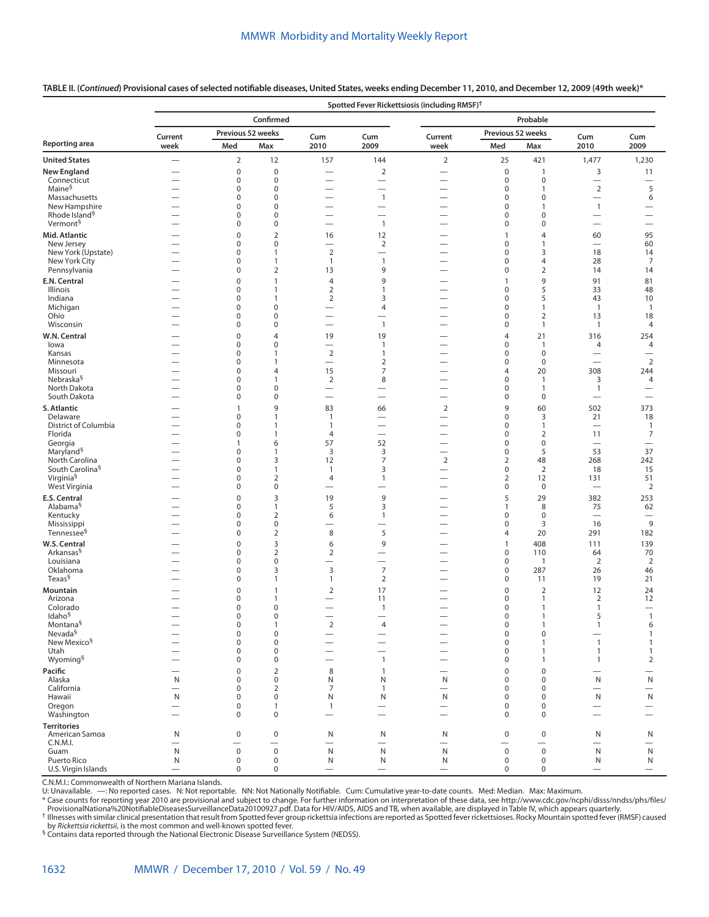|                                                   |                                                      | Spotted Fever Rickettsiosis (including RMSF) <sup>†</sup> |                               |                                                      |                                            |                                                      |                                   |                                   |                                          |                                       |  |  |  |  |
|---------------------------------------------------|------------------------------------------------------|-----------------------------------------------------------|-------------------------------|------------------------------------------------------|--------------------------------------------|------------------------------------------------------|-----------------------------------|-----------------------------------|------------------------------------------|---------------------------------------|--|--|--|--|
|                                                   |                                                      |                                                           | Confirmed                     |                                                      |                                            |                                                      |                                   | Probable                          |                                          |                                       |  |  |  |  |
|                                                   | Current                                              | Previous 52 weeks                                         |                               | Cum                                                  | Cum                                        | Current                                              | Previous 52 weeks                 |                                   | Cum                                      | Cum                                   |  |  |  |  |
| Reporting area                                    | week                                                 | Med                                                       | Max                           | 2010                                                 | 2009                                       | week                                                 | Med                               | Max                               | 2010                                     | 2009                                  |  |  |  |  |
| <b>United States</b>                              | $\qquad \qquad$                                      | $\overline{2}$                                            | 12                            | 157                                                  | 144                                        | $\overline{2}$                                       | 25                                | 421                               | 1,477                                    | 1,230                                 |  |  |  |  |
| New England                                       |                                                      | $\boldsymbol{0}$<br>0                                     | $\bf 0$<br>$\mathbf 0$        |                                                      | $\overline{2}$                             | $\overline{\phantom{0}}$                             | $\mathbf 0$<br>$\mathbf 0$        | $\mathbf{1}$<br>$\mathbf 0$       | 3                                        | 11                                    |  |  |  |  |
| Connecticut<br>Maine <sup>§</sup>                 |                                                      | 0                                                         | $\mathbf 0$                   | $\overline{\phantom{0}}$                             | $\overline{\phantom{0}}$                   | —                                                    | $\mathbf 0$                       | $\mathbf{1}$                      | $\qquad \qquad -$<br>$\overline{2}$      | $\qquad \qquad -$<br>5                |  |  |  |  |
| Massachusetts                                     | $\overline{\phantom{0}}$                             | 0                                                         | $\mathbf 0$                   | $\overline{\phantom{0}}$                             | $\mathbf{1}$                               | -                                                    | $\mathbf 0$                       | 0                                 | $\overline{\phantom{0}}$                 | 6                                     |  |  |  |  |
| New Hampshire                                     |                                                      | 0                                                         | 0                             |                                                      | $\overline{\phantom{0}}$                   | $\overline{\phantom{0}}$                             | 0                                 | $\mathbf{1}$                      | $\mathbf{1}$                             | $\overline{\phantom{0}}$              |  |  |  |  |
| Rhode Island <sup>§</sup><br>Vermont <sup>§</sup> | $\overline{\phantom{0}}$<br>—                        | 0<br>0                                                    | 0<br>0                        | $\overline{\phantom{0}}$<br>$\overline{\phantom{0}}$ | $\overline{\phantom{0}}$<br>$\overline{1}$ | -<br>-                                               | 0<br>0                            | 0<br>0                            | —<br>$\overline{\phantom{0}}$            | $\overline{\phantom{0}}$              |  |  |  |  |
| Mid. Atlantic                                     | -                                                    | 0                                                         | $\overline{2}$                | 16                                                   | 12                                         |                                                      | 1                                 | 4                                 | 60                                       | 95                                    |  |  |  |  |
| New Jersey                                        |                                                      | 0                                                         | 0                             | $\overline{\phantom{0}}$                             | $\overline{2}$                             | $\overline{\phantom{0}}$                             | $\mathbf 0$                       | $\mathbf{1}$                      | $\overline{\phantom{0}}$                 | 60                                    |  |  |  |  |
| New York (Upstate)                                |                                                      | 0                                                         | $\mathbf{1}$                  | $\overline{2}$                                       | $\overline{\phantom{0}}$                   |                                                      | 0                                 | 3                                 | 18                                       | 14                                    |  |  |  |  |
| New York City<br>Pennsylvania                     |                                                      | 0<br>0                                                    | $\mathbf{1}$<br>2             | $\overline{1}$<br>13                                 | $\mathbf{1}$<br>9                          |                                                      | $\mathbf 0$<br>0                  | 4<br>$\overline{2}$               | 28<br>14                                 | 7<br>14                               |  |  |  |  |
| E.N. Central                                      |                                                      | 0                                                         | $\mathbf{1}$                  | $\overline{4}$                                       | 9                                          |                                                      | 1                                 | 9                                 | 91                                       | 81                                    |  |  |  |  |
| Illinois                                          | $\overline{\phantom{0}}$                             | 0                                                         | $\mathbf{1}$                  | $\overline{2}$                                       | 1                                          |                                                      | 0                                 | 5                                 | 33                                       | 48                                    |  |  |  |  |
| Indiana                                           | —                                                    | 0                                                         | 1                             | $\overline{2}$                                       | 3                                          |                                                      | $\Omega$                          | 5                                 | 43                                       | 10                                    |  |  |  |  |
| Michigan<br>Ohio                                  | —<br>—                                               | 0<br>0                                                    | 0<br>0                        | $\overline{\phantom{0}}$<br>$\overline{\phantom{0}}$ | 4                                          | -                                                    | 0<br>0                            | $\mathbf{1}$<br>$\overline{2}$    | $\overline{1}$<br>13                     | $\mathbf{1}$<br>18                    |  |  |  |  |
| Wisconsin                                         |                                                      | 0                                                         | 0                             | $\equiv$                                             | $\mathbf{1}$                               | $\overline{\phantom{0}}$                             | 0                                 | $\mathbf{1}$                      | $\mathbf{1}$                             | 4                                     |  |  |  |  |
| W.N. Central                                      |                                                      | 0                                                         | 4                             | 19                                                   | 19                                         |                                                      | 4                                 | 21                                | 316                                      | 254                                   |  |  |  |  |
| lowa                                              |                                                      | 0                                                         | 0                             |                                                      | $\mathbf{1}$                               | $\overline{\phantom{0}}$                             | $\mathbf 0$                       | $\mathbf{1}$                      | $\overline{4}$                           | $\overline{4}$                        |  |  |  |  |
| Kansas                                            |                                                      | 0<br>0                                                    | 1<br>1                        | $\overline{2}$<br>$\overline{\phantom{0}}$           | $\mathbf{1}$<br>$\overline{2}$             |                                                      | $\mathbf 0$<br>$\mathbf 0$        | $\boldsymbol{0}$<br>$\mathbf 0$   |                                          | -<br>2                                |  |  |  |  |
| Minnesota<br>Missouri                             |                                                      | 0                                                         | 4                             | 15                                                   | 7                                          |                                                      | 4                                 | 20                                | 308                                      | 244                                   |  |  |  |  |
| Nebraska <sup>§</sup>                             |                                                      | 0                                                         | $\mathbf{1}$                  | 2                                                    | 8                                          | $\overline{\phantom{0}}$                             | $\mathbf 0$                       | $\mathbf{1}$                      | 3                                        | $\overline{4}$                        |  |  |  |  |
| North Dakota                                      | —                                                    | 0                                                         | 0                             |                                                      | $\overline{\phantom{0}}$                   | —                                                    | $\mathbf 0$                       | $\mathbf{1}$                      | $\mathbf{1}$                             |                                       |  |  |  |  |
| South Dakota                                      |                                                      | 0                                                         | $\pmb{0}$                     | $\overline{\phantom{0}}$                             | $\overline{\phantom{0}}$                   | $\overline{\phantom{0}}$                             | $\mathbf 0$                       | $\mathsf 0$                       | $\overline{\phantom{0}}$                 | $\overline{\phantom{0}}$              |  |  |  |  |
| S. Atlantic<br>Delaware                           | $\overline{\phantom{0}}$<br>$\overline{\phantom{0}}$ | $\mathbf{1}$<br>0                                         | 9<br>1                        | 83<br>$\overline{1}$                                 | 66<br>$\overline{\phantom{0}}$             | $\overline{2}$<br>$\overline{\phantom{0}}$           | 9<br>0                            | 60<br>3                           | 502<br>21                                | 373<br>18                             |  |  |  |  |
| District of Columbia                              | $\overline{\phantom{0}}$                             | 0                                                         | $\mathbf{1}$                  | $\mathbf{1}$                                         |                                            |                                                      | 0                                 | $\mathbf{1}$                      | $\overline{\phantom{0}}$                 | $\mathbf{1}$                          |  |  |  |  |
| Florida                                           | $\overline{\phantom{0}}$                             | 0                                                         | $\mathbf{1}$                  | $\overline{4}$                                       | $\overline{\phantom{0}}$                   |                                                      | 0                                 | $\overline{2}$                    | 11                                       | $\overline{7}$                        |  |  |  |  |
| Georgia<br>Maryland <sup>§</sup>                  | $\overline{\phantom{0}}$<br>—                        | 1<br>0                                                    | 6<br>1                        | 57<br>3                                              | 52<br>3                                    | $\overline{\phantom{0}}$<br>$\overline{\phantom{0}}$ | 0<br>0                            | $\mathsf 0$<br>5                  | $\overbrace{\phantom{1232211}}$<br>53    | $\overline{\phantom{0}}$<br>37        |  |  |  |  |
| North Carolina                                    | —                                                    | 0                                                         | 3                             | 12                                                   | $\overline{7}$                             | $\overline{2}$                                       | $\overline{2}$                    | 48                                | 268                                      | 242                                   |  |  |  |  |
| South Carolina <sup>§</sup>                       |                                                      | 0                                                         | $\mathbf{1}$                  | $\overline{\phantom{a}}$                             | 3                                          |                                                      | 0                                 | $\overline{2}$                    | 18                                       | 15                                    |  |  |  |  |
| Virginia <sup>§</sup>                             | $\overline{\phantom{0}}$                             | 0<br>0                                                    | 2<br>0                        | $\overline{4}$                                       | $\mathbf{1}$                               | $\overline{\phantom{0}}$                             | $\overline{2}$<br>0               | 12<br>$\mathbf 0$                 | 131                                      | 51                                    |  |  |  |  |
| West Virginia                                     |                                                      |                                                           | 3                             | $\overline{\phantom{0}}$                             | $\overline{\phantom{0}}$<br>9              |                                                      | 5                                 |                                   | $\overline{\phantom{m}}$                 | $\overline{2}$                        |  |  |  |  |
| E.S. Central<br>Alabama <sup>§</sup>              | -<br>—                                               | 0<br>0                                                    | 1                             | 19<br>5                                              | 3                                          |                                                      | 1                                 | 29<br>8                           | 382<br>75                                | 253<br>62                             |  |  |  |  |
| Kentucky                                          |                                                      | 0                                                         | $\overline{2}$                | 6                                                    | $\mathbf{1}$                               |                                                      | $\mathbf 0$                       | $\mathbf 0$                       | $\overline{\phantom{0}}$                 | $\qquad \qquad$                       |  |  |  |  |
| Mississippi                                       | $\overline{\phantom{0}}$                             | 0                                                         | $\mathbf 0$                   | -                                                    | $\overline{\phantom{0}}$                   |                                                      | $\mathbf 0$                       | 3                                 | 16                                       | $\mathsf 9$                           |  |  |  |  |
| Tennessee <sup>§</sup>                            |                                                      | 0                                                         | $\overline{2}$                | $\,8\,$                                              | 5                                          |                                                      | 4                                 | 20                                | 291                                      | 182                                   |  |  |  |  |
| W.S. Central<br>Arkansas <sup>§</sup>             |                                                      | 0<br>0                                                    | 3<br>2                        | 6<br>$\overline{2}$                                  | 9                                          |                                                      | 1<br>0                            | 408<br>110                        | 111<br>64                                | 139<br>70                             |  |  |  |  |
| Louisiana                                         | $\overline{\phantom{0}}$                             | 0                                                         | 0                             | $\overline{\phantom{0}}$                             | $\overline{\phantom{0}}$                   |                                                      | 0                                 | $\mathbf{1}$                      | $\overline{2}$                           | $\overline{2}$                        |  |  |  |  |
| Oklahoma                                          | $\overline{\phantom{0}}$                             | 0                                                         | 3                             | 3                                                    | $\overline{7}$                             |                                                      | 0                                 | 287                               | 26                                       | 46                                    |  |  |  |  |
| Texas <sup>§</sup>                                |                                                      | 0                                                         | 1                             | $\mathbf{1}$                                         | $\overline{2}$                             |                                                      | 0                                 | 11                                | 19                                       | 21                                    |  |  |  |  |
| Mountain<br>Arizona                               |                                                      | 0<br>0                                                    | 1<br>1                        | $\overline{2}$                                       | 17<br>11                                   |                                                      | $\mathbf 0$<br>0                  | $\overline{2}$<br>1               | 12<br>$\overline{2}$                     | 24<br>12                              |  |  |  |  |
| Colorado                                          |                                                      | 0                                                         | 0                             | $\overline{\phantom{0}}$                             | $\mathbf{1}$                               | —                                                    | 0                                 | $\mathbf{1}$                      | $\mathbf{1}$                             |                                       |  |  |  |  |
| Idaho <sup>§</sup>                                | $\overline{\phantom{0}}$                             | 0                                                         | 0                             | $\overline{\phantom{0}}$                             | $\overline{\phantom{0}}$                   |                                                      | $\Omega$                          | $\mathbf{1}$                      | 5                                        | $\mathbf{1}$                          |  |  |  |  |
| Montana <sup>§</sup><br>Nevada <sup>§</sup>       |                                                      | 0<br>$\pmb{0}$                                            | 1<br>$\pmb{0}$                | 2<br>$\overline{\phantom{0}}$                        | 4<br>$\overline{\phantom{0}}$              |                                                      | 0<br>0                            | $\mathbf{1}$<br>$\boldsymbol{0}$  | $\mathbf{1}$<br>$\overline{\phantom{0}}$ | 6<br>$\mathbf{1}$                     |  |  |  |  |
| New Mexico <sup>§</sup>                           |                                                      | $\mathbf 0$                                               | $\pmb{0}$                     | $\overline{\phantom{0}}$                             | $\overline{\phantom{0}}$                   |                                                      | $\mathbf 0$                       | $\mathbf{1}$                      | $\mathbf{1}$                             | $\mathbf{1}$                          |  |  |  |  |
| Utah                                              | —                                                    | $\pmb{0}$                                                 | 0                             | $\overline{\phantom{0}}$                             | $\overline{\phantom{0}}$                   | $\overline{\phantom{0}}$                             | 0                                 | $\mathbf{1}$                      | $\mathbf{1}$                             | $\mathbf{1}$                          |  |  |  |  |
| Wyoming <sup>§</sup>                              | —                                                    | 0                                                         | 0                             | $\overline{\phantom{0}}$                             | $\mathbf{1}$                               |                                                      | 0                                 | $\mathbf{1}$                      | $\mathbf{1}$                             | $\overline{2}$                        |  |  |  |  |
| Pacific<br>Alaska                                 | $\mathsf{N}$                                         | $\pmb{0}$<br>$\boldsymbol{0}$                             | $\overline{2}$<br>$\mathbf 0$ | $\,8\,$<br>N                                         | $\mathbf{1}$<br>N                          | N                                                    | $\mathbf 0$<br>$\mathbf 0$        | $\mathbf 0$<br>$\mathbf 0$        | $\mathsf{N}$                             | $\overline{\phantom{0}}$<br>${\sf N}$ |  |  |  |  |
| California                                        |                                                      | $\mathbf 0$                                               | $\overline{2}$                | $\overline{7}$                                       | $\mathbf{1}$                               | $\overline{\phantom{0}}$                             | $\mathbf 0$                       | $\mathbf 0$                       |                                          | $\qquad \qquad -$                     |  |  |  |  |
| Hawaii                                            | N                                                    | $\boldsymbol{0}$                                          | 0                             | N                                                    | N                                          | N                                                    | 0                                 | $\boldsymbol{0}$                  | N                                        | ${\sf N}$                             |  |  |  |  |
| Oregon                                            | $\overline{\phantom{0}}$                             | $\mathbf 0$                                               | $\mathbf{1}$                  | $\mathbf{1}$                                         | $\overline{\phantom{0}}$                   | $\overline{\phantom{0}}$                             | 0                                 | $\boldsymbol{0}$                  | $\overline{\phantom{0}}$                 |                                       |  |  |  |  |
| Washington                                        | $\overline{\phantom{0}}$                             | $\mathbf 0$                                               | $\mathbf 0$                   |                                                      |                                            |                                                      | 0                                 | $\boldsymbol{0}$                  | $\overline{\phantom{0}}$                 | $\overline{\phantom{0}}$              |  |  |  |  |
| <b>Territories</b><br>American Samoa              | N                                                    | $\pmb{0}$                                                 | $\mathbf 0$                   | N                                                    | N                                          | N                                                    | $\boldsymbol{0}$                  | $\mathbf 0$                       | N                                        | N                                     |  |  |  |  |
| C.N.M.I.                                          | $\qquad \qquad$                                      |                                                           | $\qquad \qquad$               |                                                      |                                            |                                                      | $\overbrace{\phantom{123221111}}$ | $\overbrace{\phantom{123221111}}$ |                                          |                                       |  |  |  |  |
| Guam                                              | N                                                    | $\mathbf 0$                                               | $\mathsf 0$                   | $\mathsf{N}$                                         | N                                          | N                                                    | $\mathbf 0$                       | $\mathsf 0$                       | $\mathsf{N}$                             | N                                     |  |  |  |  |
| Puerto Rico<br>U.S. Virgin Islands                | N<br>$\overbrace{\phantom{12322111}}$                | $\mathbf 0$<br>$\mathbf 0$                                | $\pmb{0}$<br>0                | N<br>$\overline{\phantom{0}}$                        | N<br>$\overline{\phantom{0}}$              | N<br>$\overline{\phantom{0}}$                        | 0<br>$\mathbf 0$                  | $\mathbf 0$<br>$\boldsymbol{0}$   | N<br>$\overline{\phantom{0}}$            | N<br>$\overline{\phantom{0}}$         |  |  |  |  |
|                                                   |                                                      |                                                           |                               |                                                      |                                            |                                                      |                                   |                                   |                                          |                                       |  |  |  |  |

**TABLE II. (***Continued***) Provisional cases of selected notifiable diseases, United States, weeks ending December 11, 2010, and December 12, 2009 (49th week)\***

C.N.M.I.: Commonwealth of Northern Mariana Islands.

U: Unavailable. —: No reported cases. N: Not reportable. NN: Not Nationally Notifiable. Cum: Cumulative year-to-date counts. Med: Median. Max: Maximum.<br>\* Case counts for reporting year 2010 are provisional and subje

by *Rickettsia rickettsii*, is the most common and well-known spotted fever. § Contains data reported through the National Electronic Disease Surveillance System (NEDSS).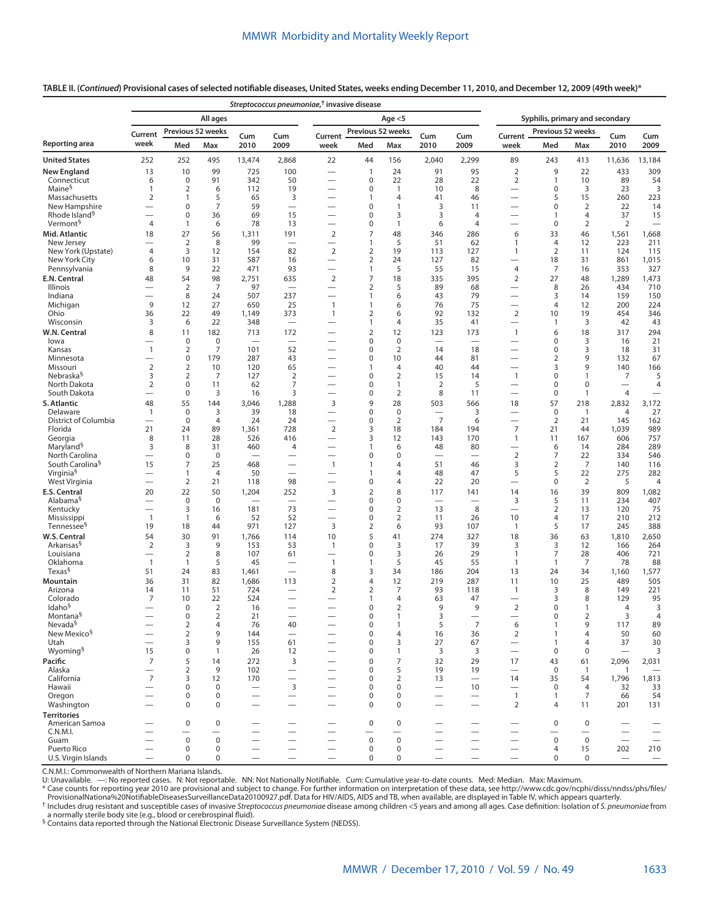### **TABLE II. (***Continued***) Provisional cases of selected notifiable diseases, United States, weeks ending December 11, 2010, and December 12, 2009 (49th week)\***

|                                  | Streptococcus pneumoniae, <sup>†</sup> invasive disease |                  |                                       |                          |                                 |                                                      |                                |                      |                          |                                  |                                                      |                                 |                                         |                          |                          |
|----------------------------------|---------------------------------------------------------|------------------|---------------------------------------|--------------------------|---------------------------------|------------------------------------------------------|--------------------------------|----------------------|--------------------------|----------------------------------|------------------------------------------------------|---------------------------------|-----------------------------------------|--------------------------|--------------------------|
|                                  |                                                         |                  | All ages                              |                          |                                 | Age $<$ 5                                            |                                |                      |                          |                                  |                                                      | Syphilis, primary and secondary |                                         |                          |                          |
|                                  | Current                                                 |                  | Previous 52 weeks                     | Cum                      | Cum                             | Current                                              | Previous 52 weeks              |                      | Cum                      | Cum                              | Current                                              | Previous 52 weeks               |                                         | Cum                      | Cum                      |
| Reporting area                   | week                                                    | Med              | Max                                   | 2010                     | 2009                            | week                                                 | Med                            | Max                  | 2010                     | 2009                             | week                                                 | Med                             | Max                                     | 2010                     | 2009                     |
| <b>United States</b>             | 252                                                     | 252              | 495                                   | 13,474                   | 2,868                           | 22                                                   | 44                             | 156                  | 2,040                    | 2,299                            | 89                                                   | 243                             | 413                                     | 11,636                   | 13,184                   |
| <b>New England</b>               | 13                                                      | 10               | 99                                    | 725                      | 100                             |                                                      | $\mathbf{1}$                   | 24                   | 91                       | 95                               | $\overline{2}$                                       | 9                               | 22                                      | 433                      | 309                      |
| Connecticut                      | 6                                                       | $\boldsymbol{0}$ | 91                                    | 342                      | 50                              | $\overline{\phantom{0}}$                             | 0                              | 22                   | 28                       | 22                               | $\overline{2}$                                       | $\mathbf{1}$                    | 10                                      | 89                       | 54                       |
| Maine <sup>§</sup>               | 1                                                       | $\overline{2}$   | 6                                     | 112                      | 19                              |                                                      | 0                              | $\mathbf{1}$         | 10                       | 8                                | $\overline{\phantom{0}}$                             | $\mathbf 0$                     | 3                                       | 23                       | 3                        |
| Massachusetts<br>New Hampshire   | $\overline{2}$                                          | 1<br>$\mathbf 0$ | 5<br>$\overline{7}$                   | 65<br>59                 | 3<br>$\overline{\phantom{0}}$   | $\overline{\phantom{0}}$                             | 1<br>0                         | 4<br>1               | 41<br>3                  | 46<br>11                         | $\overline{\phantom{0}}$                             | 5<br>$\mathbf 0$                | 15<br>$\overline{2}$                    | 260<br>22                | 223<br>14                |
| Rhode Island <sup>§</sup>        | $\overline{\phantom{0}}$                                | $\mathbf 0$      | 36                                    | 69                       | 15                              | $\overline{\phantom{0}}$                             | 0                              | 3                    | 3                        | 4                                | $\overline{\phantom{0}}$                             | 1                               | 4                                       | 37                       | 15                       |
| Vermont <sup>§</sup>             | $\overline{4}$                                          | 1                | 6                                     | 78                       | 13                              | $\overline{\phantom{0}}$                             | 0                              | 1                    | 6                        | $\overline{4}$                   | —                                                    | $\mathbf 0$                     | $\overline{2}$                          | $\overline{2}$           |                          |
| Mid. Atlantic                    | 18                                                      | 27               | 56                                    | 1,311                    | 191                             | $\overline{2}$                                       | $\overline{7}$                 | 48                   | 346                      | 286                              | 6                                                    | 33                              | 46                                      | 1,561                    | 1,668                    |
| New Jersey                       |                                                         | $\overline{2}$   | 8                                     | 99                       | $\overline{\phantom{0}}$        | $\overline{\phantom{0}}$                             | $\mathbf{1}$                   | 5                    | 51                       | 62                               | 1                                                    | $\overline{4}$                  | 12                                      | 223                      | 211                      |
| New York (Upstate)               | $\overline{4}$                                          | 3                | 12                                    | 154                      | 82                              | $\overline{2}$                                       | $\overline{2}$                 | 19                   | 113                      | 127                              | $\mathbf{1}$                                         | $\overline{2}$                  | 11                                      | 124                      | 115                      |
| New York City                    | 6                                                       | 10<br>9          | 31<br>22                              | 587<br>471               | 16                              | $\overline{\phantom{0}}$                             | $\overline{2}$<br>$\mathbf{1}$ | 24<br>5              | 127<br>55                | 82<br>15                         | $\overline{4}$                                       | 18<br>7                         | 31                                      | 861                      | 1,015                    |
| Pennsylvania                     | 8                                                       |                  |                                       |                          | 93                              |                                                      |                                |                      |                          |                                  |                                                      |                                 | 16                                      | 353                      | 327                      |
| E.N. Central<br>Illinois         | 48                                                      | 54<br>2          | 98<br>7                               | 2,751<br>97              | 635<br>$\overline{\phantom{0}}$ | $\overline{2}$<br>$\overline{\phantom{0}}$           | 7<br>$\overline{2}$            | 18<br>5              | 335<br>89                | 395<br>68                        | $\overline{2}$<br>$\overline{\phantom{0}}$           | 27<br>8                         | 48<br>26                                | 1,289<br>434             | 1,473<br>710             |
| Indiana                          |                                                         | 8                | 24                                    | 507                      | 237                             | $\overline{\phantom{0}}$                             | $\mathbf{1}$                   | 6                    | 43                       | 79                               | $\overline{\phantom{0}}$                             | 3                               | 14                                      | 159                      | 150                      |
| Michigan                         | 9                                                       | 12               | 27                                    | 650                      | 25                              | $\overline{1}$                                       | $\mathbf{1}$                   | 6                    | 76                       | 75                               |                                                      | $\overline{4}$                  | 12                                      | 200                      | 224                      |
| Ohio                             | 36                                                      | 22               | 49                                    | 1,149                    | 373                             | $\mathbf{1}$                                         | $\overline{2}$                 | 6                    | 92                       | 132                              | 2                                                    | 10                              | 19                                      | 454                      | 346                      |
| Wisconsin                        | 3                                                       | 6                | 22                                    | 348                      | $\overline{\phantom{0}}$        |                                                      | $\mathbf{1}$                   | 4                    | 35                       | 41                               | $\overline{\phantom{0}}$                             | $\mathbf{1}$                    | 3                                       | 42                       | 43                       |
| W.N. Central                     | 8                                                       | 11               | 182                                   | 713                      | 172                             |                                                      | $\overline{2}$                 | 12                   | 123                      | 173                              | $\overline{1}$                                       | 6                               | 18                                      | 317                      | 294                      |
| lowa                             |                                                         | 0                | 0                                     |                          |                                 |                                                      | 0                              | 0                    |                          |                                  |                                                      | 0                               | 3                                       | 16                       | 21                       |
| Kansas                           | 1                                                       | $\overline{2}$   | 7<br>179                              | 101<br>287               | 52                              |                                                      | 0                              | $\overline{2}$<br>10 | 14                       | 18                               | $\overline{\phantom{0}}$                             | 0                               | 3<br>9                                  | 18                       | 31                       |
| Minnesota<br>Missouri            | $\overline{2}$                                          | 0<br>2           | 10                                    | 120                      | 43<br>65                        | $\overline{\phantom{0}}$<br>$\overline{\phantom{0}}$ | 0<br>$\mathbf{1}$              | $\overline{4}$       | 44<br>40                 | 81<br>44                         |                                                      | 2<br>3                          | 9                                       | 132<br>140               | 67<br>166                |
| Nebraska <sup>§</sup>            | 3                                                       | $\overline{2}$   | 7                                     | 127                      | $\overline{2}$                  |                                                      | 0                              | $\overline{2}$       | 15                       | 14                               | $\overline{1}$                                       | 0                               | $\mathbf{1}$                            | 7                        | 5                        |
| North Dakota                     | $\overline{2}$                                          | $\pmb{0}$        | 11                                    | 62                       | 7                               | $\overline{\phantom{0}}$                             | 0                              | $\mathbf{1}$         | 2                        | 5                                | $\overline{\phantom{0}}$                             | $\mathbf 0$                     | 0                                       | $\overline{\phantom{0}}$ | 4                        |
| South Dakota                     |                                                         | 0                | 3                                     | 16                       | 3                               |                                                      | 0                              | $\overline{2}$       | 8                        | 11                               | $\overline{\phantom{0}}$                             | 0                               | $\mathbf{1}$                            | 4                        |                          |
| S. Atlantic                      | 48                                                      | 55               | 144                                   | 3,046                    | 1,288                           | 3                                                    | 9                              | 28                   | 503                      | 566                              | 18                                                   | 57                              | 218                                     | 2,832                    | 3,172                    |
| Delaware                         | 1                                                       | 0                | 3                                     | 39                       | 18                              |                                                      | 0                              | $\mathbf 0$          |                          | 3                                | $\overline{\phantom{0}}$                             | $\mathbf 0$                     | $\mathbf{1}$                            | 4                        | 27                       |
| District of Columbia             |                                                         | $\boldsymbol{0}$ | 4<br>89                               | 24                       | 24                              | $\overline{2}$                                       | 0                              | 2                    | $\overline{7}$           | 6<br>194                         | $\overline{7}$                                       | 2                               | 21<br>44                                | 145                      | 162<br>989               |
| Florida<br>Georgia               | 21<br>8                                                 | 24<br>11         | 28                                    | 1,361<br>526             | 728<br>416                      | $\overline{\phantom{0}}$                             | 3<br>3                         | 18<br>12             | 184<br>143               | 170                              | $\mathbf{1}$                                         | 21<br>11                        | 167                                     | 1,039<br>606             | 757                      |
| Maryland <sup>§</sup>            | 3                                                       | 8                | 31                                    | 460                      | $\overline{4}$                  |                                                      | $\mathbf{1}$                   | 6                    | 48                       | 80                               |                                                      | 6                               | 14                                      | 284                      | 289                      |
| North Carolina                   | $\overline{\phantom{0}}$                                | 0                | 0                                     | $\overline{\phantom{0}}$ |                                 | $\overline{\phantom{0}}$                             | 0                              | 0                    | $\overline{\phantom{0}}$ | $\overline{\phantom{0}}$         | 2                                                    | 7                               | 22                                      | 334                      | 546                      |
| South Carolina <sup>§</sup>      | 15                                                      | 7                | 25                                    | 468                      |                                 | $\mathbf{1}$                                         | $\mathbf{1}$                   | 4                    | 51                       | 46                               | 3                                                    | $\overline{2}$                  | 7                                       | 140                      | 116                      |
| Virginia <sup>§</sup>            |                                                         | 1                | 4                                     | 50                       |                                 |                                                      | $\mathbf{1}$                   | 4                    | 48                       | 47                               | 5                                                    | 5                               | 22                                      | 275                      | 282                      |
| West Virginia                    | $\overline{\phantom{0}}$                                | 2                | 21                                    | 118                      | 98                              | $\overline{\phantom{0}}$                             | 0                              | 4                    | 22                       | 20                               | $\overline{\phantom{0}}$                             | 0                               | $\overline{2}$                          | 5                        | $\overline{4}$           |
| <b>E.S. Central</b>              | 20                                                      | 22               | 50                                    | 1,204                    | 252                             | 3                                                    | $\overline{2}$                 | 8                    | 117                      | 141                              | 14                                                   | 16                              | 39                                      | 809                      | 1,082                    |
| Alabama <sup>§</sup><br>Kentucky |                                                         | 0<br>3           | 0<br>16                               | 181                      | 73                              | $\overline{\phantom{0}}$                             | 0<br>0                         | $\mathbf 0$<br>2     | 13                       | 8                                | 3<br>$\overline{\phantom{0}}$                        | 5<br>$\overline{2}$             | 11<br>13                                | 234<br>120               | 407<br>75                |
| Mississippi                      | $\mathbf{1}$                                            | $\mathbf{1}$     | 6                                     | 52                       | 52                              | $\overline{\phantom{0}}$                             | 0                              | $\overline{2}$       | 11                       | 26                               | 10                                                   | $\overline{4}$                  | 17                                      | 210                      | 212                      |
| Tennessee <sup>§</sup>           | 19                                                      | 18               | 44                                    | 971                      | 127                             | 3                                                    | $\overline{2}$                 | 6                    | 93                       | 107                              | $\mathbf{1}$                                         | 5                               | 17                                      | 245                      | 388                      |
| W.S. Central                     | 54                                                      | 30               | 91                                    | 1,766                    | 114                             | 10                                                   | 5                              | 41                   | 274                      | 327                              | 18                                                   | 36                              | 63                                      | 1,810                    | 2,650                    |
| Arkansas <sup>§</sup>            | $\overline{2}$                                          | 3                | 9                                     | 153                      | 53                              | $\overline{1}$                                       | 0                              | 3                    | 17                       | 39                               | 3                                                    | 3                               | 12                                      | 166                      | 264                      |
| Louisiana                        |                                                         | $\overline{2}$   | 8                                     | 107                      | 61                              | $\overline{\phantom{0}}$                             | 0                              | 3                    | 26                       | 29                               | 1                                                    | 7                               | 28                                      | 406                      | 721                      |
| Oklahoma<br>Texas <sup>§</sup>   | $\mathbf{1}$                                            | $\mathbf{1}$     | 5                                     | 45                       | $\overline{\phantom{0}}$        | $\overline{1}$                                       | 1                              | 5                    | 45                       | 55<br>204                        | $\mathbf{1}$                                         | $\overline{1}$                  | 7                                       | 78                       | 88                       |
|                                  | 51<br>36                                                | 24<br>31         | 83                                    | 1,461                    | $\overline{\phantom{0}}$        | 8                                                    | 3<br>4                         | 34                   | 186<br>219               |                                  | 13                                                   | 24                              | 34<br>25                                | 1,160<br>489             | 1,577<br>505             |
| Mountain<br>Arizona              | 14                                                      | 11               | 82<br>51                              | 1,686<br>724             | 113<br>$\overline{\phantom{0}}$ | $\overline{2}$<br>$\overline{2}$                     | $\overline{2}$                 | 12<br>7              | 93                       | 287<br>118                       | 11<br>$\overline{1}$                                 | 10<br>3                         | 8                                       | 149                      | 221                      |
| Colorado                         | 7                                                       | 10               | 22                                    | 524                      |                                 |                                                      | $\mathbf{1}$                   | 4                    | 63                       | 47                               |                                                      | 3                               | 8                                       | 129                      | 95                       |
| Idaho <sup>§</sup>               |                                                         | $\mathbf 0$      | $\overline{2}$                        | 16                       |                                 |                                                      | 0                              | $\overline{2}$       | 9                        | 9                                | $\overline{2}$                                       | 0                               | 1                                       | 4                        | 3                        |
| Montana <sup>§</sup>             |                                                         | 0                | 2                                     | 21                       |                                 |                                                      | $\Omega$                       |                      | 3                        |                                  |                                                      | $\Omega$                        | $\overline{2}$                          | 3                        | 4                        |
| Nevada <sup>§</sup>              |                                                         | $\overline{2}$   | $\overline{4}$                        | 76                       | 40                              |                                                      | $\mathbf 0$                    | $\mathbf{1}$         | 5                        | $\overline{7}$                   | 6                                                    | $\mathbf{1}$                    | 9                                       | 117                      | 89                       |
| New Mexico <sup>§</sup>          |                                                         | $\overline{2}$   | 9                                     | 144                      |                                 | $\overline{\phantom{0}}$                             | $\mathbf 0$                    | $\overline{4}$       | 16                       | 36                               | $\overline{2}$                                       | $\mathbf{1}$                    | 4                                       | 50                       | 60                       |
| Utah<br>Wyoming <sup>§</sup>     | $\overline{\phantom{0}}$<br>15                          | 3<br>0           | 9<br>$\mathbf{1}$                     | 155<br>26                | 61<br>12                        |                                                      | 0<br>0                         | 3<br>$\mathbf{1}$    | 27<br>3                  | 67<br>3                          | $\overline{\phantom{0}}$<br>$\overline{\phantom{0}}$ | $\mathbf{1}$<br>$\mathbf 0$     | 4<br>$\mathbf 0$                        | 37                       | 30<br>3                  |
| Pacific                          | $\overline{7}$                                          | 5                | 14                                    | 272                      | 3                               |                                                      | $\mathbf 0$                    | $\overline{7}$       | 32                       | 29                               | 17                                                   | 43                              | 61                                      | 2,096                    | 2,031                    |
| Alaska                           | $\overline{\phantom{0}}$                                | $\overline{2}$   | 9                                     | 102                      |                                 | $\overline{\phantom{0}}$                             | 0                              | 5                    | 19                       | 19                               | $\qquad \qquad -$                                    | $\mathbf 0$                     | $\overline{1}$                          | $\overline{1}$           |                          |
| California                       | $\overline{7}$                                          | 3                | 12                                    | 170                      |                                 |                                                      | 0                              | 2                    | 13                       | $\qquad \qquad -$                | 14                                                   | 35                              | 54                                      | 1,796                    | 1,813                    |
| Hawaii                           | $\qquad \qquad$                                         | $\mathbf 0$      | $\mathbf 0$                           |                          | 3                               |                                                      | 0                              | $\mathbf 0$          | $\overline{\phantom{m}}$ | 10                               | $\overline{\phantom{0}}$                             | $\mathbf 0$                     | $\overline{4}$                          | 32                       | 33                       |
| Oregon                           | $\overline{\phantom{0}}$                                | $\pmb{0}$        | $\pmb{0}$                             | $\overline{\phantom{0}}$ | $\overline{\phantom{0}}$        | $\overline{\phantom{0}}$                             | 0                              | 0                    | $\overline{\phantom{0}}$ | $\overline{\phantom{0}}$         | $\mathbf{1}$                                         | $\mathbf{1}$                    | 7                                       | 66                       | 54                       |
| Washington                       | $\overline{\phantom{0}}$                                | $\mathbf 0$      | $\mathbf 0$                           |                          | $\overline{\phantom{0}}$        | $\overline{\phantom{0}}$                             | 0                              | 0                    | $\overline{\phantom{0}}$ | $\overline{\phantom{0}}$         | 2                                                    | $\overline{4}$                  | 11                                      | 201                      | 131                      |
| <b>Territories</b>               |                                                         |                  |                                       |                          |                                 |                                                      |                                |                      |                          |                                  |                                                      |                                 |                                         |                          |                          |
| American Samoa<br>C.N.M.I.       |                                                         | $\boldsymbol{0}$ | $\pmb{0}$<br>$\overline{\phantom{0}}$ | -                        | —<br>$\overline{\phantom{0}}$   |                                                      | $\mathbf 0$                    | $\pmb{0}$<br>—       | —                        | $\overline{\phantom{0}}$         |                                                      | $\mathbf 0$                     | $\mathbf 0$<br>$\overline{\phantom{0}}$ |                          | $\overline{\phantom{0}}$ |
| Guam                             |                                                         | $\boldsymbol{0}$ | $\pmb{0}$                             | $\overline{\phantom{0}}$ | $\overline{\phantom{0}}$        | $\overline{\phantom{0}}$                             | $\mathbf 0$                    | $\pmb{0}$            | $\overline{\phantom{0}}$ | $\overbrace{\phantom{12322111}}$ | $\overline{\phantom{0}}$                             | $\mathbf 0$                     | $\mathbf 0$                             | $\equiv$                 |                          |
| Puerto Rico                      | $\overline{\phantom{0}}$                                | 0                | $\pmb{0}$                             | $\overline{\phantom{0}}$ | $\overline{\phantom{0}}$        |                                                      | $\mathbf 0$                    | $\mathbf 0$          | $\overline{\phantom{0}}$ | $\qquad \qquad$                  | $\overline{\phantom{0}}$                             | 4                               | 15                                      | 202                      | 210                      |
| U.S. Virgin Islands              | $\overline{\phantom{0}}$                                | $\mathbf 0$      | 0                                     |                          | $\overline{\phantom{0}}$        | $\overline{\phantom{0}}$                             | 0                              | 0                    |                          |                                  | $\overline{\phantom{0}}$                             | 0                               | 0                                       | $\qquad \qquad -$        | $\overline{\phantom{m}}$ |

C.N.M.I.: Commonwealth of Northern Mariana Islands.<br>U: Unavailable. —: No reported cases. N: Not reportable. NN: Not Nationally Notifiable. Cum: Cumulative year-to-date counts. Med: Median. Max: Maximum.<br>\* Case

a normally sterile body site (e.g., blood or cerebrospinal fluid).<br><sup>§</sup> Contains data reported through the National Electronic Disease Surveillance System (NEDSS).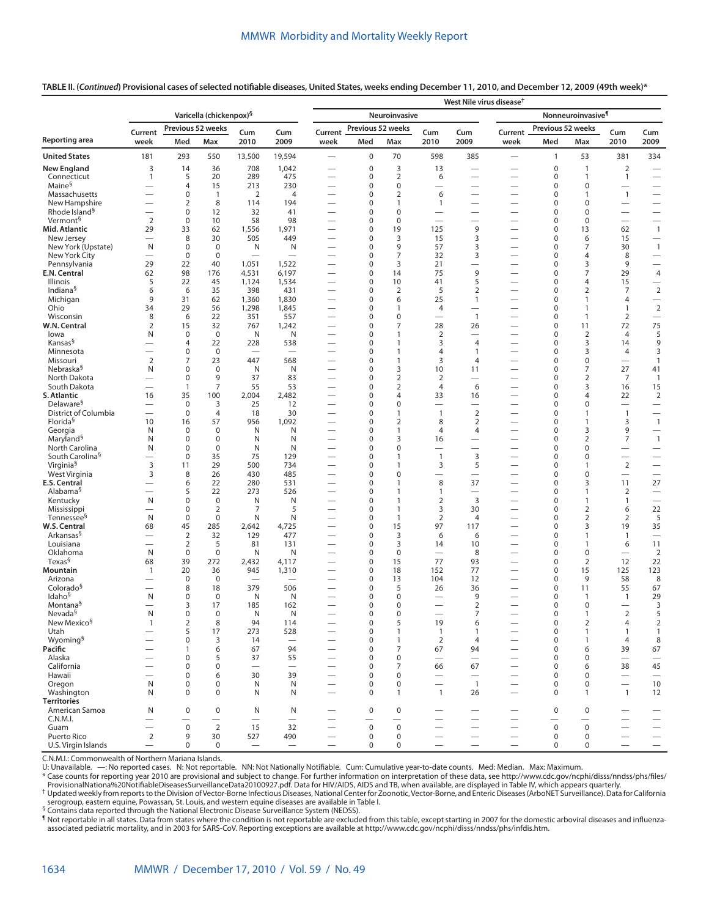**TABLE II. (***Continued***) Provisional cases of selected notifiable diseases, United States, weeks ending December 11, 2010, and December 12, 2009 (49th week)\***

|                                              |                                |                            |                                     |                                  |                                 | West Nile virus disease <sup>†</sup> |                                         |                                         |                                                      |                                  |                                                      |                            |                               |                                  |                                                  |
|----------------------------------------------|--------------------------------|----------------------------|-------------------------------------|----------------------------------|---------------------------------|--------------------------------------|-----------------------------------------|-----------------------------------------|------------------------------------------------------|----------------------------------|------------------------------------------------------|----------------------------|-------------------------------|----------------------------------|--------------------------------------------------|
|                                              |                                |                            | Varicella (chickenpox) <sup>§</sup> |                                  |                                 |                                      |                                         | Neuroinvasive                           |                                                      |                                  |                                                      |                            | Nonneuroinvasive <sup>¶</sup> |                                  |                                                  |
|                                              | Current                        |                            | Previous 52 weeks                   | Cum                              | Cum                             | Current                              | Previous 52 weeks                       |                                         | Cum                                                  | Cum                              | Current                                              | Previous 52 weeks          |                               | Cum                              | Cum                                              |
| Reporting area                               | week                           | Med                        | Max                                 | 2010                             | 2009                            | week                                 | Med                                     | Max                                     | 2010                                                 | 2009                             | week                                                 | Med                        | Max                           | 2010                             | 2009                                             |
| <b>United States</b>                         | 181                            | 293                        | 550                                 | 13,500                           | 19,594                          | $\overline{\phantom{0}}$             | $\pmb{0}$                               | 70                                      | 598                                                  | 385                              | $\overline{\phantom{m}}$                             | 1                          | 53                            | 381                              | 334                                              |
| <b>New England</b><br>Connecticut            | 3<br>$\mathbf{1}$              | 14<br>5                    | 36<br>20                            | 708<br>289                       | 1,042<br>475                    |                                      | 0<br>0                                  | $\mathsf 3$<br>$\overline{2}$           | 13<br>6                                              | $\qquad \qquad$                  |                                                      | $\mathbf 0$<br>$\mathbf 0$ | 1<br>1                        | $\overline{2}$<br>$\mathbf{1}$   | $\overline{\phantom{0}}$                         |
| Maine <sup>§</sup>                           |                                | 4                          | 15                                  | 213                              | 230                             | $\overline{\phantom{0}}$             | 0                                       | $\mathbf 0$                             |                                                      |                                  |                                                      | $\mathbf 0$                | 0                             | $\overline{\phantom{0}}$         | $\qquad \qquad$                                  |
| Massachusetts                                |                                | $\mathbf 0$                | $\mathbf{1}$                        | $\overline{2}$                   | $\overline{4}$                  |                                      | 0                                       | $\overline{2}$                          | 6                                                    |                                  |                                                      | $\mathbf 0$                | 1                             | $\mathbf{1}$                     |                                                  |
| New Hampshire                                | $\overline{\phantom{0}}$       | $\overline{2}$             | 8                                   | 114                              | 194                             |                                      | 0                                       | $\mathbf{1}$                            | $\mathbf{1}$                                         |                                  | $\overline{\phantom{0}}$                             | $\mathbf 0$                | $\mathbf 0$                   |                                  | $\overline{\phantom{0}}$                         |
| Rhode Island <sup>§</sup>                    | $\overline{\phantom{0}}$       | $\mathbf 0$                | 12                                  | 32                               | 41                              | $\overline{\phantom{0}}$             | 0                                       | $\mathbf 0$                             | $\overline{\phantom{0}}$                             | $\qquad \qquad$                  |                                                      | $\mathbf 0$                | 0                             |                                  | $\qquad \qquad -$                                |
| Vermont <sup>§</sup>                         | $\overline{2}$                 | $\mathbf 0$                | 10                                  | 58                               | 98                              |                                      | 0                                       | $\mathbf 0$                             | $\overline{\phantom{0}}$                             |                                  |                                                      | $\mathbf 0$                | $\mathbf 0$                   |                                  | $\overbrace{\phantom{12322111}}$                 |
| Mid. Atlantic<br>New Jersey                  | 29                             | 33<br>8                    | 62<br>30                            | 1,556<br>505                     | 1,971<br>449                    | -<br>$\overline{\phantom{0}}$        | 0<br>0                                  | 19<br>3                                 | 125<br>15                                            | 9<br>3                           | -<br>$\overline{\phantom{0}}$                        | $\mathbf 0$<br>0           | 13<br>6                       | 62<br>15                         | $\mathbf{1}$<br>$\overbrace{\phantom{12322111}}$ |
| New York (Upstate)                           | N                              | $\mathbf 0$                | $\mathbf 0$                         | N                                | N                               | $\overline{\phantom{0}}$             | 0                                       | 9                                       | 57                                                   | 3                                | $\overline{\phantom{0}}$                             | 0                          | 7                             | 30                               | $\mathbf{1}$                                     |
| New York City                                |                                | $\mathbf 0$                | 0                                   |                                  |                                 | $\overline{\phantom{0}}$             | 0                                       | $\overline{7}$                          | 32                                                   | 3                                | -                                                    | 0                          | 4                             | 8                                | $\overline{\phantom{0}}$                         |
| Pennsylvania                                 | 29                             | 22                         | 40                                  | 1,051                            | 1,522                           |                                      | 0                                       | 3                                       | 21                                                   |                                  |                                                      | 0                          | 3                             | 9                                | $\overline{\phantom{0}}$                         |
| E.N. Central                                 | 62                             | 98                         | 176                                 | 4,531                            | 6,197                           | $\overline{\phantom{0}}$             | 0                                       | 14                                      | 75                                                   | 9                                | $\overline{\phantom{0}}$                             | 0                          | 7                             | 29                               | 4                                                |
| Illinois                                     | 5                              | 22                         | 45                                  | 1,124                            | 1,534                           | $\overline{\phantom{0}}$             | 0                                       | 10                                      | 41                                                   | 5                                | $\overline{\phantom{0}}$                             | 0                          | 4                             | 15                               | $\hspace{0.05cm}$                                |
| Indiana <sup>§</sup><br>Michigan             | 6<br>9                         | 6<br>31                    | 35<br>62                            | 398<br>1,360                     | 431<br>1,830                    | $\overline{\phantom{0}}$             | 0<br>0                                  | 2<br>6                                  | 5<br>25                                              | $\overline{2}$<br>1              |                                                      | 0<br>0                     | 2<br>$\mathbf{1}$             | 7<br>$\overline{4}$              | $\overline{2}$<br>$\overbrace{\phantom{12333}}$  |
| Ohio                                         | 34                             | 29                         | 56                                  | 1,298                            | 1,845                           |                                      | 0                                       | $\mathbf{1}$                            | 4                                                    | $\overline{\phantom{0}}$         | $\overline{\phantom{0}}$                             | 0                          | 1                             | 1                                | $\overline{2}$                                   |
| Wisconsin                                    | 8                              | 6                          | 22                                  | 351                              | 557                             |                                      | 0                                       | $\mathbf 0$                             | $\overline{\phantom{0}}$                             | $\mathbf{1}$                     |                                                      | $\mathbf 0$                | 1                             | 2                                | $\overline{\phantom{m}}$                         |
| W.N. Central                                 | $\overline{2}$                 | 15                         | 32                                  | 767                              | 1,242                           | $\overline{\phantom{0}}$             | 0                                       | 7                                       | 28                                                   | 26                               | -                                                    | 0                          | 11                            | 72                               | 75                                               |
| lowa                                         | N                              | $\mathbf 0$                | $\mathbf 0$                         | N                                | N                               |                                      | 0                                       | $\mathbf{1}$                            | $\overline{2}$                                       |                                  |                                                      | $\mathbf 0$                | $\overline{2}$                | $\overline{4}$                   | 5                                                |
| Kansas <sup>§</sup>                          |                                | 4                          | 22<br>$\mathbf 0$                   | 228                              | 538                             | $\overline{\phantom{0}}$             | 0                                       | $\mathbf{1}$                            | 3<br>$\overline{4}$                                  | $\overline{4}$                   | $\overline{\phantom{0}}$                             | 0                          | 3                             | 14                               | 9                                                |
| Minnesota<br>Missouri                        | $\overline{2}$                 | 0<br>$\overline{7}$        | 23                                  | $\overline{\phantom{0}}$<br>447  | $\overline{\phantom{0}}$<br>568 |                                      | 0<br>0                                  | $\mathbf{1}$<br>$\overline{1}$          | 3                                                    | $\mathbf{1}$<br>$\overline{4}$   | $\overline{\phantom{0}}$                             | $\mathbf 0$<br>$\mathbf 0$ | 3<br>$\mathbf 0$              | $\overline{4}$                   | 3<br>$\mathbf{1}$                                |
| Nebraska <sup>§</sup>                        | N                              | $\mathbf 0$                | $\mathbf 0$                         | N                                | N                               | -                                    | 0                                       | 3                                       | 10                                                   | 11                               | -                                                    | $\mathbf 0$                | 7                             | 27                               | 41                                               |
| North Dakota                                 |                                | $\mathbf 0$                | 9                                   | 37                               | 83                              |                                      | 0                                       | $\overline{2}$                          | $\overline{2}$                                       |                                  |                                                      | $\mathbf 0$                | $\overline{2}$                | 7                                | $\overline{1}$                                   |
| South Dakota                                 | $\overline{\phantom{0}}$       | $\mathbf{1}$               | 7                                   | 55                               | 53                              |                                      | 0                                       | $\overline{2}$                          | $\overline{4}$                                       | 6                                | $\overline{\phantom{0}}$                             | $\mathbf 0$                | 3                             | 16                               | 15                                               |
| S. Atlantic                                  | 16                             | 35                         | 100                                 | 2,004                            | 2,482                           |                                      | 0                                       | $\overline{4}$                          | 33                                                   | 16                               |                                                      | $\mathbf 0$                | 4                             | 22                               | $\overline{2}$                                   |
| Delaware <sup>§</sup>                        |                                | $\mathbf 0$<br>$\mathbf 0$ | 3                                   | 25                               | 12                              | $\overline{\phantom{0}}$             | 0                                       | $\mathbf 0$                             | $\overline{\phantom{0}}$                             |                                  | $\overline{\phantom{0}}$                             | $\mathbf 0$                | 0                             | $\overline{\phantom{0}}$         | $\overline{\phantom{m}}$                         |
| District of Columbia<br>Florida <sup>§</sup> | $\overline{\phantom{0}}$<br>10 | 16                         | 4<br>57                             | 18<br>956                        | 30<br>1,092                     | $\overline{\phantom{0}}$<br>-        | 0<br>0                                  | $\mathbf{1}$<br>$\overline{2}$          | $\mathbf{1}$<br>8                                    | $\overline{2}$<br>$\overline{2}$ | -                                                    | $\mathbf 0$<br>$\mathbf 0$ | 1<br>$\mathbf{1}$             | $\mathbf{1}$<br>3                | $\overline{\phantom{0}}$<br>$\mathbf{1}$         |
| Georgia                                      | N                              | $\mathbf 0$                | $\mathbf 0$                         | N                                | N                               |                                      | 0                                       | $\mathbf{1}$                            | 4                                                    | $\overline{4}$                   |                                                      | $\mathbf 0$                | 3                             | 9                                | $\qquad \qquad$                                  |
| Maryland <sup>§</sup>                        | N                              | $\mathbf 0$                | 0                                   | N                                | N                               |                                      | 0                                       | 3                                       | 16                                                   |                                  | $\overline{\phantom{0}}$                             | $\mathbf 0$                | $\overline{2}$                | $\overline{7}$                   | $\overline{1}$                                   |
| North Carolina                               | N                              | $\mathbf 0$                | 0                                   | N                                | N                               | —                                    | 0                                       | $\mathbf 0$                             |                                                      | $\qquad \qquad$                  | -                                                    | 0                          | 0                             |                                  | $\hspace{0.05cm}$                                |
| South Carolina <sup>§</sup>                  | $\overline{\phantom{0}}$       | $\mathbf 0$                | 35                                  | 75                               | 129                             |                                      | 0                                       | $\mathbf{1}$                            | $\overline{1}$                                       | $\overline{3}$                   |                                                      | $\mathbf 0$                | 0                             |                                  | $\overline{\phantom{0}}$                         |
| Virginia <sup>§</sup><br>West Virginia       | $\overline{3}$<br>3            | 11<br>8                    | 29<br>26                            | 500<br>430                       | 734<br>485                      | —                                    | 0<br>0                                  | $\mathbf{1}$<br>$\mathbf 0$             | 3<br>$\overline{\phantom{0}}$                        | 5<br>$\overline{\phantom{0}}$    | $\overline{\phantom{0}}$<br>$\overline{\phantom{0}}$ | $\mathbf 0$<br>$\mathbf 0$ | 1<br>$\mathbf 0$              | $\overline{2}$                   |                                                  |
| <b>E.S. Central</b>                          | $\overline{\phantom{0}}$       | 6                          | 22                                  | 280                              | 531                             | $\overline{\phantom{0}}$             | $\Omega$                                | $\mathbf{1}$                            | 8                                                    | 37                               | $\overline{\phantom{0}}$                             | $\mathbf 0$                | 3                             | 11                               | 27                                               |
| Alabama <sup>§</sup>                         | $\overline{\phantom{0}}$       | 5                          | 22                                  | 273                              | 526                             | -                                    | 0                                       | $\mathbf{1}$                            | 1                                                    | $\overline{\phantom{0}}$         | -                                                    | 0                          | $\mathbf{1}$                  | 2                                |                                                  |
| Kentucky                                     | N                              | $\mathbf 0$                | $\mathbf 0$                         | N                                | N                               |                                      | 0                                       | $\overline{1}$                          | $\overline{2}$                                       | $\overline{3}$                   |                                                      | 0                          | 1                             | $\mathbf{1}$                     | $\overline{\phantom{0}}$                         |
| Mississippi                                  | $\overline{\phantom{0}}$       | $\mathbf 0$                | $\overline{2}$                      | 7                                | 5                               | $\overline{\phantom{0}}$             | 0                                       | $\overline{1}$                          | 3                                                    | 30                               |                                                      | 0                          | 2                             | 6                                | 22                                               |
| Tennessee <sup>§</sup>                       | N                              | $\mathbf 0$                | 0                                   | N                                | N                               | $\overline{\phantom{0}}$             | 0                                       | $\overline{1}$                          | $\overline{2}$                                       | $\overline{4}$                   | $\overline{\phantom{0}}$                             | 0                          | $\overline{2}$                | $\overline{2}$                   | 5                                                |
| W.S. Central<br>Arkansas <sup>§</sup>        | 68                             | 45<br>2                    | 285<br>32                           | 2,642<br>129                     | 4,725<br>477                    | -                                    | 0<br>0                                  | 15<br>3                                 | 97<br>6                                              | 117<br>6                         | -                                                    | 0<br>0                     | 3<br>1                        | 19<br>$\mathbf{1}$               | 35<br>$\overline{\phantom{m}}$                   |
| Louisiana                                    |                                | $\overline{2}$             | 5                                   | 81                               | 131                             | $\overline{\phantom{0}}$             | 0                                       | 3                                       | 14                                                   | 10                               | $\overline{\phantom{0}}$                             | 0                          | 1                             | 6                                | 11                                               |
| Oklahoma                                     | N                              | $\mathbf 0$                | 0                                   | N                                | N                               |                                      | 0                                       | $\mathbf 0$                             | $\overline{\phantom{0}}$                             | 8                                | $\overline{\phantom{0}}$                             | $\mathbf 0$                | $\mathbf 0$                   | $\overbrace{\phantom{12322111}}$ | 2                                                |
| Texas <sup>§</sup>                           | 68                             | 39                         | 272                                 | 2,432                            | 4,117                           |                                      | 0                                       | 15                                      | 77                                                   | 93                               | $\overline{\phantom{0}}$                             | 0                          | $\overline{2}$                | 12                               | 22                                               |
| Mountain                                     | 1                              | 20                         | 36                                  | 945                              | 1,310                           |                                      | 0                                       | 18                                      | 152                                                  | 77                               | $\overline{\phantom{0}}$                             | $\mathbf 0$                | 15                            | 125                              | 123                                              |
| Arizona                                      |                                | 0                          | 0                                   |                                  |                                 |                                      | 0                                       | 13                                      | 104                                                  | 12                               | $\overline{\phantom{0}}$                             | 0                          | 9                             | 58                               | 8                                                |
| Colorado <sup>§</sup><br>Idaho <sup>§</sup>  | N                              | 8<br>0                     | 18<br>0                             | 379<br>N                         | 506<br>N                        |                                      | 0<br>0                                  | 5<br>$\mathbf 0$                        | 26                                                   | 36<br>9                          | $\overline{\phantom{0}}$                             | 0<br>$\mathbf 0$           | 11<br>$\mathbf{1}$            | 55<br>$\mathbf{1}$               | 67<br>29                                         |
| Montana <sup>§</sup>                         | $\overline{\phantom{0}}$       | 3                          | 17                                  | 185                              | 162                             | $\overline{\phantom{0}}$             | 0                                       | $\mathbf 0$                             | $\overline{\phantom{0}}$                             | $\overline{2}$                   | $\overline{\phantom{0}}$                             | $\mathbf 0$                | 0                             | $\overline{\phantom{0}}$         | 3                                                |
| Nevada <sup>§</sup>                          | N                              | 0                          | 0                                   | N                                | N                               |                                      | 0                                       | $\Omega$                                |                                                      | 7                                |                                                      | $\mathbf{0}$               | 1                             | 2                                | 5                                                |
| New Mexico <sup>§</sup>                      | $\mathbf{1}$                   | $\overline{2}$             | 8                                   | 94                               | 114                             |                                      | $\mathbf 0$                             | 5                                       | 19                                                   | 6                                |                                                      | 0                          | 2                             | 4                                | $\overline{2}$                                   |
| Utah                                         |                                | 5                          | 17                                  | 273                              | 528                             |                                      | $\mathbf 0$                             | $\mathbf{1}$                            | $\mathbf{1}$                                         | $\mathbf{1}$                     |                                                      | $\pmb{0}$                  | $\mathbf{1}$                  | $\mathbf{1}$                     | $\mathbf{1}$                                     |
| Wyoming <sup>§</sup>                         |                                | 0                          | 3                                   | 14                               | $\overline{\phantom{m}}$        | $\overline{\phantom{0}}$             | 0                                       | $\overline{1}$                          | $\overline{2}$                                       | $\overline{4}$                   | $\overline{\phantom{0}}$                             | 0                          | 1                             | $\overline{4}$                   | 8                                                |
| Pacific<br>Alaska                            |                                | 1<br>$\mathbf 0$           | 6<br>5                              | 67<br>37                         | 94<br>55                        |                                      | $\mathbf 0$<br>0                        | $\overline{7}$<br>$\mathbf 0$           | 67<br>$\overbrace{\phantom{123221111}}$              | 94<br>$\overline{\phantom{m}}$   | $\overline{\phantom{0}}$                             | 0<br>0                     | 6<br>$\mathbf 0$              | 39                               | 67<br>$\overline{\phantom{m}}$                   |
| California                                   |                                | 0                          | 0                                   | $\overline{\phantom{0}}$         | $\equiv$                        |                                      | 0                                       | $\overline{7}$                          | 66                                                   | 67                               |                                                      | 0                          | 6                             | 38                               | 45                                               |
| Hawaii                                       | $\overline{\phantom{0}}$       | $\mathbf 0$                | 6                                   | 30                               | 39                              | $\overbrace{\phantom{13333}}$        | 0                                       | $\mathbf 0$                             | $\qquad \qquad$                                      | $\overline{\phantom{0}}$         | $\qquad \qquad$                                      | $\mathbf 0$                | $\mathbf 0$                   |                                  | $\overline{\phantom{m}}$                         |
| Oregon                                       | N                              | $\mathbf 0$                | $\mathbf 0$                         | N                                | N                               | $\overline{\phantom{0}}$             | $\mathbf 0$                             | $\mathbf 0$                             |                                                      | $\overline{1}$                   | $\overline{\phantom{0}}$                             | 0                          | $\mathbf 0$                   |                                  | 10                                               |
| Washington                                   | N                              | $\mathbf 0$                | $\mathbf 0$                         | N                                | N                               | $\overline{\phantom{0}}$             | $\mathbf 0$                             | $\mathbf{1}$                            | $\overline{1}$                                       | 26                               |                                                      | $\mathbf 0$                | $\mathbf{1}$                  | $\overline{1}$                   | 12                                               |
| <b>Territories</b>                           |                                |                            |                                     |                                  |                                 |                                      |                                         |                                         |                                                      |                                  |                                                      |                            |                               |                                  |                                                  |
| American Samoa<br>C.N.M.I.                   | N                              | $\mathbf 0$                | 0<br>$\overline{\phantom{0}}$       | N<br>$\overline{\phantom{m}}$    | N<br>$\overline{\phantom{0}}$   | $\overbrace{\phantom{13333}}$        | $\mathbf 0$<br>$\overline{\phantom{0}}$ | $\mathbf 0$<br>$\overline{\phantom{0}}$ | $\overline{\phantom{0}}$<br>$\overline{\phantom{0}}$ | $\overline{\phantom{0}}$         | $\overline{\phantom{0}}$                             | $\pmb{0}$                  | $\boldsymbol{0}$              |                                  | $\qquad \qquad$<br>$\qquad \qquad -$             |
| Guam                                         |                                | $\mathsf{O}\xspace$        | $\overline{2}$                      | 15                               | 32                              |                                      | $\mathbf 0$                             | $\mathbf 0$                             | $\qquad \qquad$                                      | $\qquad \qquad$                  |                                                      | $\mathsf 0$                | $\mathbf 0$                   |                                  | $\qquad \qquad -$                                |
| Puerto Rico                                  | $\overline{2}$                 | 9                          | 30                                  | 527                              | 490                             |                                      | $\mathbf 0$                             | $\mathbf 0$                             | $\overline{\phantom{0}}$                             | $\qquad \qquad -$                | $\qquad \qquad$                                      | 0                          | $\mathbf 0$                   | $\qquad \qquad$                  | $\qquad \qquad -$                                |
| U.S. Virgin Islands                          | $\overline{\phantom{0}}$       | $\mathbf 0$                | $\mathbf 0$                         | $\overbrace{\phantom{12322111}}$ |                                 |                                      | $\mathbf 0$                             | $\mathbf 0$                             |                                                      | $\equiv$                         |                                                      | 0                          | $\mathbf 0$                   | $\equiv$                         | $\equiv$                                         |

C.N.M.I.: Commonwealth of Northern Mariana Islands.

U: Unavailable. —: No reported cases. N: Not reportable. NN: Not Nationally Notifiable. Cum: Cumulative year-to-date counts. Med: Median. Max: Maximum.

\* Case counts for reporting year 2010 are provisional and subject to change. For further information on interpretation of these data, see [http://www.cdc.gov/ncphi/disss/nndss/phs/files/](http://www.cdc.gov/ncphi/disss/nndss/phs/files/ProvisionalNationa%20NotifiableDiseasesSurveillanceData20100927.pdf)

<sup>†</sup> Updated weekly from reports to the Division of Vector-Borne Infectious Diseases, National Center for Zoonotic, Vector-Borne, and Enteric Diseases (ArboNET Surveillance). Data for California serogroup, eastern equine, Powassan, St. Louis, and western equine diseases are available in Table I. § Contains data reported through the National Electronic Disease Surveillance System (NEDSS).

¶ Not reportable in all states. Data from states where the condition is not reportable are excluded from this table, except starting in 2007 for the domestic arboviral diseases and influenzaassociated pediatric mortality, and in 2003 for SARS-CoV. Reporting exceptions are available at <http://www.cdc.gov/ncphi/disss/nndss/phs/infdis.htm>.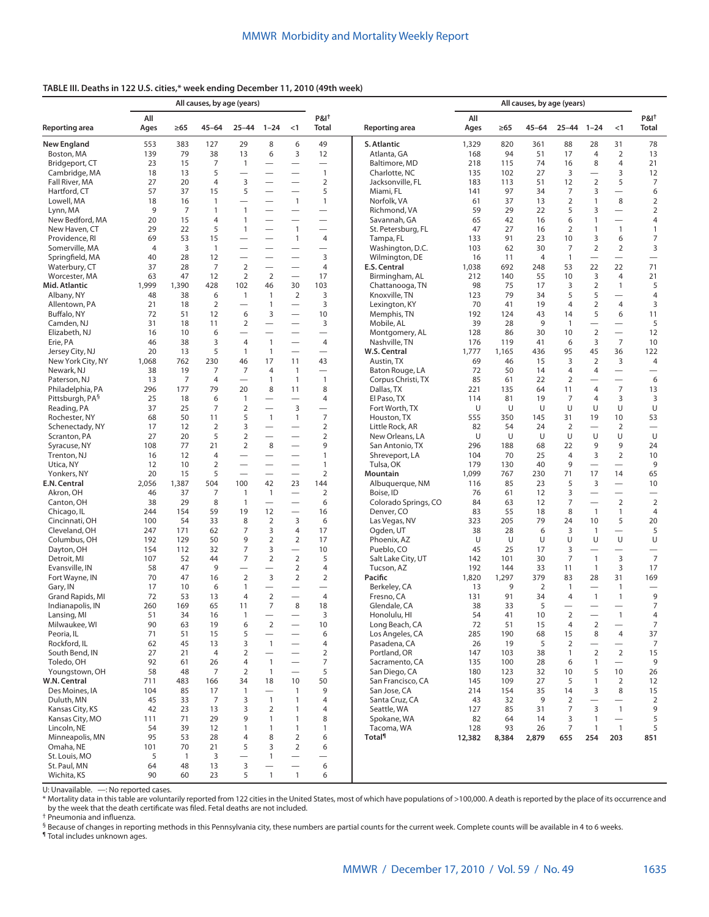### **TABLE III. Deaths in 122 U.S. cities,\* week ending December 11, 2010 (49th week)**

|                                  | All causes, by age (years) |              |                |                                            |                                            |                                          |                                  |                               | All causes, by age (years) |            |                |                     |                          |                               |                                  |
|----------------------------------|----------------------------|--------------|----------------|--------------------------------------------|--------------------------------------------|------------------------------------------|----------------------------------|-------------------------------|----------------------------|------------|----------------|---------------------|--------------------------|-------------------------------|----------------------------------|
| Reporting area                   | All<br>Ages                | $\geq 65$    | $45 - 64$      | $25 - 44$                                  | $1 - 24$                                   | < 1                                      | P&I <sup>†</sup><br><b>Total</b> | Reporting area                | All<br>Ages                | $\geq 65$  | $45 - 64$      | $25 - 44$           | $1 - 24$                 | <1                            | P&I <sup>†</sup><br><b>Total</b> |
| <b>New England</b>               | 553                        | 383          | 127            | 29                                         | 8                                          | 6                                        | 49                               | S. Atlantic                   | 1,329                      | 820        | 361            | 88                  | 28                       | 31                            | 78                               |
| Boston, MA                       | 139                        | 79           | 38             | 13                                         | 6                                          | 3                                        | 12                               | Atlanta, GA                   | 168                        | 94         | 51             | 17                  | $\overline{4}$           | $\overline{2}$                | 13                               |
| Bridgeport, CT                   | 23                         | 15           | $\overline{7}$ | $\overline{1}$                             |                                            |                                          | $\overline{\phantom{0}}$         | Baltimore, MD                 | 218                        | 115        | 74             | 16                  | 8                        | $\overline{4}$                | 21                               |
| Cambridge, MA                    | 18                         | 13           | 5              |                                            | $\overline{\phantom{0}}$                   | $\equiv$                                 | $\mathbf{1}$                     | Charlotte, NC                 | 135                        | 102        | 27             | 3                   | $\equiv$                 | 3                             | 12                               |
| Fall River, MA                   | 27                         | 20           | $\overline{4}$ | 3                                          | $\overline{\phantom{0}}$                   | $\overline{\phantom{0}}$                 | $\overline{2}$                   | Jacksonville, FL              | 183                        | 113        | 51             | 12                  | $\overline{2}$           | 5                             | 7                                |
| Hartford, CT<br>Lowell, MA       | 57<br>18                   | 37<br>16     | 15<br>1        | 5<br>$\equiv$                              |                                            | $\overline{\phantom{0}}$<br>$\mathbf{1}$ | 5<br>$\mathbf{1}$                | Miami, FL<br>Norfolk, VA      | 141<br>61                  | 97<br>37   | 34<br>13       | 7<br>$\overline{2}$ | 3<br>$\mathbf{1}$        | $\overline{\phantom{0}}$<br>8 | 6<br>$\overline{2}$              |
| Lynn, MA                         | 9                          | 7            | $\mathbf{1}$   | $\mathbf{1}$                               |                                            |                                          |                                  | Richmond, VA                  | 59                         | 29         | 22             | 5                   | 3                        |                               | $\overline{2}$                   |
| New Bedford, MA                  | 20                         | 15           | $\overline{4}$ | 1                                          |                                            | $\overline{\phantom{0}}$                 | $\overline{\phantom{0}}$         | Savannah, GA                  | 65                         | 42         | 16             | 6                   | $\overline{1}$           | $\equiv$                      | 4                                |
| New Haven, CT                    | 29                         | 22           | 5              | $\mathbf{1}$                               |                                            | $\mathbf{1}$                             |                                  | St. Petersburg, FL            | 47                         | 27         | 16             | 2                   | $\mathbf{1}$             | $\mathbf{1}$                  | $\mathbf{1}$                     |
| Providence, RI                   | 69                         | 53           | 15             | $\overline{\phantom{0}}$                   |                                            | $\mathbf{1}$                             | $\overline{4}$                   | Tampa, FL                     | 133                        | 91         | 23             | 10                  | 3                        | 6                             | $\overline{7}$                   |
| Somerville, MA                   | $\overline{4}$             | 3            | $\mathbf{1}$   | $\overline{\phantom{0}}$                   |                                            | $\overline{\phantom{0}}$                 |                                  | Washington, D.C.              | 103                        | 62         | 30             | 7                   | $\overline{2}$           | $\overline{2}$                | 3                                |
| Springfield, MA                  | 40                         | 28           | 12             |                                            | $\overline{\phantom{0}}$                   |                                          | $\overline{3}$                   | Wilmington, DE                | 16                         | 11         | $\overline{4}$ | $\mathbf{1}$        | $\overline{\phantom{0}}$ |                               | $\qquad \qquad -$                |
| Waterbury, CT                    | 37                         | 28           | $\overline{7}$ | $\overline{2}$                             |                                            | $\overline{\phantom{0}}$                 | $\overline{4}$                   | E.S. Central                  | 1,038                      | 692        | 248            | 53                  | 22                       | 22                            | 71                               |
| Worcester, MA                    | 63                         | 47           | 12             | $\overline{2}$                             | 2                                          | $\overline{\phantom{0}}$                 | 17                               | Birmingham, AL                | 212                        | 140        | 55             | 10                  | 3                        | 4                             | 21                               |
| Mid. Atlantic                    | 1,999                      | 1,390        | 428            | 102                                        | 46                                         | 30                                       | 103                              | Chattanooga, TN               | 98                         | 75         | 17             | 3                   | $\overline{2}$           | $\mathbf{1}$                  | 5                                |
| Albany, NY                       | 48                         | 38           | 6              | $\mathbf{1}$                               | $\mathbf{1}$                               | $\overline{2}$                           | 3                                | Knoxville, TN                 | 123                        | 79         | 34             | 5                   | 5                        | $\equiv$                      | 4                                |
| Allentown, PA                    | 21                         | 18           | $\overline{2}$ | $\overbrace{\phantom{12322111}}$           | $\mathbf{1}$                               | $\overline{\phantom{0}}$                 | 3                                | Lexington, KY                 | 70                         | 41         | 19             | $\overline{4}$      | $\overline{2}$           | $\overline{4}$                | 3                                |
| Buffalo, NY                      | 72                         | 51           | 12             | 6                                          | 3                                          | $\qquad \qquad$                          | 10                               | Memphis, TN                   | 192                        | 124        | 43             | 14                  | 5                        | 6                             | 11                               |
| Camden, NJ                       | 31                         | 18           | 11             | $\overline{2}$                             |                                            |                                          | 3                                | Mobile, AL                    | 39                         | 28         | 9              | $\mathbf{1}$        |                          |                               | 5                                |
| Elizabeth, NJ                    | 16                         | 10           | 6              |                                            |                                            |                                          | $\equiv$                         | Montgomery, AL                | 128                        | 86         | 30             | 10                  | 2                        | $\overline{\phantom{0}}$      | 12                               |
| Erie, PA                         | 46                         | 38           | 3              | 4                                          | $\mathbf{1}$                               | $\overline{\phantom{0}}$                 | $\overline{4}$                   | Nashville, TN                 | 176                        | 119        | 41             | 6                   | $\overline{3}$           | $\overline{7}$                | 10                               |
| Jersey City, NJ                  | 20                         | 13           | 5              | $\mathbf{1}$                               | $\mathbf{1}$                               |                                          | $\overline{\phantom{0}}$         | W.S. Central                  | 1,777                      | 1,165      | 436            | 95                  | 45                       | 36                            | 122                              |
| New York City, NY                | 1,068                      | 762          | 230            | 46                                         | 17                                         | 11                                       | 43                               | Austin, TX                    | 69                         | 46         | 15             | 3                   | $\overline{2}$           | 3                             | 4                                |
| Newark, NJ                       | 38                         | 19           | 7              | $\overline{7}$                             | $\overline{4}$                             | $\overline{1}$                           | $\overline{\phantom{0}}$         | Baton Rouge, LA               | 72                         | 50         | 14             | $\overline{4}$      | $\overline{4}$           | $\overline{\phantom{0}}$      | $\overline{\phantom{0}}$         |
| Paterson, NJ                     | 13                         | 7            | 4              | $\overline{\phantom{0}}$                   | $\mathbf{1}$                               | $\overline{1}$                           | $\mathbf{1}$                     | Corpus Christi, TX            | 85                         | 61         | 22             | $\overline{2}$      | $\overline{\phantom{0}}$ | $\overline{\phantom{0}}$      | 6                                |
| Philadelphia, PA                 | 296                        | 177          | 79             | 20                                         | 8                                          | 11                                       | 8                                | Dallas, TX                    | 221                        | 135        | 64             | 11                  | $\overline{4}$           | $\overline{7}$                | 13                               |
| Pittsburgh, PA <sup>§</sup>      | 25                         | 18           | 6              | 1                                          | $\overline{\phantom{0}}$                   | $\equiv$<br>$\overline{3}$               | $\overline{4}$                   | El Paso, TX                   | 114<br>U                   | 81<br>U    | 19<br>U        | 7<br>U              | $\overline{4}$<br>U      | 3<br>U                        | 3<br>U                           |
| Reading, PA                      | 37<br>68                   | 25<br>50     | 7<br>11        | $\overline{2}$<br>5                        | $\mathbf{1}$                               | $\mathbf{1}$                             | $\overline{7}$                   | Fort Worth, TX<br>Houston, TX | 555                        | 350        | 145            | 31                  | 19                       | 10                            | 53                               |
| Rochester, NY<br>Schenectady, NY | 17                         | 12           | $\overline{2}$ | 3                                          |                                            |                                          | $\overline{2}$                   | Little Rock, AR               | 82                         | 54         | 24             | $\overline{2}$      | $\equiv$                 | 2                             | $\overline{\phantom{0}}$         |
| Scranton, PA                     | 27                         | 20           | 5              | $\overline{2}$                             |                                            |                                          | $\overline{2}$                   | New Orleans, LA               | U                          | U          | U              | U                   | U                        | U                             | U                                |
| Syracuse, NY                     | 108                        | 77           | 21             | $\overline{2}$                             | 8                                          | $\equiv$                                 | 9                                | San Antonio, TX               | 296                        | 188        | 68             | 22                  | 9                        | 9                             | 24                               |
| Trenton, NJ                      | 16                         | 12           | $\overline{4}$ |                                            |                                            |                                          | $\mathbf{1}$                     | Shreveport, LA                | 104                        | 70         | 25             | $\overline{4}$      | 3                        | $\overline{2}$                | 10                               |
| Utica, NY                        | 12                         | 10           | $\mathbf 2$    | $\overline{\phantom{0}}$                   |                                            | $\overline{\phantom{0}}$                 | $\mathbf{1}$                     | Tulsa, OK                     | 179                        | 130        | 40             | 9                   | $\overline{\phantom{0}}$ | $\equiv$                      | 9                                |
| Yonkers, NY                      | 20                         | 15           | 5              | $\overline{\phantom{0}}$                   | $\overline{\phantom{0}}$                   |                                          | $\overline{2}$                   | Mountain                      | 1,099                      | 767        | 230            | 71                  | 17                       | 14                            | 65                               |
| E.N. Central                     | 2,056                      | 1,387        | 504            | 100                                        | 42                                         | 23                                       | 144                              | Albuquerque, NM               | 116                        | 85         | 23             | 5                   | 3                        | $\overline{\phantom{0}}$      | 10                               |
| Akron, OH                        | 46                         | 37           | 7              | 1                                          | $\mathbf{1}$                               | $\overline{\phantom{0}}$                 | $\overline{2}$                   | Boise, ID                     | 76                         | 61         | 12             | 3                   | $\overline{\phantom{0}}$ | $\equiv$                      | $\qquad \qquad -$                |
| Canton, OH                       | 38                         | 29           | 8              | $\overline{1}$                             | $\overline{\phantom{0}}$                   |                                          | 6                                | Colorado Springs, CO          | 84                         | 63         | 12             | $\overline{7}$      | $\overline{\phantom{0}}$ | $\overline{2}$                | $\overline{2}$                   |
| Chicago, IL                      | 244                        | 154          | 59             | 19                                         | 12                                         | $\equiv$                                 | 16                               | Denver, CO                    | 83                         | 55         | 18             | 8                   | $\overline{1}$           | $\mathbf{1}$                  | 4                                |
| Cincinnati, OH                   | 100                        | 54           | 33             | 8                                          | $\overline{2}$                             | 3                                        | 6                                | Las Vegas, NV                 | 323                        | 205        | 79             | 24                  | 10                       | 5                             | 20                               |
| Cleveland, OH                    | 247                        | 171          | 62             | $\overline{7}$                             | 3                                          | 4                                        | 17                               | Ogden, UT                     | 38                         | 28         | 6              | 3                   | $\overline{1}$           | $\equiv$                      | 5                                |
| Columbus, OH                     | 192                        | 129          | 50             | 9                                          | $\overline{2}$                             | 2                                        | 17                               | Phoenix, AZ                   | U                          | U          | U              | U                   | U                        | U                             | U                                |
| Dayton, OH                       | 154                        | 112          | 32             | 7                                          | 3                                          |                                          | 10                               | Pueblo, CO                    | 45                         | 25         | 17             | 3                   |                          |                               |                                  |
| Detroit, MI                      | 107                        | 52           | 44             | $\overline{7}$                             | $\overline{2}$                             | $\overline{2}$                           | 5                                | Salt Lake City, UT            | 142                        | 101        | 30             | 7                   | $\overline{1}$           | $\overline{3}$                | $\overline{7}$                   |
| Evansville, IN                   | 58<br>70                   | 47           | 9              | $\overline{\phantom{0}}$<br>$\overline{2}$ | $\overline{\phantom{0}}$<br>$\overline{3}$ | $\overline{2}$                           | $\overline{4}$                   | Tucson, AZ                    | 192                        | 144        | 33<br>379      | 11                  | $\overline{1}$           | 3                             | 17                               |
| Fort Wayne, IN<br>Gary, IN       | 17                         | 47<br>10     | 16<br>6        | 1                                          |                                            | 2                                        | 2<br>$\overline{\phantom{0}}$    | Pacific<br>Berkeley, CA       | 1,820<br>13                | 1,297<br>9 | $\overline{2}$ | 83<br>$\mathbf{1}$  | 28                       | 31<br>$\mathbf{1}$            | 169                              |
| Grand Rapids, MI                 | 72                         | 53           | 13             | 4                                          | $\mathbf 2$                                | $\overline{\phantom{0}}$                 | 4                                | Fresno, CA                    | 131                        | 91         | 34             | $\overline{4}$      | $\overline{1}$           | $\mathbf{1}$                  | 9                                |
| Indianapolis, IN                 | 260                        | 169          | 65             | 11                                         | $\overline{7}$                             | 8                                        | 18                               | Glendale, CA                  | 38                         | 33         | 5              |                     |                          |                               | $\overline{7}$                   |
| Lansing, MI                      | 51                         | 34           | 16             | 1                                          |                                            |                                          | 3                                | Honolulu, HI                  | 54                         | 41         | 10             | 2                   |                          | $\overline{1}$                | 4                                |
| Milwaukee, WI                    | 90                         | 63           | 19             | 6                                          | $\overline{2}$                             |                                          | 10                               | Long Beach, CA                | 72                         | 51         | 15             | $\overline{4}$      | $\overline{2}$           |                               | $\boldsymbol{7}$                 |
| Peoria, IL                       | 71                         | 51           | 15             | 5                                          |                                            |                                          | 6                                | Los Angeles, CA               | 285                        | 190        | 68             | 15                  | 8                        | $\overline{4}$                | 37                               |
| Rockford, IL                     | 62                         | 45           | 13             | 3                                          | $\mathbf{1}$                               | $\overline{\phantom{0}}$                 | 4                                | Pasadena, CA                  | 26                         | 19         | 5              | $\overline{2}$      |                          | $\overline{\phantom{0}}$      | $\overline{7}$                   |
| South Bend, IN                   | 27                         | 21           | $\overline{4}$ | $\overline{2}$                             |                                            |                                          | $\overline{2}$                   | Portland, OR                  | 147                        | 103        | 38             | 1                   | $\overline{2}$           | $\overline{2}$                | 15                               |
| Toledo, OH                       | 92                         | 61           | 26             | 4                                          | $\mathbf{1}$                               | $\equiv$                                 | $\overline{7}$                   | Sacramento, CA                | 135                        | 100        | 28             | 6                   | $\overline{1}$           | $\equiv$                      | 9                                |
| Youngstown, OH                   | 58                         | 48           | 7              | $\overline{2}$                             | $\overline{1}$                             | $\overline{\phantom{0}}$                 | 5                                | San Diego, CA                 | 180                        | 123        | 32             | 10                  | 5                        | 10                            | 26                               |
| W.N. Central                     | 711                        | 483          | 166            | 34                                         | 18                                         | 10                                       | 50                               | San Francisco, CA             | 145                        | 109        | 27             | 5                   | $\mathbf{1}$             | 2                             | 12                               |
| Des Moines, IA                   | 104                        | 85           | 17             | $\mathbf{1}$                               | $\overline{\phantom{0}}$                   | $\mathbf{1}$                             | 9                                | San Jose, CA                  | 214                        | 154        | 35             | 14                  | 3                        | 8                             | 15                               |
| Duluth, MN                       | 45                         | 33           | $\overline{7}$ | 3                                          | $\mathbf{1}$                               | $\mathbf{1}$                             | 4                                | Santa Cruz, CA                | 43                         | 32         | 9              | $\overline{2}$      |                          |                               | $\overline{2}$                   |
| Kansas City, KS                  | 42                         | 23           | 13             | 3                                          | $\overline{2}$                             | 1                                        | 4                                | Seattle, WA                   | 127                        | 85         | 31             | 7                   | $\overline{3}$           | $\mathbf{1}$                  | 9                                |
| Kansas City, MO                  | 111                        | 71           | 29             | 9                                          | $\mathbf{1}$                               | $\mathbf{1}$                             | 8                                | Spokane, WA                   | 82                         | 64         | 14             | 3                   | $\overline{1}$           |                               | 5                                |
| Lincoln, NE                      | 54                         | 39           | 12             | 1                                          | $\mathbf{1}$                               | $\mathbf{1}$                             | $\mathbf{1}$                     | Tacoma, WA                    | 128                        | 93         | 26             | 7                   | $\overline{1}$           | $\mathbf{1}$                  | 5                                |
| Minneapolis, MN                  | 95                         | 53           | 28             | 4                                          | 8                                          | $\overline{2}$                           | 6                                | <b>Total</b> <sup>1</sup>     | 12,382                     | 8,384      | 2,879          | 655                 | 254                      | 203                           | 851                              |
| Omaha, NE                        | 101                        | 70           | 21             | 5                                          | 3                                          | $\overline{2}$                           | 6                                |                               |                            |            |                |                     |                          |                               |                                  |
| St. Louis, MO                    | 5                          | $\mathbf{1}$ | 3              | $\overline{\phantom{0}}$                   | $\mathbf{1}$                               | $\overline{\phantom{0}}$                 | $\overline{\phantom{0}}$         |                               |                            |            |                |                     |                          |                               |                                  |
| St. Paul, MN                     | 64                         | 48           | 13             | 3                                          |                                            |                                          | 6                                |                               |                            |            |                |                     |                          |                               |                                  |
| Wichita, KS                      | 90                         | 60           | 23             | 5                                          | $\mathbf{1}$                               | $\mathbf{1}$                             | 6                                |                               |                            |            |                |                     |                          |                               |                                  |

U: Unavailable. —: No reported cases.

\* Mortality data in this table are voluntarily reported from 122 cities in the United States, most of which have populations of >100,000. A death is reported by the place of its occurrence and by the week that the death certificate was filed. Fetal deaths are not included. † Pneumonia and influenza.

 ${}^5$  Because of changes in reporting methods in this Pennsylvania city, these numbers are partial counts for the current week. Complete counts will be available in 4 to 6 weeks.

¶ Total includes unknown ages.